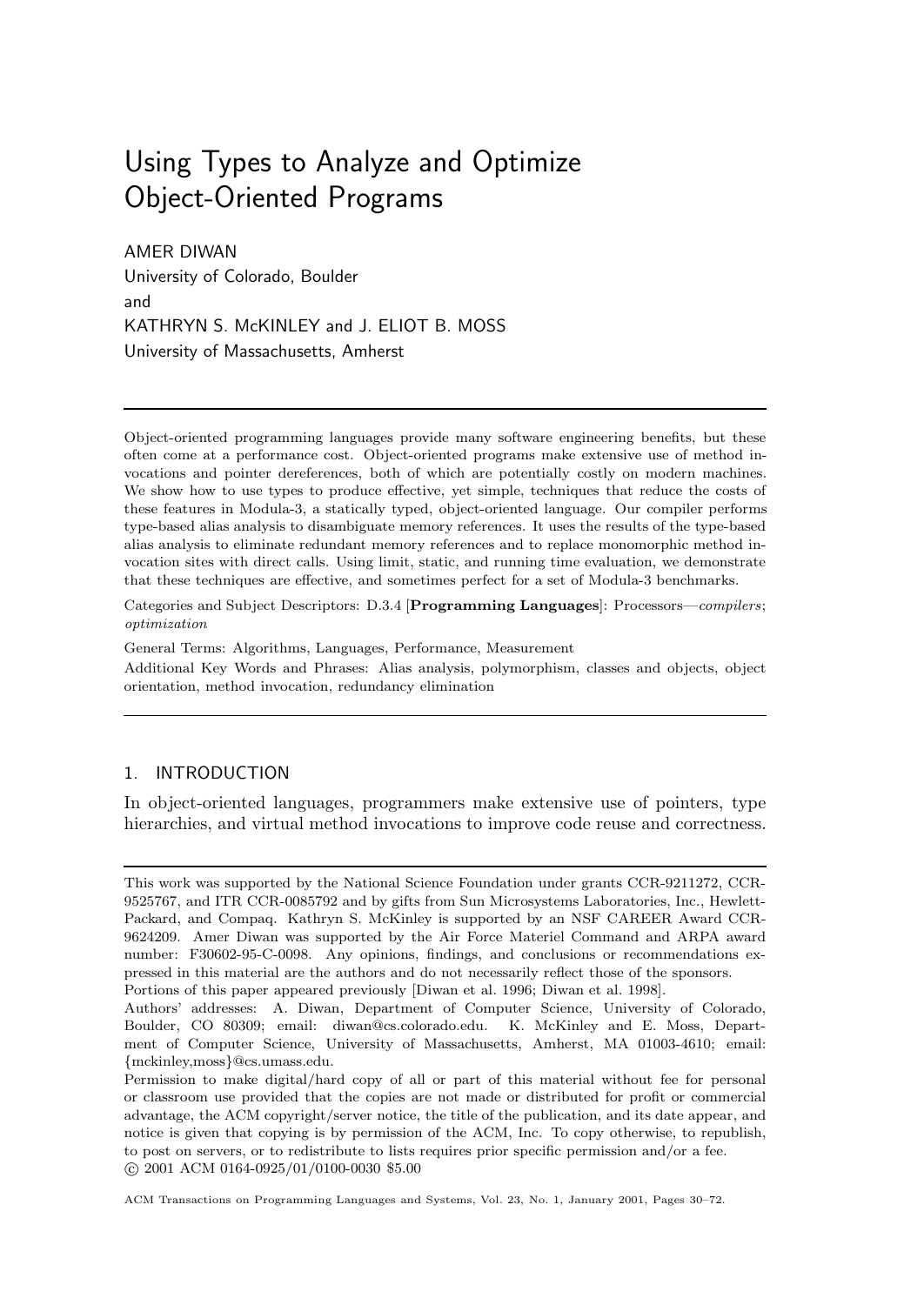# Using Types to Analyze and Optimize Object-Oriented Programs

AMER DIWAN University of Colorado, Boulder and KATHRYN S. McKINLEY and J. ELIOT B. MOSS University of Massachusetts, Amherst

Object-oriented programming languages provide many software engineering benefits, but these often come at a performance cost. Object-oriented programs make extensive use of method invocations and pointer dereferences, both of which are potentially costly on modern machines. We show how to use types to produce effective, yet simple, techniques that reduce the costs of these features in Modula-3, a statically typed, object-oriented language. Our compiler performs type-based alias analysis to disambiguate memory references. It uses the results of the type-based alias analysis to eliminate redundant memory references and to replace monomorphic method invocation sites with direct calls. Using limit, static, and running time evaluation, we demonstrate that these techniques are effective, and sometimes perfect for a set of Modula-3 benchmarks.

Categories and Subject Descriptors: D.3.4 [**Programming Languages**]: Processors—compilers; optimization

General Terms: Algorithms, Languages, Performance, Measurement Additional Key Words and Phrases: Alias analysis, polymorphism, classes and objects, object orientation, method invocation, redundancy elimination

# 1. INTRODUCTION

In object-oriented languages, programmers make extensive use of pointers, type hierarchies, and virtual method invocations to improve code reuse and correctness.

This work was supported by the National Science Foundation under grants CCR-9211272, CCR-9525767, and ITR CCR-0085792 and by gifts from Sun Microsystems Laboratories, Inc., Hewlett-Packard, and Compaq. Kathryn S. McKinley is supported by an NSF CAREER Award CCR-9624209. Amer Diwan was supported by the Air Force Materiel Command and ARPA award number: F30602-95-C-0098. Any opinions, findings, and conclusions or recommendations expressed in this material are the authors and do not necessarily reflect those of the sponsors. Portions of this paper appeared previously [Diwan et al. 1996; Diwan et al. 1998].

Authors' addresses: A. Diwan, Department of Computer Science, University of Colorado, Boulder, CO 80309; email: diwan@cs.colorado.edu. K. McKinley and E. Moss, Department of Computer Science, University of Massachusetts, Amherst, MA 01003-4610; email: {mckinley,moss}@cs.umass.edu.

Permission to make digital/hard copy of all or part of this material without fee for personal or classroom use provided that the copies are not made or distributed for profit or commercial advantage, the ACM copyright/server notice, the title of the publication, and its date appear, and notice is given that copying is by permission of the ACM, Inc. To copy otherwise, to republish, to post on servers, or to redistribute to lists requires prior specific permission and/or a fee. c 2001 ACM 0164-0925/01/0100-0030 \$5.00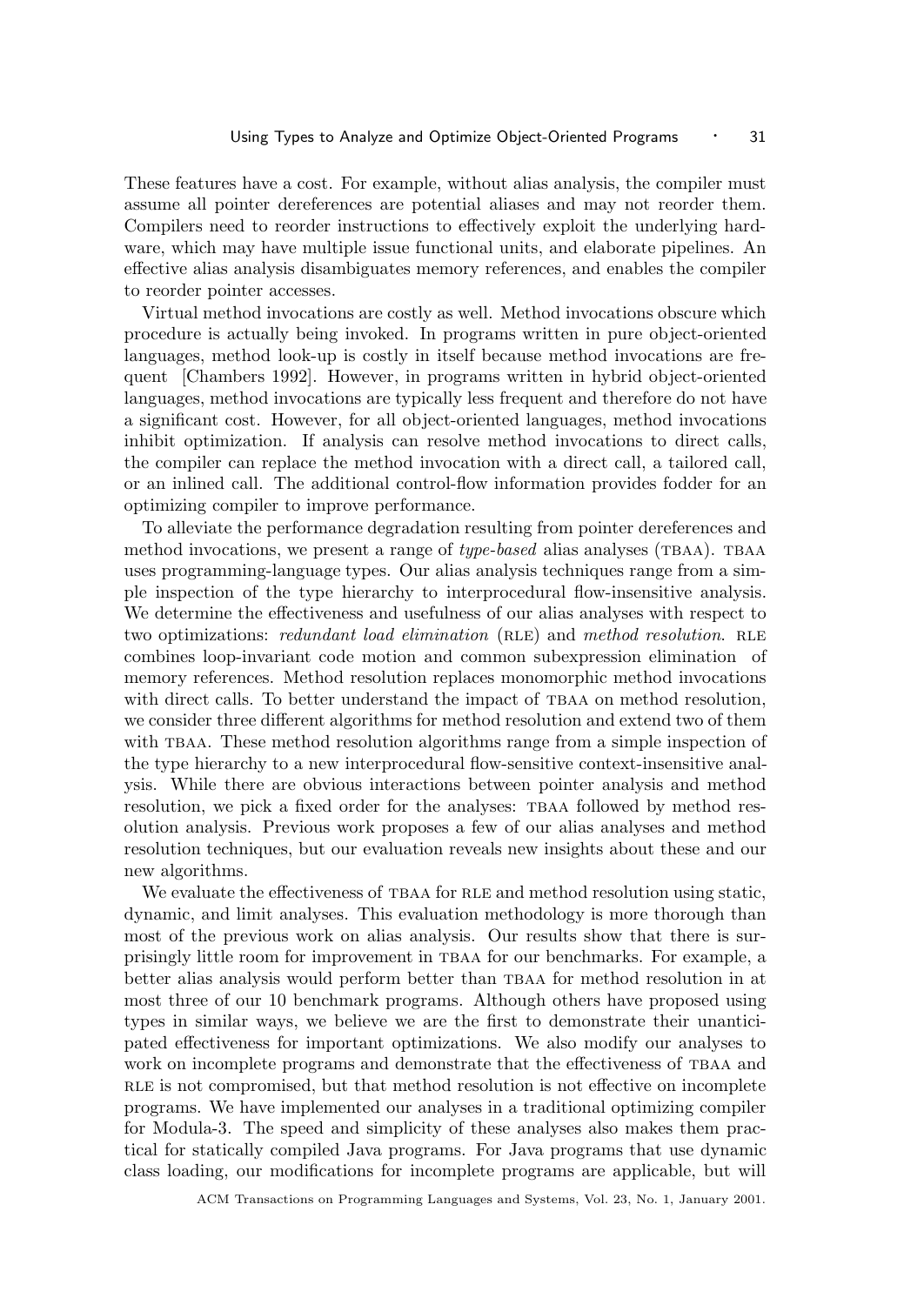These features have a cost. For example, without alias analysis, the compiler must assume all pointer dereferences are potential aliases and may not reorder them. Compilers need to reorder instructions to effectively exploit the underlying hardware, which may have multiple issue functional units, and elaborate pipelines. An effective alias analysis disambiguates memory references, and enables the compiler to reorder pointer accesses.

Virtual method invocations are costly as well. Method invocations obscure which procedure is actually being invoked. In programs written in pure object-oriented languages, method look-up is costly in itself because method invocations are frequent [Chambers 1992]. However, in programs written in hybrid object-oriented languages, method invocations are typically less frequent and therefore do not have a significant cost. However, for all object-oriented languages, method invocations inhibit optimization. If analysis can resolve method invocations to direct calls, the compiler can replace the method invocation with a direct call, a tailored call, or an inlined call. The additional control-flow information provides fodder for an optimizing compiler to improve performance.

To alleviate the performance degradation resulting from pointer dereferences and method invocations, we present a range of  $type-based$  alias analyses (TBAA). TBAA uses programming-language types. Our alias analysis techniques range from a simple inspection of the type hierarchy to interprocedural flow-insensitive analysis. We determine the effectiveness and usefulness of our alias analyses with respect to two optimizations: *redundant load elimination* (RLE) and method resolution. RLE combines loop-invariant code motion and common subexpression elimination of memory references. Method resolution replaces monomorphic method invocations with direct calls. To better understand the impact of TBAA on method resolution, we consider three different algorithms for method resolution and extend two of them with TBAA. These method resolution algorithms range from a simple inspection of the type hierarchy to a new interprocedural flow-sensitive context-insensitive analysis. While there are obvious interactions between pointer analysis and method resolution, we pick a fixed order for the analyses: TBAA followed by method resolution analysis. Previous work proposes a few of our alias analyses and method resolution techniques, but our evaluation reveals new insights about these and our new algorithms.

We evaluate the effectiveness of TBAA for RLE and method resolution using static, dynamic, and limit analyses. This evaluation methodology is more thorough than most of the previous work on alias analysis. Our results show that there is surprisingly little room for improvement in tbaa for our benchmarks. For example, a better alias analysis would perform better than TBAA for method resolution in at most three of our 10 benchmark programs. Although others have proposed using types in similar ways, we believe we are the first to demonstrate their unanticipated effectiveness for important optimizations. We also modify our analyses to work on incomplete programs and demonstrate that the effectiveness of TBAA and rle is not compromised, but that method resolution is not effective on incomplete programs. We have implemented our analyses in a traditional optimizing compiler for Modula-3. The speed and simplicity of these analyses also makes them practical for statically compiled Java programs. For Java programs that use dynamic class loading, our modifications for incomplete programs are applicable, but will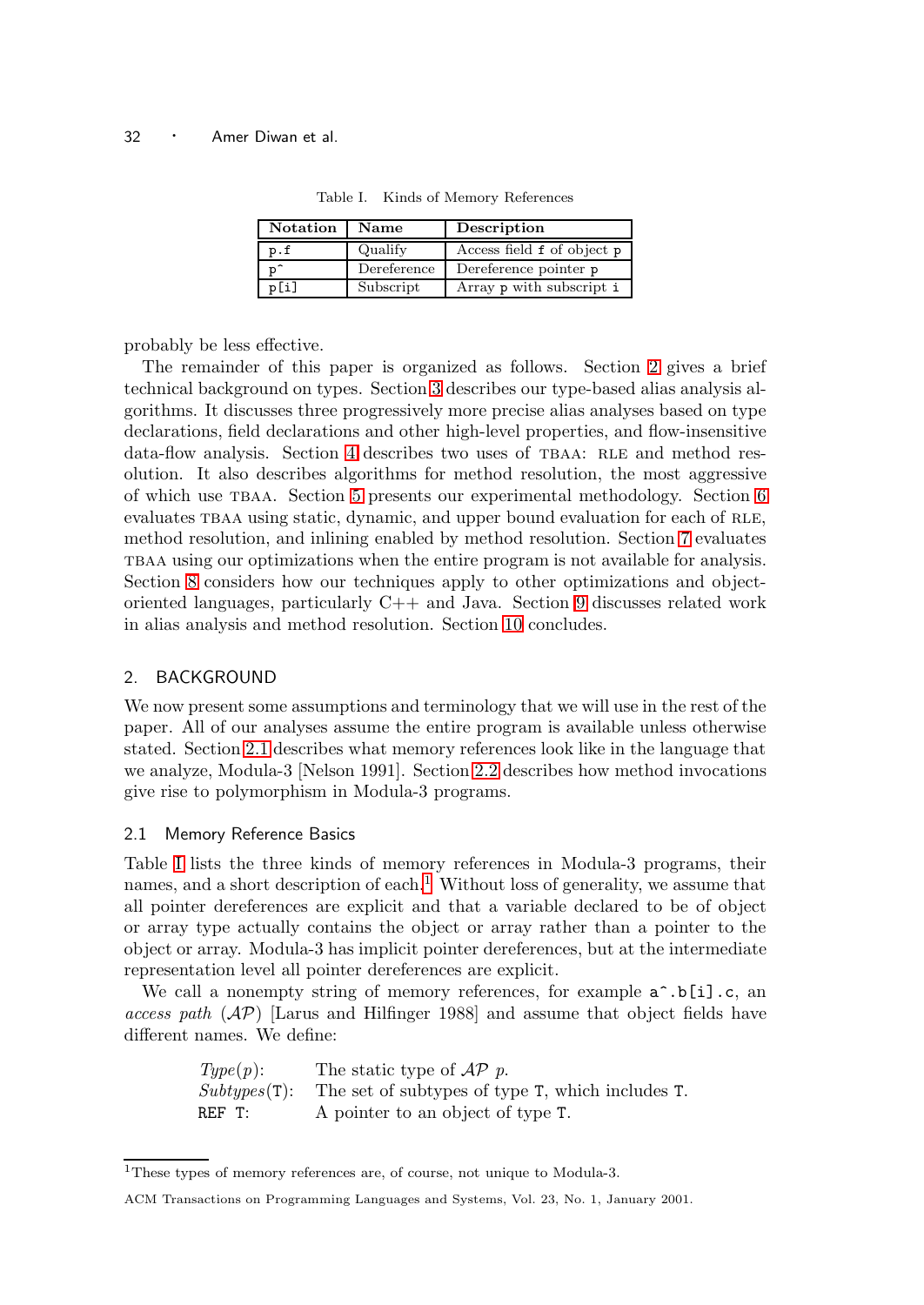<span id="page-2-2"></span>

| Notation | Name        | Description                |
|----------|-------------|----------------------------|
| p.f      | Qualify     | Access field f of object p |
| n^       | Dereference | Dereference pointer p      |
| p[i]     | Subscript   | Array p with subscript i   |

Table I. Kinds of Memory References

probably be less effective.

The remainder of this paper is organized as follows. Section [2](#page-2-0) gives a brief technical background on types. Section [3](#page-4-0) describes our type-based alias analysis algorithms. It discusses three progressively more precise alias analyses based on type declarations, field declarations and other high-level properties, and flow-insensitive data-flow analysis. Section [4](#page-7-0) describes two uses of TBAA: RLE and method resolution. It also describes algorithms for method resolution, the most aggressive of which use tbaa. Section [5](#page-13-0) presents our experimental methodology. Section [6](#page-16-0) evaluates TBAA using static, dynamic, and upper bound evaluation for each of RLE, method resolution, and inlining enabled by method resolution. Section [7](#page-30-0) evaluates TBAA using our optimizations when the entire program is not available for analysis. Section [8](#page-32-0) considers how our techniques apply to other optimizations and objectoriented languages, particularly C++ and Java. Section [9](#page-33-0) discusses related work in alias analysis and method resolution. Section [10](#page-38-0) concludes.

### <span id="page-2-0"></span>2. BACKGROUND

We now present some assumptions and terminology that we will use in the rest of the paper. All of our analyses assume the entire program is available unless otherwise stated. Section [2.1](#page-2-1) describes what memory references look like in the language that we analyze, Modula-3 [Nelson 1991]. Section [2.2](#page-3-0) describes how method invocations give rise to polymorphism in Modula-3 programs.

### <span id="page-2-1"></span>2.1 Memory Reference Basics

Table [I](#page-2-2) lists the three kinds of memory references in Modula-3 programs, their names, and a short description of each.<sup>[1](#page-2-3)</sup> Without loss of generality, we assume that all pointer dereferences are explicit and that a variable declared to be of object or array type actually contains the object or array rather than a pointer to the object or array. Modula-3 has implicit pointer dereferences, but at the intermediate representation level all pointer dereferences are explicit.

We call a nonempty string of memory references, for example  $a^{\text{-}}.b[i].c$ , an access path  $(\mathcal{AP})$  [Larus and Hilfinger 1988] and assume that object fields have different names. We define:

> $Type(p):$  The static type of  $\mathcal{AP}$  p.  $Subtypes(T):$  The set of subtypes of type T, which includes T. REF T: A pointer to an object of type T.

<sup>&</sup>lt;sup>1</sup>These types of memory references are, of course, not unique to Modula-3.

<span id="page-2-3"></span>ACM Transactions on Programming Languages and Systems, Vol. 23, No. 1, January 2001.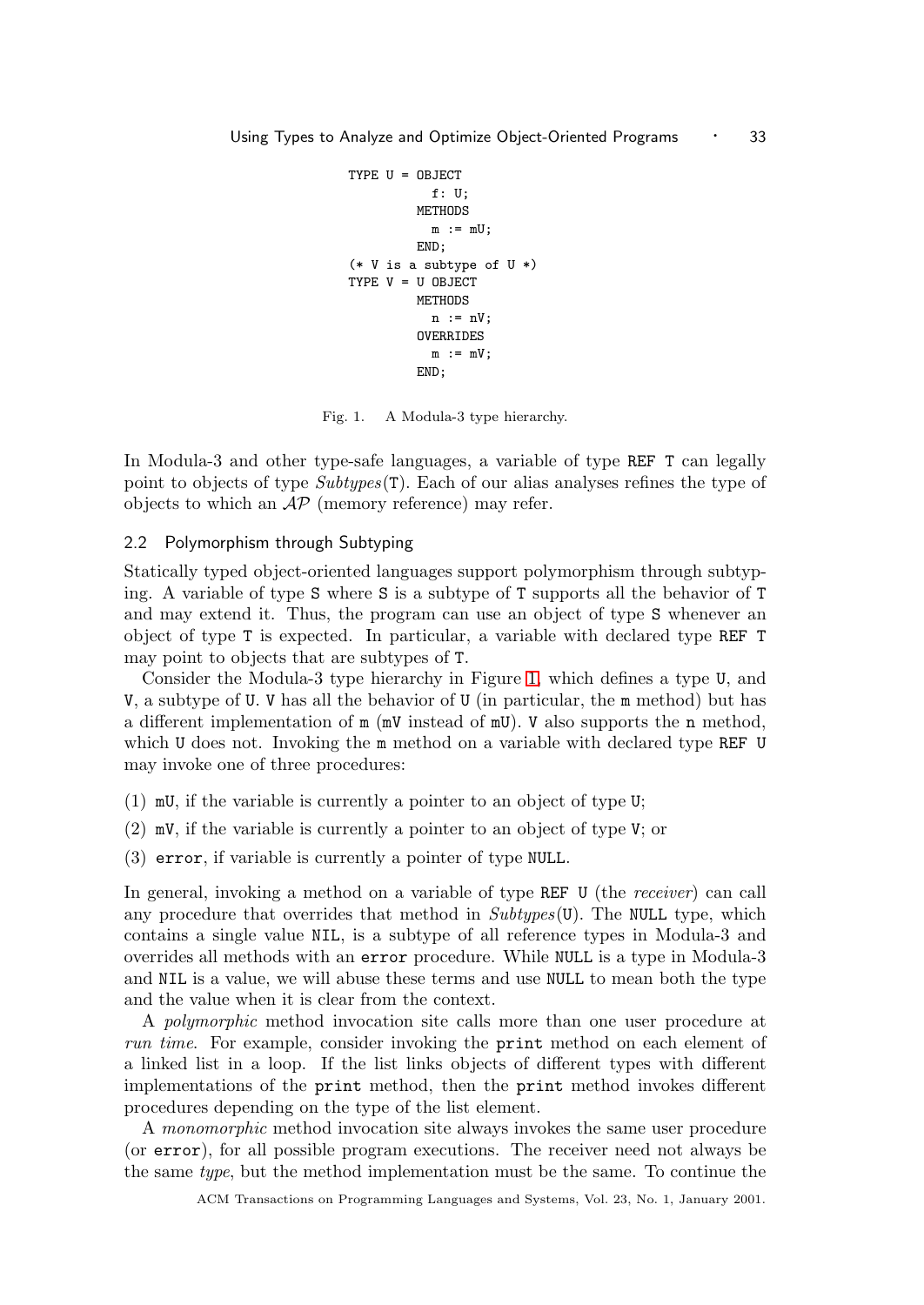```
TYPE U = OBJECT
           f \cdot II ·
         METHODS
           m := mU;END;
(* V is a subtype of U *)TYPE V = U OBJECT
         METHODS
           n := nV;
         OVERRIDES
           m := mV;END;
```
<span id="page-3-1"></span>Fig. 1. A Modula-3 type hierarchy.

In Modula-3 and other type-safe languages, a variable of type REF T can legally point to objects of type  $Subtypes(T)$ . Each of our alias analyses refines the type of objects to which an  $AP$  (memory reference) may refer.

#### <span id="page-3-0"></span>2.2 Polymorphism through Subtyping

Statically typed object-oriented languages support polymorphism through subtyping. A variable of type S where S is a subtype of T supports all the behavior of T and may extend it. Thus, the program can use an object of type S whenever an object of type T is expected. In particular, a variable with declared type REF T may point to objects that are subtypes of T.

Consider the Modula-3 type hierarchy in Figure [1,](#page-3-1) which defines a type U, and V, a subtype of U. V has all the behavior of U (in particular, the m method) but has a different implementation of m (mV instead of mU). V also supports the n method, which U does not. Invoking the m method on a variable with declared type REF U may invoke one of three procedures:

- (1) mU, if the variable is currently a pointer to an object of type U;
- (2) mV, if the variable is currently a pointer to an object of type V; or
- (3) error, if variable is currently a pointer of type NULL.

In general, invoking a method on a variable of type REF U (the *receiver*) can call any procedure that overrides that method in  $Subtypes(U)$ . The NULL type, which contains a single value NIL, is a subtype of all reference types in Modula-3 and overrides all methods with an error procedure. While NULL is a type in Modula-3 and NIL is a value, we will abuse these terms and use NULL to mean both the type and the value when it is clear from the context.

A polymorphic method invocation site calls more than one user procedure at run time. For example, consider invoking the **print** method on each element of a linked list in a loop. If the list links objects of different types with different implementations of the print method, then the print method invokes different procedures depending on the type of the list element.

A monomorphic method invocation site always invokes the same user procedure (or error), for all possible program executions. The receiver need not always be the same type, but the method implementation must be the same. To continue the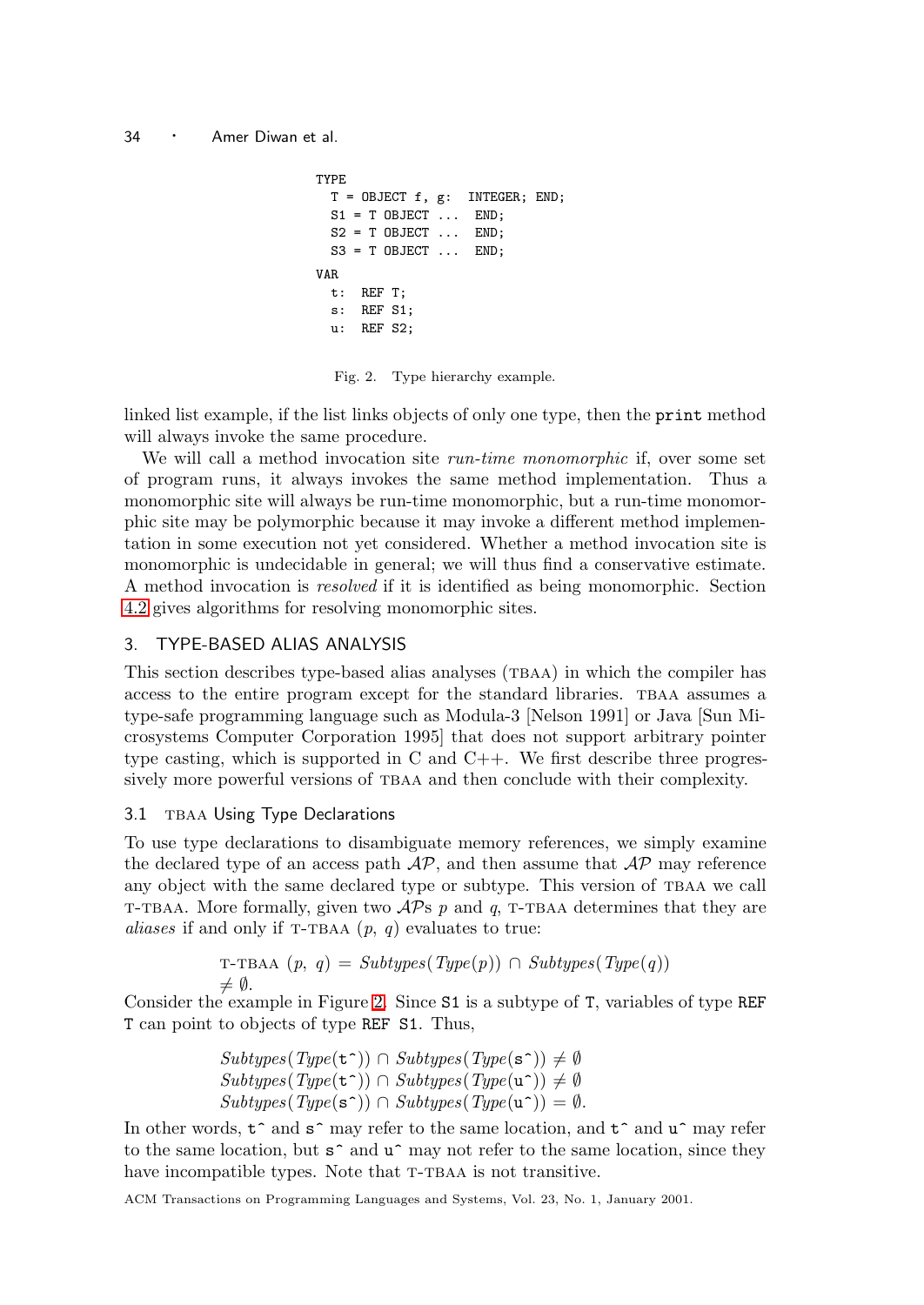```
TYPE
  T = OBJECT f, g: INTEGER; END;
  S1 = T OBJECT \ldots END;
  S2 = T OBJECT \ldots END;
  S3 = T OBJECT \ldots END;
VAR
  t: REF T;
  s: REF S1;
  u: REF S2;
```
<span id="page-4-1"></span>Fig. 2. Type hierarchy example.

linked list example, if the list links objects of only one type, then the print method will always invoke the same procedure.

We will call a method invocation site *run-time monomorphic* if, over some set of program runs, it always invokes the same method implementation. Thus a monomorphic site will always be run-time monomorphic, but a run-time monomorphic site may be polymorphic because it may invoke a different method implementation in some execution not yet considered. Whether a method invocation site is monomorphic is undecidable in general; we will thus find a conservative estimate. A method invocation is resolved if it is identified as being monomorphic. Section [4.2](#page-9-0) gives algorithms for resolving monomorphic sites.

# <span id="page-4-0"></span>3. TYPE-BASED ALIAS ANALYSIS

This section describes type-based alias analyses (TBAA) in which the compiler has access to the entire program except for the standard libraries. TBAA assumes a type-safe programming language such as Modula-3 [Nelson 1991] or Java [Sun Microsystems Computer Corporation 1995] that does not support arbitrary pointer type casting, which is supported in C and  $C_{++}$ . We first describe three progressively more powerful versions of TBAA and then conclude with their complexity.

# 3.1 TBAA Using Type Declarations

To use type declarations to disambiguate memory references, we simply examine the declared type of an access path  $\mathcal{AP}$ , and then assume that  $\mathcal{AP}$  may reference any object with the same declared type or subtype. This version of TBAA we call T-TBAA. More formally, given two  $\mathcal{AP}s$  p and q, T-TBAA determines that they are *aliases* if and only if T-TBAA  $(p, q)$  evaluates to true:

T-TBAA 
$$
(p, q) = Subtypes(Type(p)) \cap Subtypes(Type(q)) \neq \emptyset
$$
.

Consider the example in Figure [2.](#page-4-1) Since S1 is a subtype of T, variables of type REF T can point to objects of type REF S1. Thus,

Subtypes
$$
(Type(t^*)) \cap Subtypes(Type(s^*)) \neq \emptyset
$$
  
Subtypes $(Type(t^*)) \cap Subtypes(Type(u^*)) \neq \emptyset$   
Subtypes $(Type(s^*)) \cap Subtypes(Type(u^*)) = \emptyset$ .

In other words,  $t^{\text{-}}$  and  $s^{\text{-}}$  may refer to the same location, and  $t^{\text{-}}$  and  $u^{\text{-}}$  may refer to the same location, but  $s^{\text{-}}$  and  $u^{\text{-}}$  may not refer to the same location, since they have incompatible types. Note that  $T$ -TBAA is not transitive.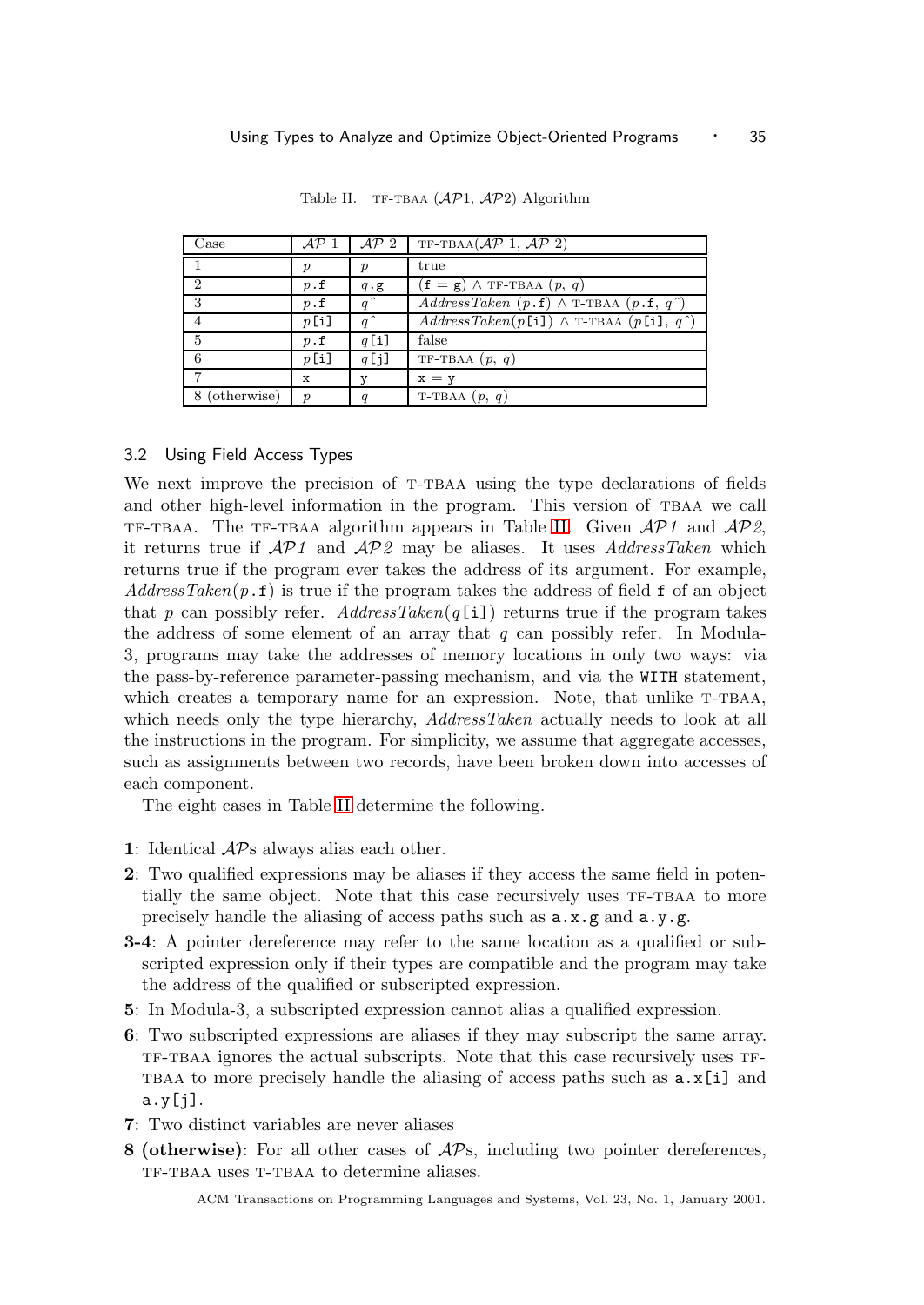| Case          | AP1              | $\mathcal{AP}$ 2 | TF-TBAA $(\mathcal{AP}$ 1, $\mathcal{AP}$ 2)    |
|---------------|------------------|------------------|-------------------------------------------------|
|               |                  |                  | true                                            |
| $\mathcal{D}$ | p.f              | $q \cdot g$      | $(f = g) \wedge TF-TBAA(p, q)$                  |
| 3             | p.f              |                  | AddressTaken $(p.f) \wedge T$ -TBAA $(p.f, q2)$ |
|               | p[i]             |                  | $Address Taken(p[i]) \wedge T-TBAA (p[i], q^*)$ |
| 5             | p.f              | q[i]             | false                                           |
| 6             | p[i]             | q[i]             | TF-TBAA $(p, q)$                                |
|               | x                |                  | $x = y$                                         |
| 8 (otherwise) | $\boldsymbol{v}$ |                  | T-TBAA $(p, q)$                                 |

<span id="page-5-0"></span>Table II. TF-TBAA  $(AP1, AP2)$  Algorithm

### <span id="page-5-1"></span>3.2 Using Field Access Types

We next improve the precision of T-TBAA using the type declarations of fields and other high-level information in the program. This version of TBAA we call TF-TBAA. The TF-TBAA algorithm appears in Table [II.](#page-5-0) Given  $\mathcal{AP1}$  and  $\mathcal{AP2}$ , it returns true if  $\mathcal{AP}1$  and  $\mathcal{AP}2$  may be aliases. It uses AddressTaken which returns true if the program ever takes the address of its argument. For example,  $Address Taken(p, f)$  is true if the program takes the address of field f of an object that p can possibly refer.  $Address Taken(q[i])$  returns true if the program takes the address of some element of an array that  $q$  can possibly refer. In Modula-3, programs may take the addresses of memory locations in only two ways: via the pass-by-reference parameter-passing mechanism, and via the WITH statement, which creates a temporary name for an expression. Note, that unlike T-TBAA, which needs only the type hierarchy, AddressTaken actually needs to look at all the instructions in the program. For simplicity, we assume that aggregate accesses, such as assignments between two records, have been broken down into accesses of each component.

The eight cases in Table [II](#page-5-0) determine the following.

- **1**: Identical APs always alias each other.
- **2**: Two qualified expressions may be aliases if they access the same field in potentially the same object. Note that this case recursively uses TF-TBAA to more precisely handle the aliasing of access paths such as a.x.g and a.y.g.
- **3-4**: A pointer dereference may refer to the same location as a qualified or subscripted expression only if their types are compatible and the program may take the address of the qualified or subscripted expression.
- **5**: In Modula-3, a subscripted expression cannot alias a qualified expression.
- **6**: Two subscripted expressions are aliases if they may subscript the same array. tf-tbaa ignores the actual subscripts. Note that this case recursively uses tf-TBAA to more precisely handle the aliasing of access paths such as  $a.x[i]$  and a.y[j].
- **7**: Two distinct variables are never aliases
- **8 (otherwise)**: For all other cases of APs, including two pointer dereferences, TF-TBAA uses T-TBAA to determine aliases.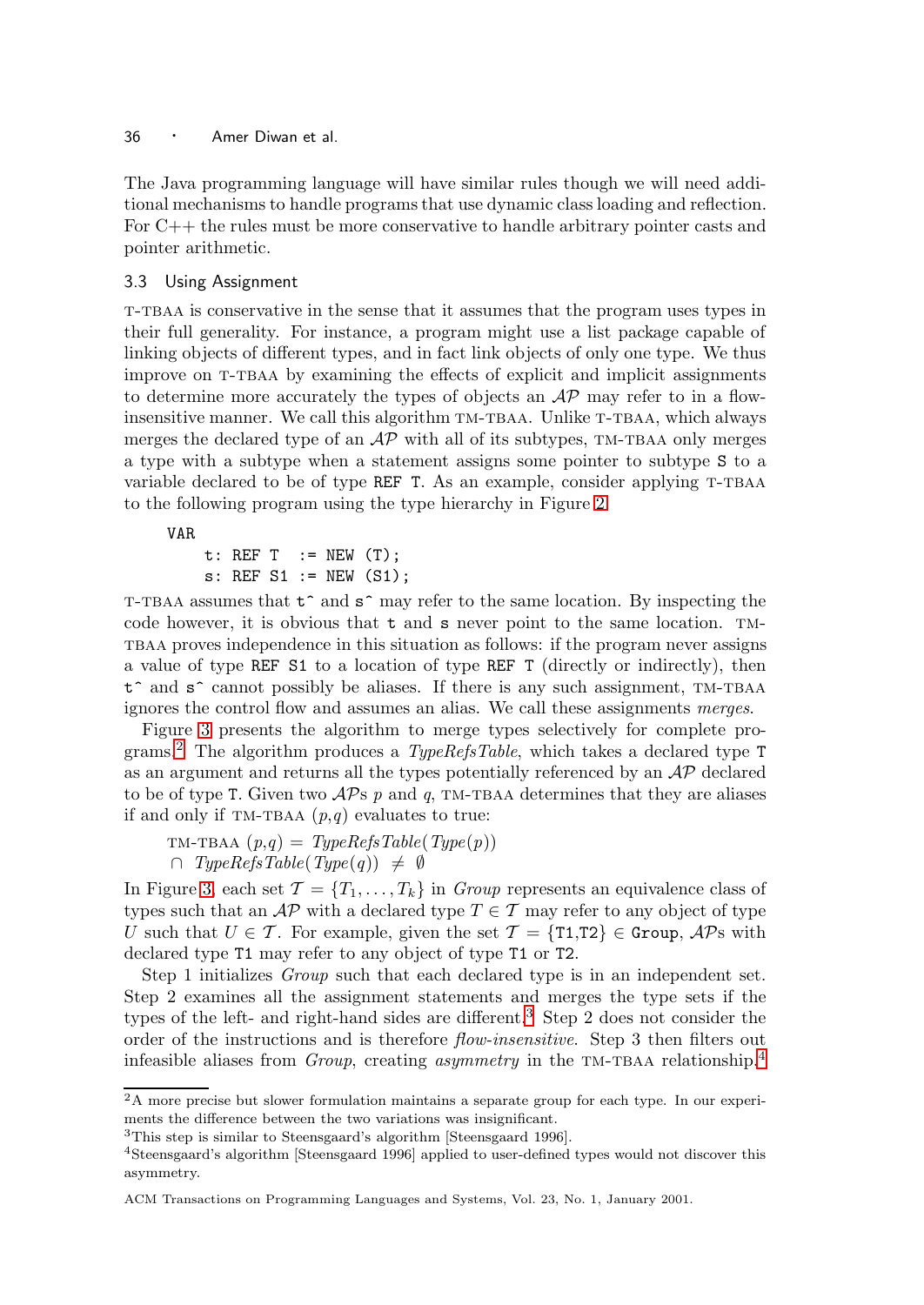The Java programming language will have similar rules though we will need additional mechanisms to handle programs that use dynamic class loading and reflection. For C++ the rules must be more conservative to handle arbitrary pointer casts and pointer arithmetic.

# 3.3 Using Assignment

t-tbaa is conservative in the sense that it assumes that the program uses types in their full generality. For instance, a program might use a list package capable of linking objects of different types, and in fact link objects of only one type. We thus improve on t-tbaa by examining the effects of explicit and implicit assignments to determine more accurately the types of objects an  $AP$  may refer to in a flowinsensitive manner. We call this algorithm TM-TBAA. Unlike T-TBAA, which always merges the declared type of an  $AP$  with all of its subtypes, TM-TBAA only merges a type with a subtype when a statement assigns some pointer to subtype S to a variable declared to be of type REF  $T$ . As an example, consider applying  $T$ -TBAA to the following program using the type hierarchy in Figure [2:](#page-4-1)

### VAR

t: REF  $T$  := NEW  $(T)$ ; s: REF S1 := NEW (S1);

T-TBAA assumes that  $t^{\text{-}}$  and  $s^{\text{-}}$  may refer to the same location. By inspecting the code however, it is obvious that t and s never point to the same location. tmtbaa proves independence in this situation as follows: if the program never assigns a value of type REF S1 to a location of type REF T (directly or indirectly), then  $t^{\text{-}}$  and  $s^{\text{-}}$  cannot possibly be aliases. If there is any such assignment, TM-TBAA ignores the control flow and assumes an alias. We call these assignments merges.

Figure [3](#page-7-1) presents the algorithm to merge types selectively for complete pro-grams.<sup>[2](#page-6-0)</sup> The algorithm produces a *TypeRefsTable*, which takes a declared type T as an argument and returns all the types potentially referenced by an  $\mathcal{AP}$  declared to be of type T. Given two  $\mathcal{APs}$  p and q, TM-TBAA determines that they are aliases if and only if  $TM-TBAA(p,q)$  evaluates to true:

 $TM-TBAA(p,q) = TypeRefsTable(Type(p))$  $\cap$  TypeRefsTable(Type(q))  $\neq \emptyset$ 

In Figure [3,](#page-7-1) each set  $\mathcal{T} = \{T_1, \ldots, T_k\}$  in Group represents an equivalence class of types such that an  $\mathcal{AP}$  with a declared type  $T \in \mathcal{T}$  may refer to any object of type U such that  $U \in \mathcal{T}$ . For example, given the set  $\mathcal{T} = \{T1, T2\} \in \text{Group}, \mathcal{AP}s$  with declared type T1 may refer to any object of type T1 or T2.

Step 1 initializes Group such that each declared type is in an independent set. Step 2 examines all the assignment statements and merges the type sets if the types of the left- and right-hand sides are different.[3](#page-6-1) Step 2 does not consider the order of the instructions and is therefore flow-insensitive. Step 3 then filters out infeasible aliases from *Group*, creating *asymmetry* in the  $TM-TBAA$  relationship.<sup>[4](#page-6-2)</sup>

<span id="page-6-0"></span><sup>2</sup>A more precise but slower formulation maintains a separate group for each type. In our experiments the difference between the two variations was insignificant.

<sup>3</sup>This step is similar to Steensgaard's algorithm [Steensgaard 1996].

<span id="page-6-2"></span><span id="page-6-1"></span><sup>4</sup>Steensgaard's algorithm [Steensgaard 1996] applied to user-defined types would not discover this asymmetry.

ACM Transactions on Programming Languages and Systems, Vol. 23, No. 1, January 2001.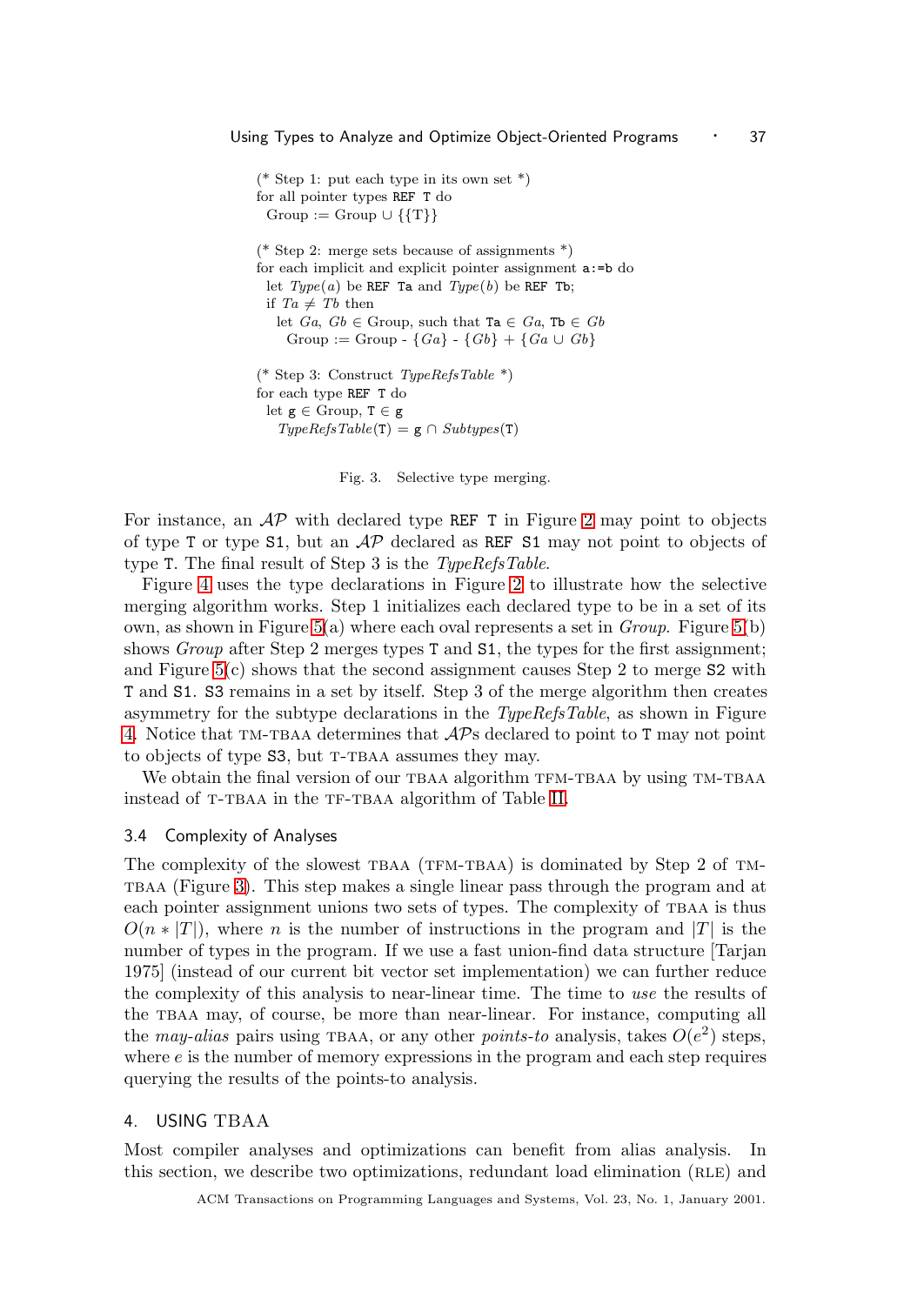```
(* Step 1: put each type in its own set *)
for all pointer types REF T do
 Group := Group \cup {{T}}
(* Step 2: merge sets because of assignments *)
for each implicit and explicit pointer assignment a:=b do
 let Type(a) be REF Ta and Type(b) be REF Tb;
 if Ta \neq Tb then
   let Ga, Gb \in Group, such that Ta \in Ga, Tb \in GbGroup := Group - \{Ga\} - \{Gb\} + \{Ga \cup Gb\}(* Step 3: Construct TypeRefsTable *)
for each type REF T do
 let g \in \text{Group}, T \in gTypeRefsTable(T) = g \cap Subtypes(T)
```
<span id="page-7-1"></span>Fig. 3. Selective type merging.

For instance, an  $\mathcal{AP}$  with declared type REF T in Figure [2](#page-4-1) may point to objects of type T or type S1, but an  $\mathcal{AP}$  declared as REF S1 may not point to objects of type T. The final result of Step 3 is the TypeRefsTable.

Figure [4](#page-8-0) uses the type declarations in Figure [2](#page-4-1) to illustrate how the selective merging algorithm works. Step 1 initializes each declared type to be in a set of its own, as shown in Figure  $5(a)$  where each oval represents a set in  $Group.$  Figure  $5(b)$ shows Group after Step 2 merges types T and S1, the types for the first assignment; and Figure  $5(c)$  shows that the second assignment causes Step 2 to merge S2 with T and S1. S3 remains in a set by itself. Step 3 of the merge algorithm then creates asymmetry for the subtype declarations in the  $Type RefsTable$ , as shown in Figure [4.](#page-8-0) Notice that TM-TBAA determines that  $\mathcal{AP}s$  declared to point to T may not point to objects of type S3, but T-TBAA assumes they may.

We obtain the final version of our TBAA algorithm TFM-TBAA by using TM-TBAA instead of T-TBAA in the TF-TBAA algorithm of Table [II.](#page-5-0)

### 3.4 Complexity of Analyses

The complexity of the slowest TBAA (TFM-TBAA) is dominated by Step 2 of TMtbaa (Figure [3\)](#page-7-1). This step makes a single linear pass through the program and at each pointer assignment unions two sets of types. The complexity of TBAA is thus  $O(n * |T|)$ , where n is the number of instructions in the program and  $|T|$  is the number of types in the program. If we use a fast union-find data structure [Tarjan 1975] (instead of our current bit vector set implementation) we can further reduce the complexity of this analysis to near-linear time. The time to use the results of the TBAA may, of course, be more than near-linear. For instance, computing all the may-alias pairs using TBAA, or any other points-to analysis, takes  $O(e^2)$  steps, where  $e$  is the number of memory expressions in the program and each step requires querying the results of the points-to analysis.

### <span id="page-7-0"></span>4. USING TBAA

Most compiler analyses and optimizations can benefit from alias analysis. In this section, we describe two optimizations, redundant load elimination (RLE) and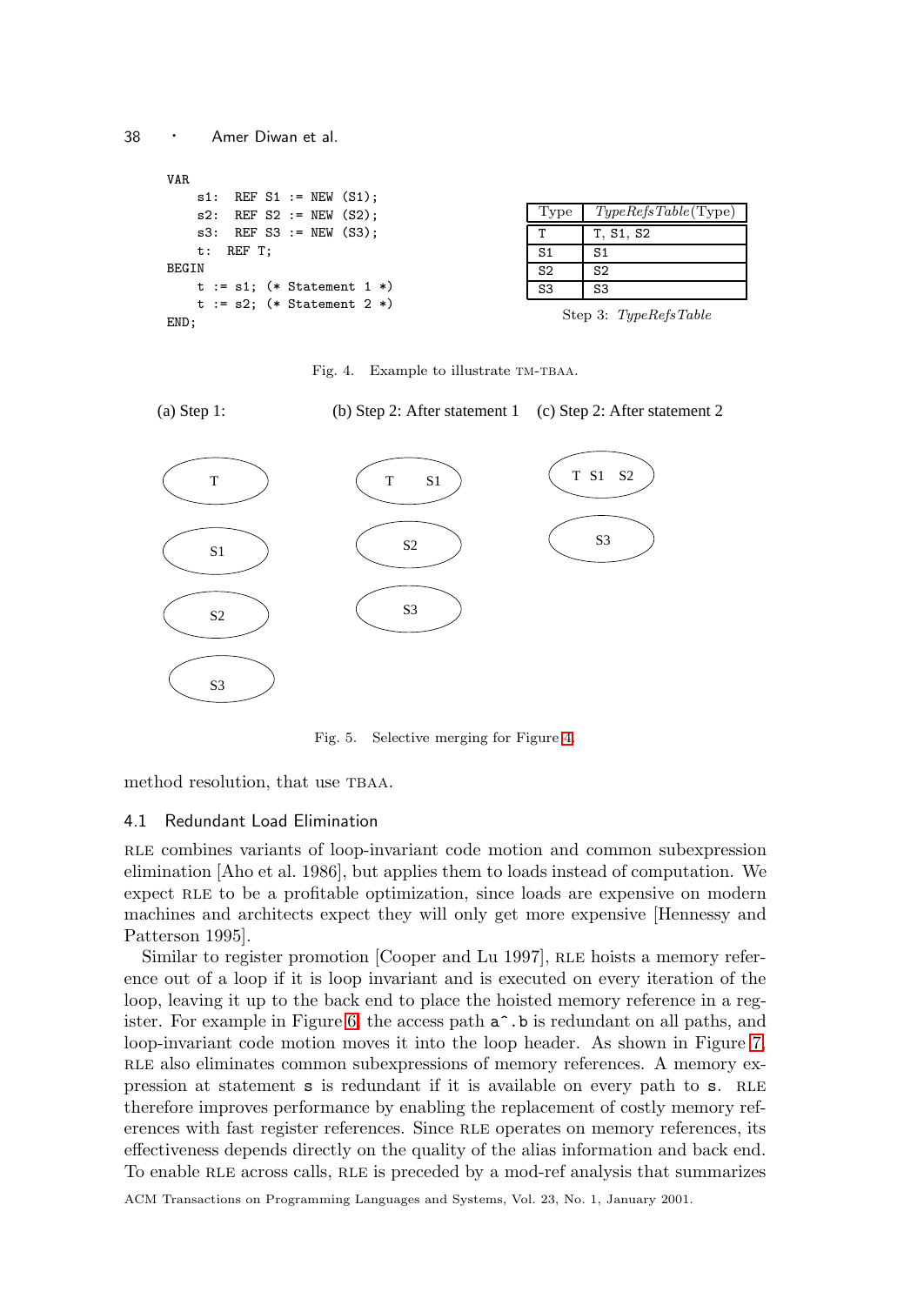| 38 | Amer Diwan et al.<br>٠                |                |                          |
|----|---------------------------------------|----------------|--------------------------|
|    | <b>VAR</b>                            |                |                          |
|    | $s1:$ REF S1 := NEW $(S1)$ ;          |                |                          |
|    | $s2:$ REF S2 := NEW $(S2)$ ;          | Type           | $Type Refs Table$ (Type) |
|    | s3: REF S3 $:=$ NEW $(S3)$ ;          | т              | T. S1, S2                |
|    | $t:$ REF T;                           | S <sub>1</sub> | S <sub>1</sub>           |
|    | BEGIN                                 | S <sub>2</sub> | S <sub>2</sub>           |
|    | $t := s1$ ; (* Statement 1 *)         | S3             | S <sub>3</sub>           |
|    | $t := s2$ ; (* Statement 2 *)<br>END: |                | Step 3: TypeRefsTable    |

<span id="page-8-0"></span>Fig. 4. Example to illustrate TM-TBAA.

(a) Step 1: (b) Step 2: After statement 1 (c) Step 2: After statement 2



<span id="page-8-1"></span>Fig. 5. Selective merging for Figure [4.](#page-8-0)

method resolution, that use TBAA.

### 4.1 Redundant Load Elimination

rle combines variants of loop-invariant code motion and common subexpression elimination [Aho et al. 1986], but applies them to loads instead of computation. We expect RLE to be a profitable optimization, since loads are expensive on modern machines and architects expect they will only get more expensive [Hennessy and Patterson 1995].

Similar to register promotion [Cooper and Lu 1997], RLE hoists a memory reference out of a loop if it is loop invariant and is executed on every iteration of the loop, leaving it up to the back end to place the hoisted memory reference in a register. For example in Figure [6,](#page-9-1) the access path a^.b is redundant on all paths, and loop-invariant code motion moves it into the loop header. As shown in Figure [7,](#page-10-0) rle also eliminates common subexpressions of memory references. A memory expression at statement s is redundant if it is available on every path to s. rle therefore improves performance by enabling the replacement of costly memory references with fast register references. Since RLE operates on memory references, its effectiveness depends directly on the quality of the alias information and back end. To enable rle across calls, rle is preceded by a mod-ref analysis that summarizes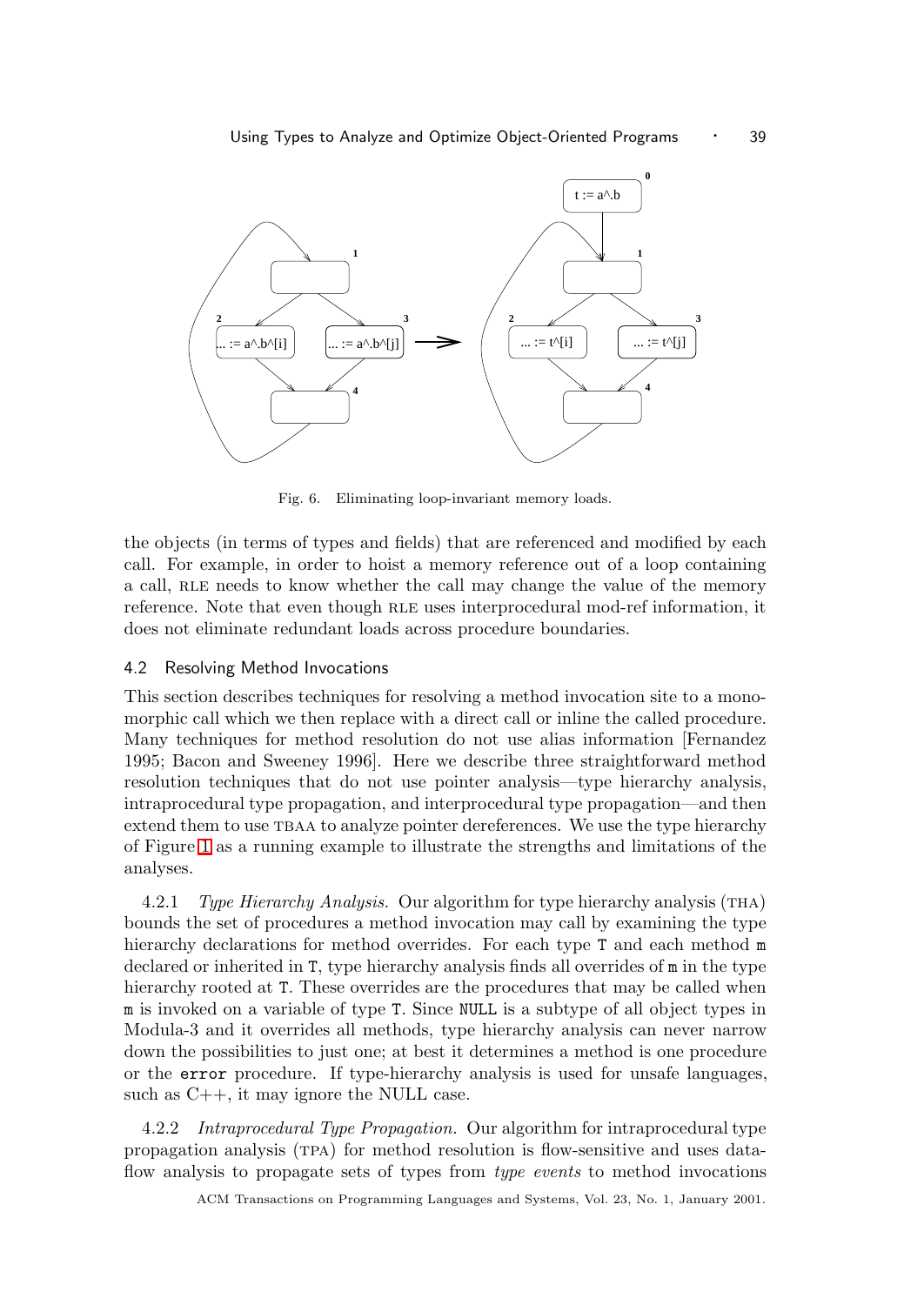

<span id="page-9-1"></span>Fig. 6. Eliminating loop-invariant memory loads.

the objects (in terms of types and fields) that are referenced and modified by each call. For example, in order to hoist a memory reference out of a loop containing a call, RLE needs to know whether the call may change the value of the memory reference. Note that even though RLE uses interprocedural mod-ref information, it does not eliminate redundant loads across procedure boundaries.

#### <span id="page-9-0"></span>4.2 Resolving Method Invocations

This section describes techniques for resolving a method invocation site to a monomorphic call which we then replace with a direct call or inline the called procedure. Many techniques for method resolution do not use alias information [Fernandez 1995; Bacon and Sweeney 1996]. Here we describe three straightforward method resolution techniques that do not use pointer analysis—type hierarchy analysis, intraprocedural type propagation, and interprocedural type propagation—and then extend them to use TBAA to analyze pointer dereferences. We use the type hierarchy of Figure [1](#page-3-1) as a running example to illustrate the strengths and limitations of the analyses.

4.2.1 Type Hierarchy Analysis. Our algorithm for type hierarchy analysis (THA) bounds the set of procedures a method invocation may call by examining the type hierarchy declarations for method overrides. For each type T and each method  $m$ declared or inherited in T, type hierarchy analysis finds all overrides of m in the type hierarchy rooted at T. These overrides are the procedures that may be called when m is invoked on a variable of type T. Since NULL is a subtype of all object types in Modula-3 and it overrides all methods, type hierarchy analysis can never narrow down the possibilities to just one; at best it determines a method is one procedure or the error procedure. If type-hierarchy analysis is used for unsafe languages, such as C++, it may ignore the NULL case.

4.2.2 Intraprocedural Type Propagation. Our algorithm for intraprocedural type propagation analysis (tpa) for method resolution is flow-sensitive and uses dataflow analysis to propagate sets of types from *type events* to method invocations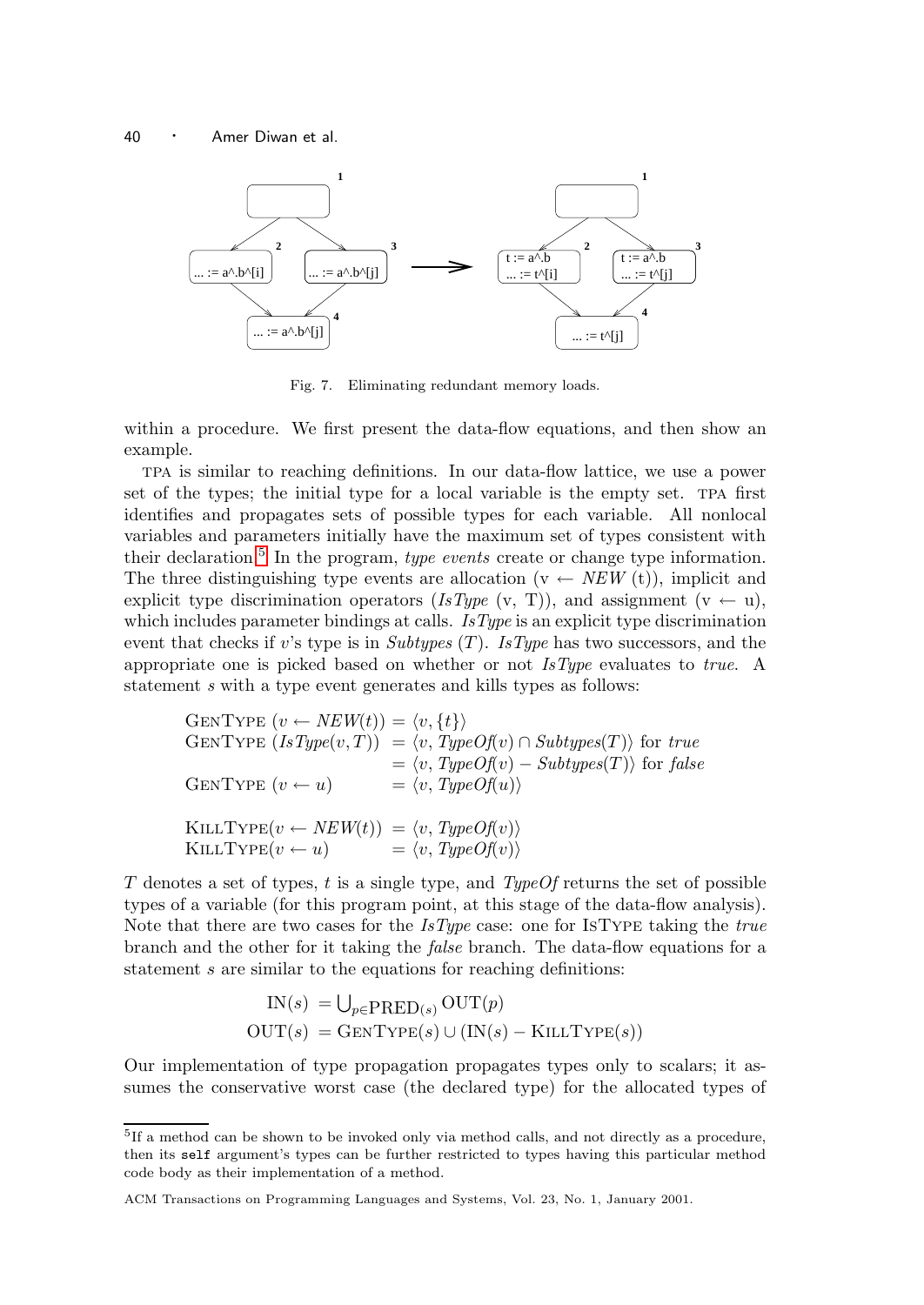

<span id="page-10-0"></span>Fig. 7. Eliminating redundant memory loads.

within a procedure. We first present the data-flow equations, and then show an example.

tpa is similar to reaching definitions. In our data-flow lattice, we use a power set of the types; the initial type for a local variable is the empty set. tpa first identifies and propagates sets of possible types for each variable. All nonlocal variables and parameters initially have the maximum set of types consistent with their declaration.<sup>[5](#page-10-1)</sup> In the program, type events create or change type information. The three distinguishing type events are allocation ( $v \leftarrow NEW(t)$ ), implicit and explicit type discrimination operators (IsType (v, T)), and assignment (v  $\leftarrow$  u), which includes parameter bindings at calls.  $IsType$  is an explicit type discrimination event that checks if v's type is in Subtypes  $(T)$ . Is Type has two successors, and the appropriate one is picked based on whether or not  $IsType$  evaluates to true. A statement s with a type event generates and kills types as follows:

GENTYPE  $(v \leftarrow NEW(t)) = \langle v, \{t\}\rangle$ GENTYPE  $(IsType(v, T)) = \langle v, TypeOf(v) \cap Subtypes(T) \rangle$  for true  $= \langle v, TypeOf(v) - Subtypes(T) \rangle$  for false GENTYPE  $(v \leftarrow u)$  =  $\langle v, TypeOf(u) \rangle$ KILLTYPE $(v \leftarrow NEW(t)) = \langle v, TypeOf(v) \rangle$ KILLTYPE $(v \leftarrow u)$  =  $\langle v, TypeOf(v) \rangle$ 

T denotes a set of types, t is a single type, and  $TypeOf$  returns the set of possible types of a variable (for this program point, at this stage of the data-flow analysis). Note that there are two cases for the  $IsType$  case: one for ISTYPE taking the *true* branch and the other for it taking the false branch. The data-flow equations for a statement s are similar to the equations for reaching definitions:

$$
IN(s) = \bigcup_{p \in \text{PRED}(s)} OUT(p)
$$
  
OUT(s) = GENType(s)  $\cup$  (IN(s) – KILLType(s))

Our implementation of type propagation propagates types only to scalars; it assumes the conservative worst case (the declared type) for the allocated types of

<span id="page-10-1"></span><sup>&</sup>lt;sup>5</sup>If a method can be shown to be invoked only via method calls, and not directly as a procedure, then its self argument's types can be further restricted to types having this particular method code body as their implementation of a method.

ACM Transactions on Programming Languages and Systems, Vol. 23, No. 1, January 2001.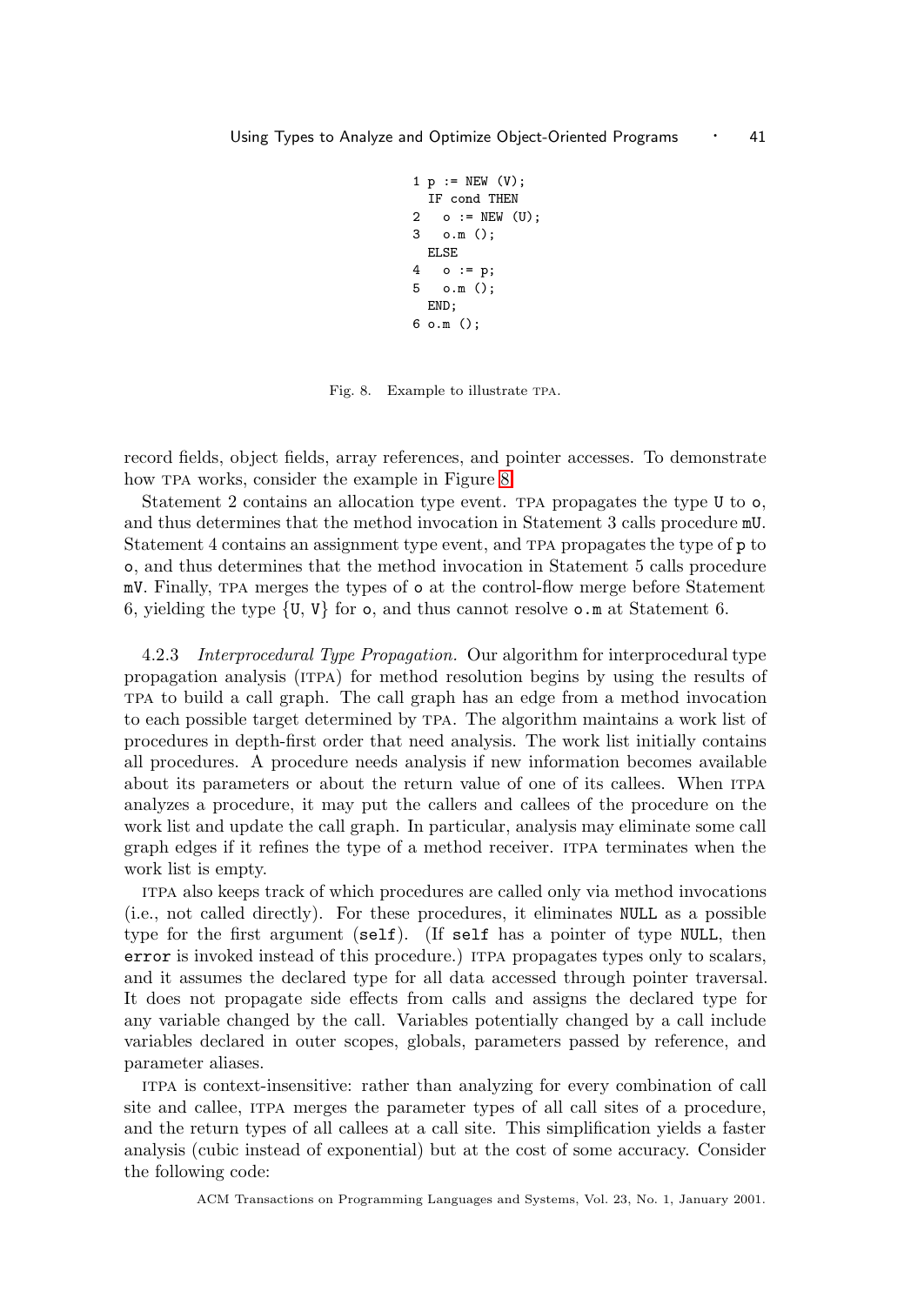```
1 p := NEW (V);
 IF cond THEN
2 o := NEW(U);3 o.m ();
 ELSE
4 o := p;
5 o.m ();
 END;
6 o.m ();
```
<span id="page-11-0"></span>Fig. 8. Example to illustrate TPA.

record fields, object fields, array references, and pointer accesses. To demonstrate how TPA works, consider the example in Figure [8.](#page-11-0)

Statement 2 contains an allocation type event. tpa propagates the type U to o, and thus determines that the method invocation in Statement 3 calls procedure mU. Statement 4 contains an assignment type event, and TPA propagates the type of p to o, and thus determines that the method invocation in Statement 5 calls procedure mV. Finally, tpa merges the types of o at the control-flow merge before Statement 6, yielding the type  $\{U, V\}$  for  $\circ$ , and thus cannot resolve  $\circ$ . m at Statement 6.

4.2.3 Interprocedural Type Propagation. Our algorithm for interprocedural type propagation analysis (itpa) for method resolution begins by using the results of TPA to build a call graph. The call graph has an edge from a method invocation to each possible target determined by tpa. The algorithm maintains a work list of procedures in depth-first order that need analysis. The work list initially contains all procedures. A procedure needs analysis if new information becomes available about its parameters or about the return value of one of its callees. When ITPA analyzes a procedure, it may put the callers and callees of the procedure on the work list and update the call graph. In particular, analysis may eliminate some call graph edges if it refines the type of a method receiver. itpa terminates when the work list is empty.

itpa also keeps track of which procedures are called only via method invocations (i.e., not called directly). For these procedures, it eliminates NULL as a possible type for the first argument (self). (If self has a pointer of type NULL, then error is invoked instead of this procedure.) itpa propagates types only to scalars, and it assumes the declared type for all data accessed through pointer traversal. It does not propagate side effects from calls and assigns the declared type for any variable changed by the call. Variables potentially changed by a call include variables declared in outer scopes, globals, parameters passed by reference, and parameter aliases.

itpa is context-insensitive: rather than analyzing for every combination of call site and callee, ITPA merges the parameter types of all call sites of a procedure, and the return types of all callees at a call site. This simplification yields a faster analysis (cubic instead of exponential) but at the cost of some accuracy. Consider the following code: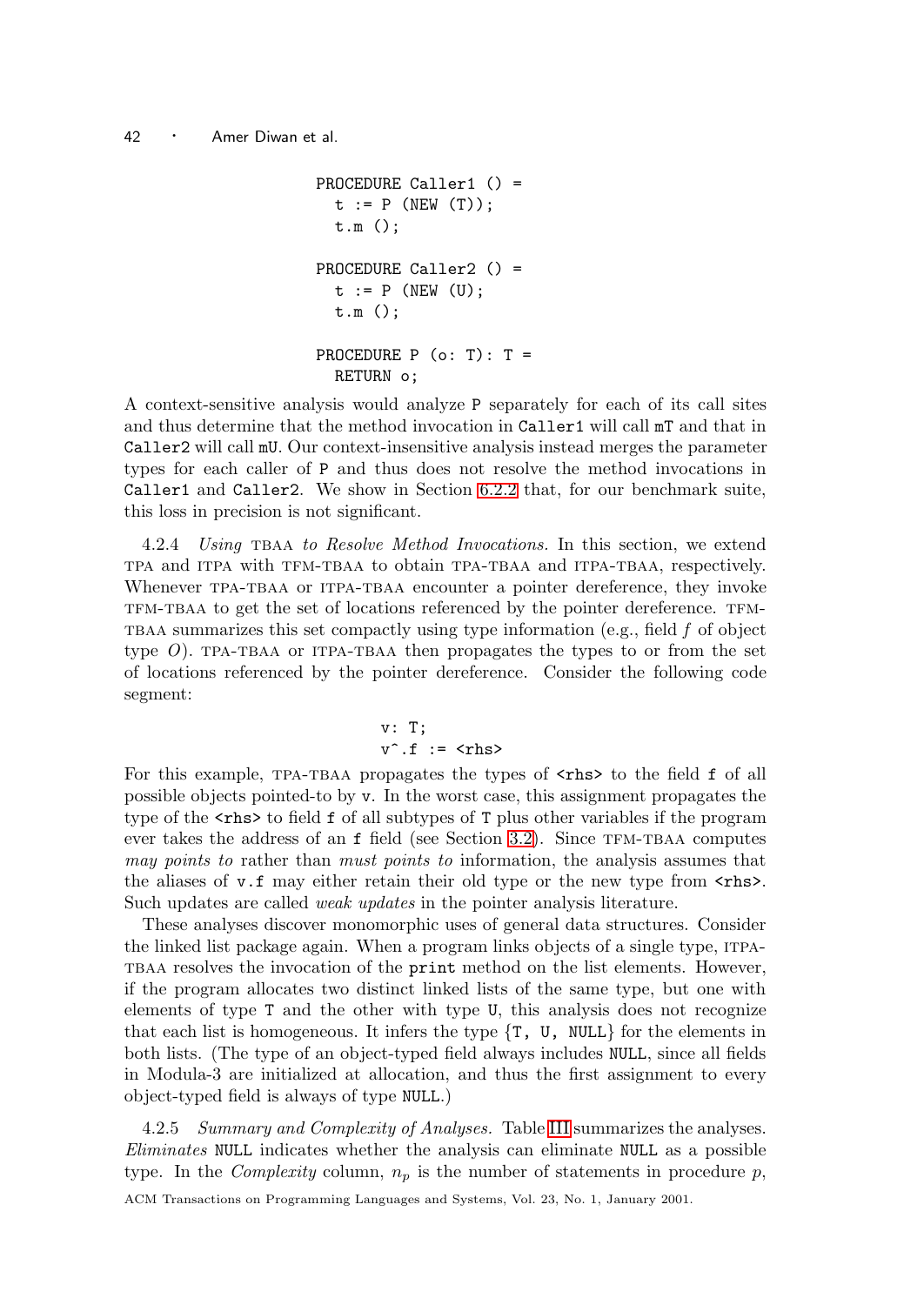```
PROCEDURE Caller1 () =
  t := P (NEW (T));
  t.m ();
PROCEDURE Caller2 () =
  t := P (NEW (U);
  t.m ();
PROCEDURE P (o: T): T =RETURN o;
```
A context-sensitive analysis would analyze P separately for each of its call sites and thus determine that the method invocation in Caller1 will call mT and that in Caller2 will call mU. Our context-insensitive analysis instead merges the parameter types for each caller of P and thus does not resolve the method invocations in Caller1 and Caller2. We show in Section [6.2.2](#page-23-0) that, for our benchmark suite, this loss in precision is not significant.

4.2.4 Using TBAA to Resolve Method Invocations. In this section, we extend tpa and itpa with tfm-tbaa to obtain tpa-tbaa and itpa-tbaa, respectively. Whenever TPA-TBAA or ITPA-TBAA encounter a pointer dereference, they invoke TFM-TBAA to get the set of locations referenced by the pointer dereference. TFM-TBAA summarizes this set compactly using type information (e.g., field  $f$  of object type  $\hat{O}$ ). TPA-TBAA or ITPA-TBAA then propagates the types to or from the set of locations referenced by the pointer dereference. Consider the following code segment:

v: T;  
v
$$
\hat{f}
$$
 :=  $\langle \text{rhs} \rangle$ 

For this example, TPA-TBAA propagates the types of  $\langle \text{rhs} \rangle$  to the field f of all possible objects pointed-to by v. In the worst case, this assignment propagates the type of the  $\langle$ rhs> to field f of all subtypes of T plus other variables if the program ever takes the address of an  $f$  field (see Section [3.2\)](#page-5-1). Since TFM-TBAA computes may points to rather than must points to information, the analysis assumes that the aliases of  $v.f$  may either retain their old type or the new type from  $\langle \text{rhs} \rangle$ . Such updates are called weak updates in the pointer analysis literature.

These analyses discover monomorphic uses of general data structures. Consider the linked list package again. When a program links objects of a single type, itpa-TBAA resolves the invocation of the **print** method on the list elements. However, if the program allocates two distinct linked lists of the same type, but one with elements of type T and the other with type U, this analysis does not recognize that each list is homogeneous. It infers the type  $\{T, U, NULL\}$  for the elements in both lists. (The type of an object-typed field always includes NULL, since all fields in Modula-3 are initialized at allocation, and thus the first assignment to every object-typed field is always of type NULL.)

4.2.5 Summary and Complexity of Analyses. Table [III](#page-13-1) summarizes the analyses. Eliminates NULL indicates whether the analysis can eliminate NULL as a possible type. In the *Complexity* column,  $n_p$  is the number of statements in procedure  $p$ ,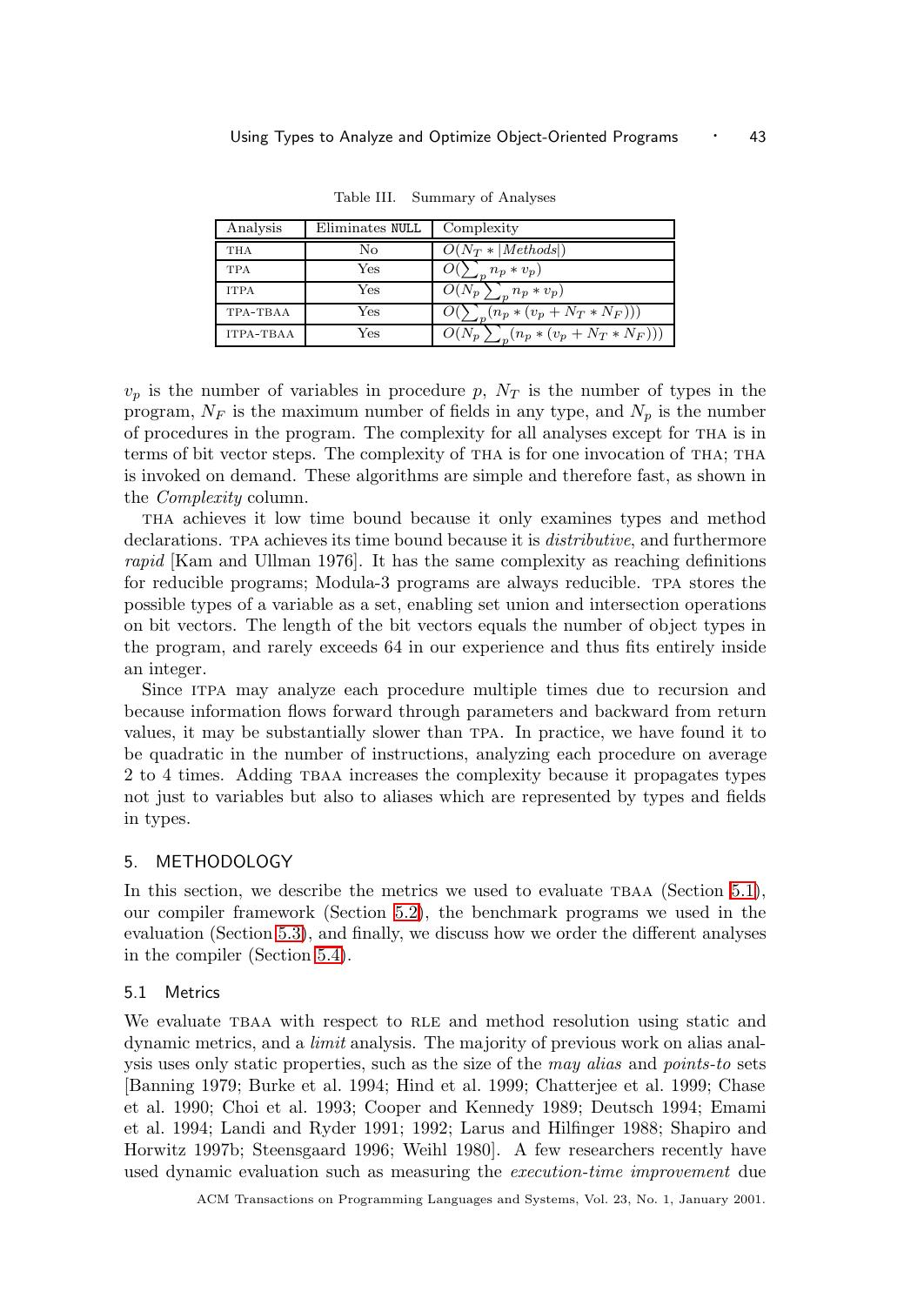| Analysis    | Eliminates NULL | Complexity                                                   |
|-------------|-----------------|--------------------------------------------------------------|
| THA         | Nο              | $O(N_T *  Methods )$                                         |
| <b>TPA</b>  | Yes             | $\sum_{p} n_p * v_p$                                         |
| <b>ITPA</b> | Yes             | $O(N_p \sum_p n_p * v_p)$                                    |
| TPA-TBAA    | Yes             | $\left(\sum_{p} (n_p * (v_p + N_T \overline{* N_F}))\right)$ |
| ITPA-TBAA   | Yes             | $O(N_p \sum_{p} (n_p * (v_p + N_T * N_F)))$                  |

<span id="page-13-1"></span>Table III. Summary of Analyses

 $v_p$  is the number of variables in procedure p,  $N_T$  is the number of types in the program,  $N_F$  is the maximum number of fields in any type, and  $N_p$  is the number of procedures in the program. The complexity for all analyses except for tha is in terms of bit vector steps. The complexity of tha is for one invocation of tha; tha is invoked on demand. These algorithms are simple and therefore fast, as shown in the Complexity column.

tha achieves it low time bound because it only examines types and method declarations. TPA achieves its time bound because it is *distributive*, and furthermore rapid [Kam and Ullman 1976]. It has the same complexity as reaching definitions for reducible programs; Modula-3 programs are always reducible. tpa stores the possible types of a variable as a set, enabling set union and intersection operations on bit vectors. The length of the bit vectors equals the number of object types in the program, and rarely exceeds 64 in our experience and thus fits entirely inside an integer.

Since ITPA may analyze each procedure multiple times due to recursion and because information flows forward through parameters and backward from return values, it may be substantially slower than tpa. In practice, we have found it to be quadratic in the number of instructions, analyzing each procedure on average 2 to 4 times. Adding TBAA increases the complexity because it propagates types not just to variables but also to aliases which are represented by types and fields in types.

### <span id="page-13-0"></span>5. METHODOLOGY

In this section, we describe the metrics we used to evaluate  $TBAA$  (Section [5.1\)](#page-13-2), our compiler framework (Section [5.2\)](#page-14-0), the benchmark programs we used in the evaluation (Section [5.3\)](#page-15-0), and finally, we discuss how we order the different analyses in the compiler (Section [5.4\)](#page-15-1).

### <span id="page-13-2"></span>5.1 Metrics

We evaluate TBAA with respect to RLE and method resolution using static and dynamic metrics, and a limit analysis. The majority of previous work on alias analysis uses only static properties, such as the size of the *may alias* and *points-to* sets [Banning 1979; Burke et al. 1994; Hind et al. 1999; Chatterjee et al. 1999; Chase et al. 1990; Choi et al. 1993; Cooper and Kennedy 1989; Deutsch 1994; Emami et al. 1994; Landi and Ryder 1991; 1992; Larus and Hilfinger 1988; Shapiro and Horwitz 1997b; Steensgaard 1996; Weihl 1980]. A few researchers recently have used dynamic evaluation such as measuring the execution-time improvement due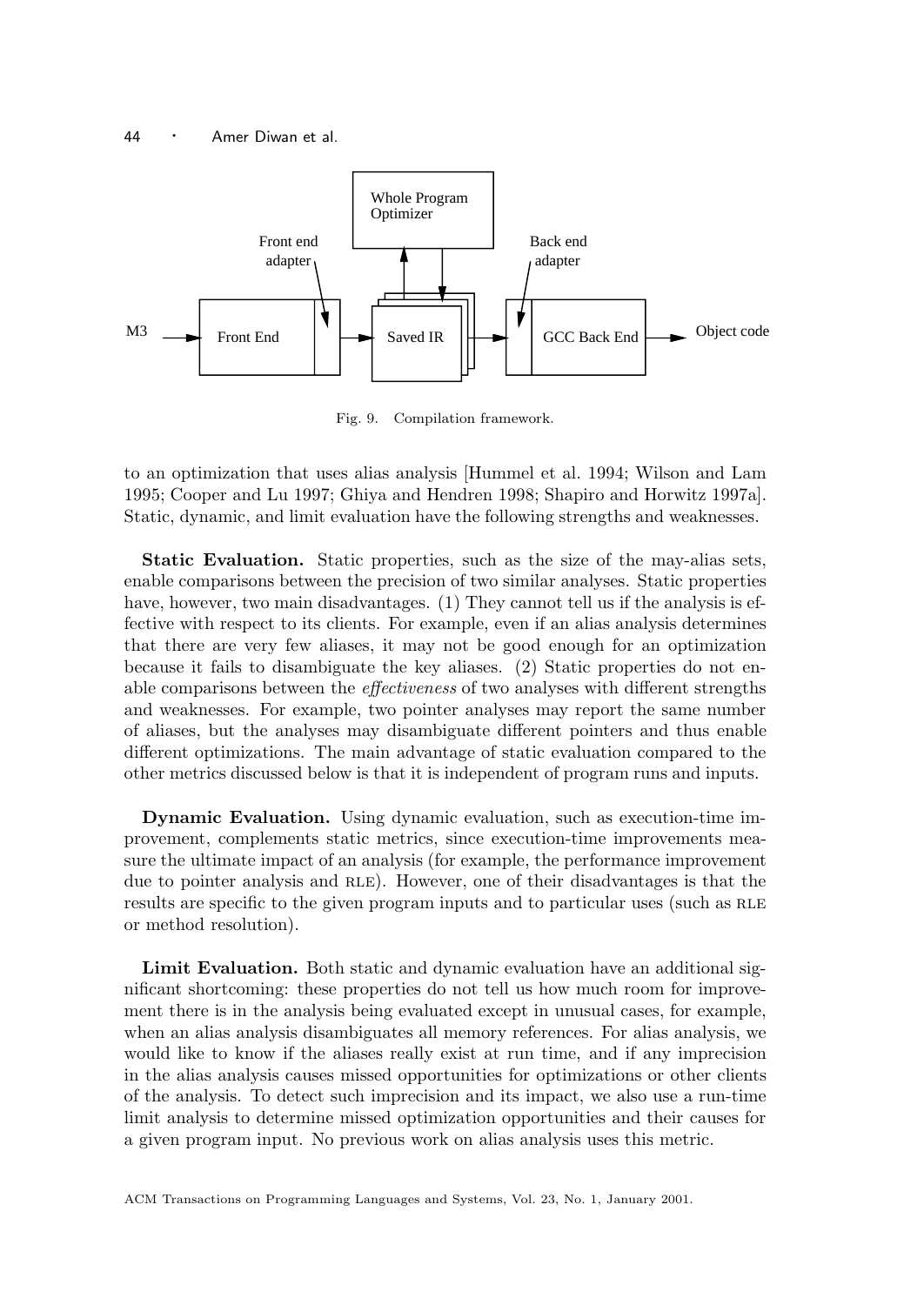

<span id="page-14-1"></span>Fig. 9. Compilation framework.

to an optimization that uses alias analysis [Hummel et al. 1994; Wilson and Lam 1995; Cooper and Lu 1997; Ghiya and Hendren 1998; Shapiro and Horwitz 1997a]. Static, dynamic, and limit evaluation have the following strengths and weaknesses.

**Static Evaluation.** Static properties, such as the size of the may-alias sets, enable comparisons between the precision of two similar analyses. Static properties have, however, two main disadvantages. (1) They cannot tell us if the analysis is effective with respect to its clients. For example, even if an alias analysis determines that there are very few aliases, it may not be good enough for an optimization because it fails to disambiguate the key aliases. (2) Static properties do not enable comparisons between the effectiveness of two analyses with different strengths and weaknesses. For example, two pointer analyses may report the same number of aliases, but the analyses may disambiguate different pointers and thus enable different optimizations. The main advantage of static evaluation compared to the other metrics discussed below is that it is independent of program runs and inputs.

**Dynamic Evaluation.** Using dynamic evaluation, such as execution-time improvement, complements static metrics, since execution-time improvements measure the ultimate impact of an analysis (for example, the performance improvement due to pointer analysis and RLE). However, one of their disadvantages is that the results are specific to the given program inputs and to particular uses (such as RLE or method resolution).

<span id="page-14-0"></span>**Limit Evaluation.** Both static and dynamic evaluation have an additional significant shortcoming: these properties do not tell us how much room for improvement there is in the analysis being evaluated except in unusual cases, for example, when an alias analysis disambiguates all memory references. For alias analysis, we would like to know if the aliases really exist at run time, and if any imprecision in the alias analysis causes missed opportunities for optimizations or other clients of the analysis. To detect such imprecision and its impact, we also use a run-time limit analysis to determine missed optimization opportunities and their causes for a given program input. No previous work on alias analysis uses this metric.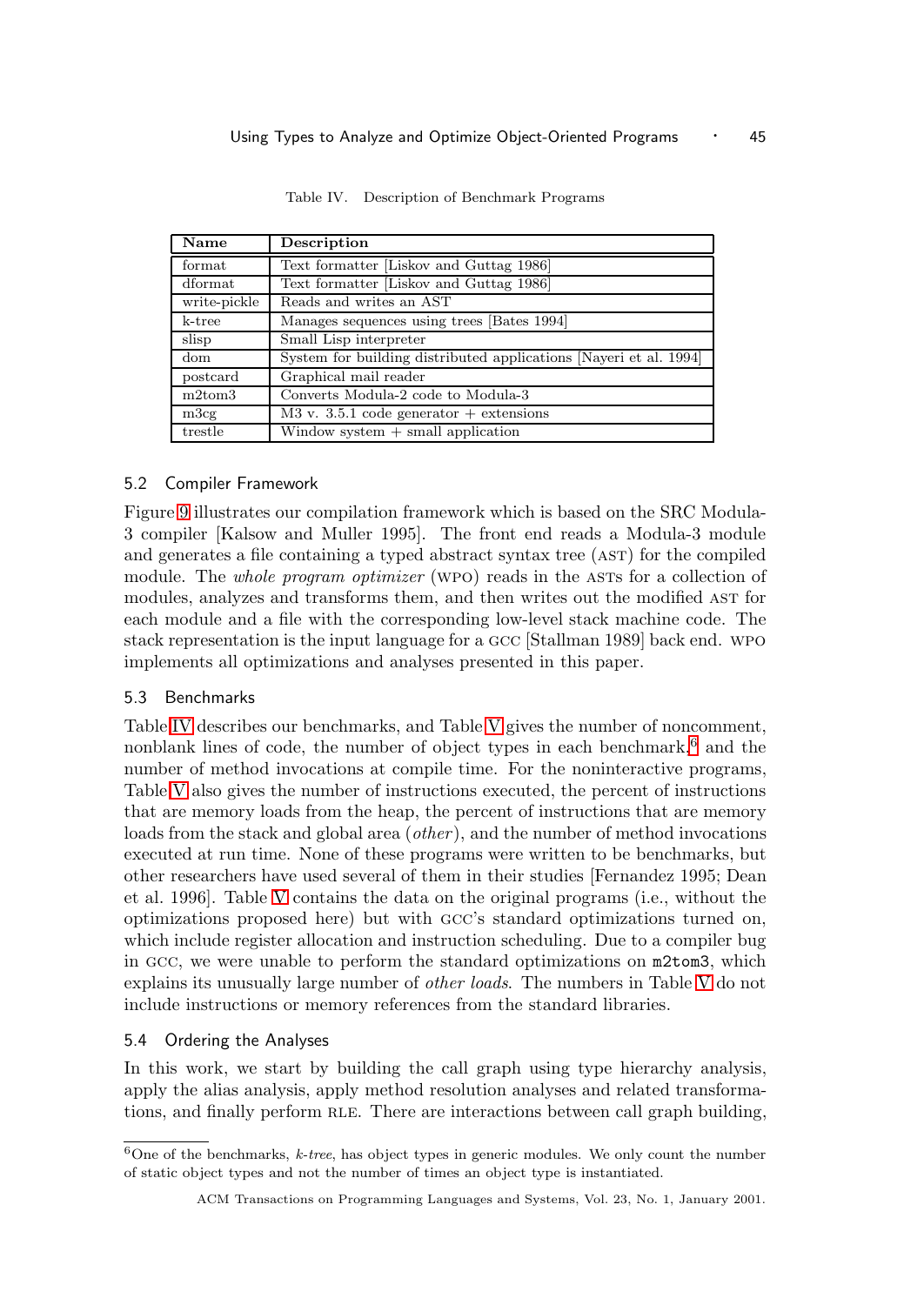| Name         | Description                                                       |
|--------------|-------------------------------------------------------------------|
| format       | Text formatter [Liskov and Guttag 1986]                           |
| dformat      | Text formatter [Liskov and Guttag 1986]                           |
| write-pickle | Reads and writes an AST                                           |
| k-tree       | Manages sequences using trees [Bates 1994]                        |
| slisp        | Small Lisp interpreter                                            |
| dom          | System for building distributed applications [Nayeri et al. 1994] |
| postcard     | Graphical mail reader                                             |
| $m2$ tom $3$ | Converts Modula-2 code to Modula-3                                |
| m3cg         | $M3$ v. 3.5.1 code generator + extensions                         |
| trestle      | Window system $+$ small application                               |

<span id="page-15-2"></span>Table IV. Description of Benchmark Programs

# 5.2 Compiler Framework

Figure [9](#page-14-1) illustrates our compilation framework which is based on the SRC Modula-3 compiler [Kalsow and Muller 1995]. The front end reads a Modula-3 module and generates a file containing a typed abstract syntax tree (AST) for the compiled module. The *whole program optimizer* (WPO) reads in the ASTS for a collection of modules, analyzes and transforms them, and then writes out the modified AST for each module and a file with the corresponding low-level stack machine code. The stack representation is the input language for a gcc [Stallman 1989] back end. wpo implements all optimizations and analyses presented in this paper.

# <span id="page-15-0"></span>5.3 Benchmarks

Table [IV](#page-15-2) describes our benchmarks, and Table [V](#page-16-1) gives the number of noncomment, nonblank lines of code, the number of object types in each benchmark, $6$  and the number of method invocations at compile time. For the noninteractive programs, Table [V](#page-16-1) also gives the number of instructions executed, the percent of instructions that are memory loads from the heap, the percent of instructions that are memory loads from the stack and global area (*other*), and the number of method invocations executed at run time. None of these programs were written to be benchmarks, but other researchers have used several of them in their studies [Fernandez 1995; Dean et al. 1996]. Table [V](#page-16-1) contains the data on the original programs (i.e., without the optimizations proposed here) but with gcc's standard optimizations turned on, which include register allocation and instruction scheduling. Due to a compiler bug in gcc, we were unable to perform the standard optimizations on m2tom3, which explains its unusually large number of other loads. The numbers in Table [V](#page-16-1) do not include instructions or memory references from the standard libraries.

# <span id="page-15-1"></span>5.4 Ordering the Analyses

In this work, we start by building the call graph using type hierarchy analysis, apply the alias analysis, apply method resolution analyses and related transformations, and finally perform RLE. There are interactions between call graph building,

<span id="page-15-3"></span> $6$ One of the benchmarks, k-tree, has object types in generic modules. We only count the number of static object types and not the number of times an object type is instantiated.

ACM Transactions on Programming Languages and Systems, Vol. 23, No. 1, January 2001.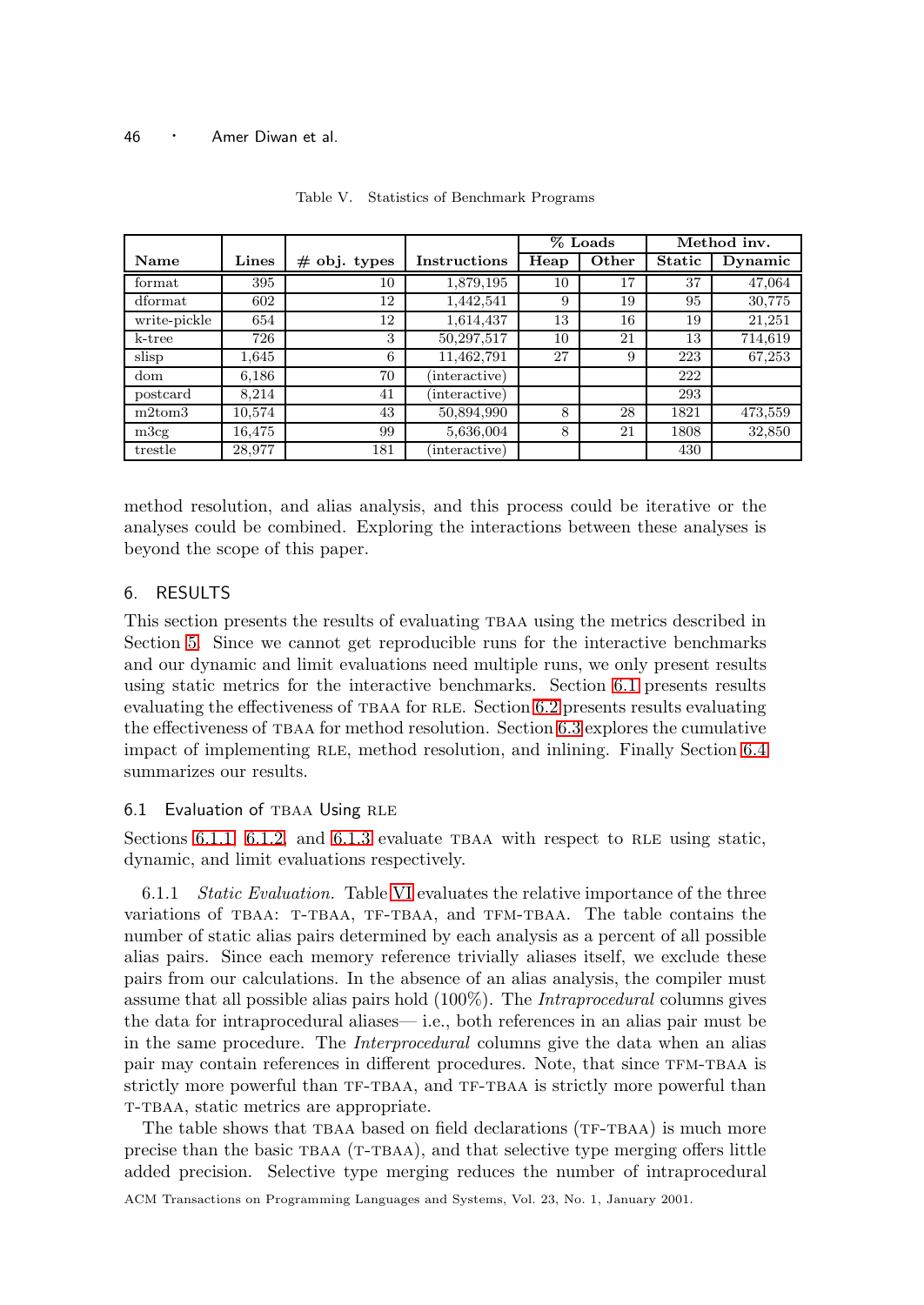|              |        |                |               | % Loads |       | Method inv.   |         |
|--------------|--------|----------------|---------------|---------|-------|---------------|---------|
| Name         | Lines  | $#$ obj. types | Instructions  | Heap    | Other | <b>Static</b> | Dynamic |
| format       | 395    | 10             | 1,879,195     | 10      | 17    | 37            | 47,064  |
| dformat      | 602    | 12             | 1,442,541     | 9       | 19    | 95            | 30,775  |
| write-pickle | 654    | 12             | 1,614,437     | 13      | 16    | 19            | 21,251  |
| k-tree       | 726    | 3              | 50,297,517    | 10      | 21    | 13            | 714,619 |
| slisp        | 1.645  | 6              | 11,462,791    | 27      | 9     | 223           | 67,253  |
| dom          | 6,186  | 70             | interactive)  |         |       | 222           |         |
| postcard     | 8,214  | 41             | (interactive) |         |       | 293           |         |
| $m2$ tom $3$ | 10,574 | 43             | 50,894,990    | 8       | 28    | 1821          | 473,559 |
| m3cg         | 16,475 | 99             | 5,636,004     | 8       | 21    | 1808          | 32,850  |
| trestle      | 28.977 | 181            | (interactive) |         |       | 430           |         |

<span id="page-16-1"></span>Table V. Statistics of Benchmark Programs

method resolution, and alias analysis, and this process could be iterative or the analyses could be combined. Exploring the interactions between these analyses is beyond the scope of this paper.

### <span id="page-16-0"></span>6. RESULTS

This section presents the results of evaluating TBAA using the metrics described in Section [5.](#page-13-0) Since we cannot get reproducible runs for the interactive benchmarks and our dynamic and limit evaluations need multiple runs, we only present results using static metrics for the interactive benchmarks. Section [6.1](#page-16-2) presents results evaluating the effectiveness of TBAA for RLE. Section [6.2](#page-20-0) presents results evaluating the effectiveness of tbaa for method resolution. Section [6.3](#page-27-0) explores the cumulative impact of implementing rle, method resolution, and inlining. Finally Section [6.4](#page-29-0) summarizes our results.

### <span id="page-16-2"></span>6.1 Evaluation of TBAA Using RLE

Sections [6.1.1,](#page-16-3) [6.1.2,](#page-18-0) and [6.1.3](#page-19-0) evaluate TBAA with respect to RLE using static, dynamic, and limit evaluations respectively.

<span id="page-16-3"></span>6.1.1 Static Evaluation. Table [VI](#page-17-0) evaluates the relative importance of the three variations of TBAA: T-TBAA, TF-TBAA, and TFM-TBAA. The table contains the number of static alias pairs determined by each analysis as a percent of all possible alias pairs. Since each memory reference trivially aliases itself, we exclude these pairs from our calculations. In the absence of an alias analysis, the compiler must assume that all possible alias pairs hold (100%). The Intraprocedural columns gives the data for intraprocedural aliases— i.e., both references in an alias pair must be in the same procedure. The Interprocedural columns give the data when an alias pair may contain references in different procedures. Note, that since  $TFM-TBAA$  is strictly more powerful than  $TF-TBAA$ , and  $TF-TBAA$  is strictly more powerful than t-tbaa, static metrics are appropriate.

The table shows that TBAA based on field declarations (TF-TBAA) is much more precise than the basic TBAA (T-TBAA), and that selective type merging offers little added precision. Selective type merging reduces the number of intraprocedural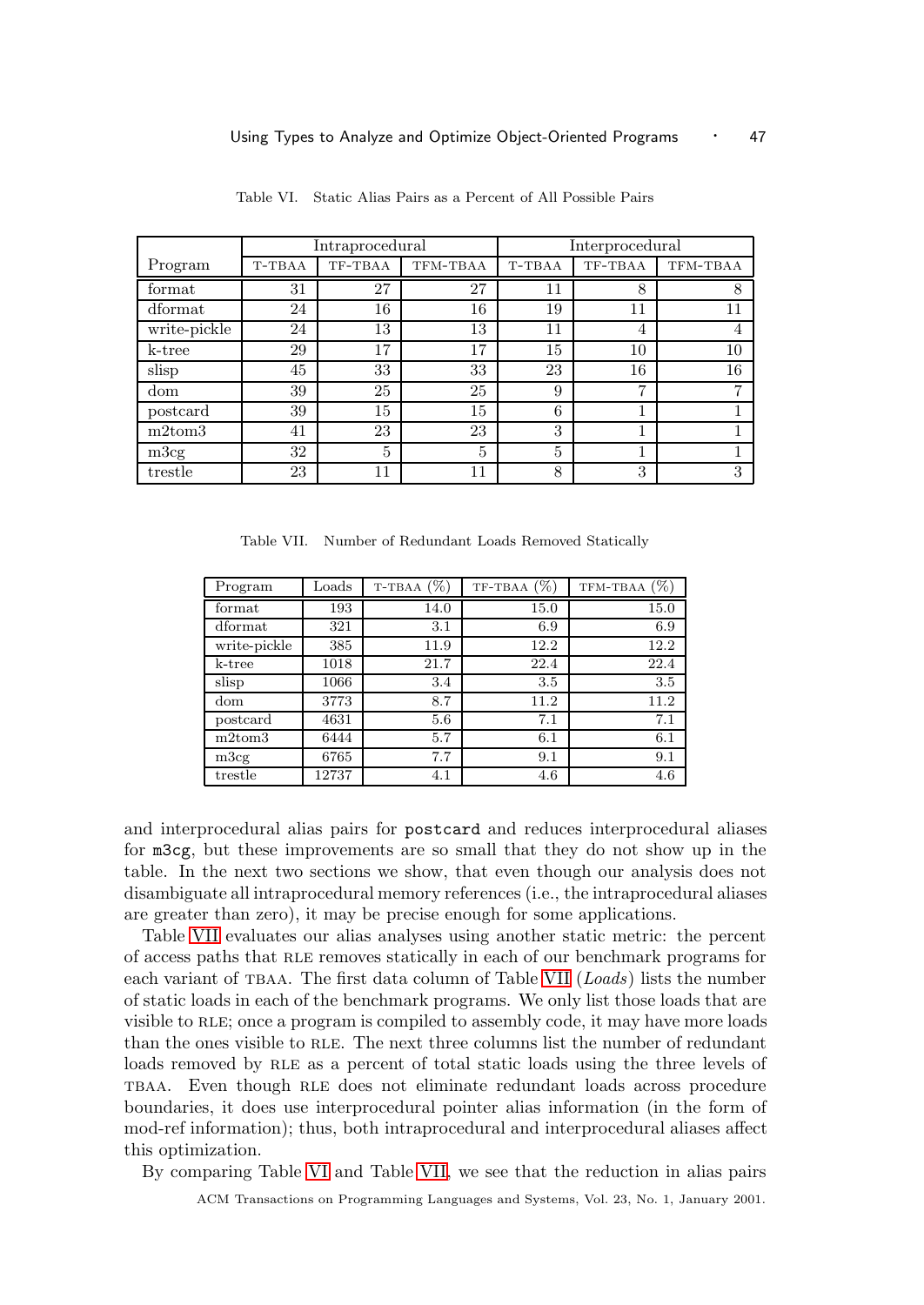|              | Intraprocedural |         |          | Interprocedural |         |          |
|--------------|-----------------|---------|----------|-----------------|---------|----------|
| Program      | T-TBAA          | TF-TBAA | TFM-TBAA | T-TBAA          | TF-TBAA | TFM-TBAA |
| format       | 31              | 27      | 27       | 11              | 8       | 8        |
| dformat      | 24              | 16      | 16       | 19              | 11      | 11       |
| write-pickle | 24              | 13      | 13       | 11              | 4       | 4        |
| k-tree       | 29              | 17      | 17       | 15              | 10      | 10       |
| slisp        | 45              | 33      | 33       | 23              | 16      | 16       |
| dom          | 39              | 25      | 25       | 9               | 7       | 7        |
| postcard     | 39              | 15      | 15       | 6               | 1       |          |
| $m2$ tom $3$ | 41              | 23      | 23       | 3               |         |          |
| m3cg         | 32              | 5       | 5        | 5               |         |          |
| trestle      | 23              | 11      | 11       | 8               | 3       | 3        |

<span id="page-17-0"></span>Table VI. Static Alias Pairs as a Percent of All Possible Pairs

Table VII. Number of Redundant Loads Removed Statically

<span id="page-17-1"></span>

| Program      | Loads | $(\%)$<br>T-TBAA | $(\% )$<br>TF-TBAA | $(\%$<br>TFM-TBAA |
|--------------|-------|------------------|--------------------|-------------------|
| format       | 193   | 14.0             | 15.0               | 15.0              |
| dformat      | 321   | 3.1              | 6.9                | 6.9               |
| write-pickle | 385   | 11.9             | 12.2               | 12.2              |
| $k$ -tree    | 1018  | 21.7             | 22.4               | 22.4              |
| slisp        | 1066  | 3.4              | 3.5                | 3.5               |
| dom          | 3773  | 8.7              | 11.2               | 11.2              |
| postcard     | 4631  | 5.6              | 7.1                | 7.1               |
| $m2$ tom $3$ | 6444  | 5.7              | 6.1                | 6.1               |
| m3cg         | 6765  | 7.7              | 9.1                | 9.1               |
| trestle      | 12737 | 4.1              | 4.6                | 4.6               |

and interprocedural alias pairs for postcard and reduces interprocedural aliases for m3cg, but these improvements are so small that they do not show up in the table. In the next two sections we show, that even though our analysis does not disambiguate all intraprocedural memory references (i.e., the intraprocedural aliases are greater than zero), it may be precise enough for some applications.

Table [VII](#page-17-1) evaluates our alias analyses using another static metric: the percent of access paths that rle removes statically in each of our benchmark programs for each variant of TBAA. The first data column of Table [VII](#page-17-1) (*Loads*) lists the number of static loads in each of the benchmark programs. We only list those loads that are visible to RLE; once a program is compiled to assembly code, it may have more loads than the ones visible to RLE. The next three columns list the number of redundant loads removed by RLE as a percent of total static loads using the three levels of tbaa. Even though rle does not eliminate redundant loads across procedure boundaries, it does use interprocedural pointer alias information (in the form of mod-ref information); thus, both intraprocedural and interprocedural aliases affect this optimization.

By comparing Table [VI](#page-17-0) and Table [VII,](#page-17-1) we see that the reduction in alias pairs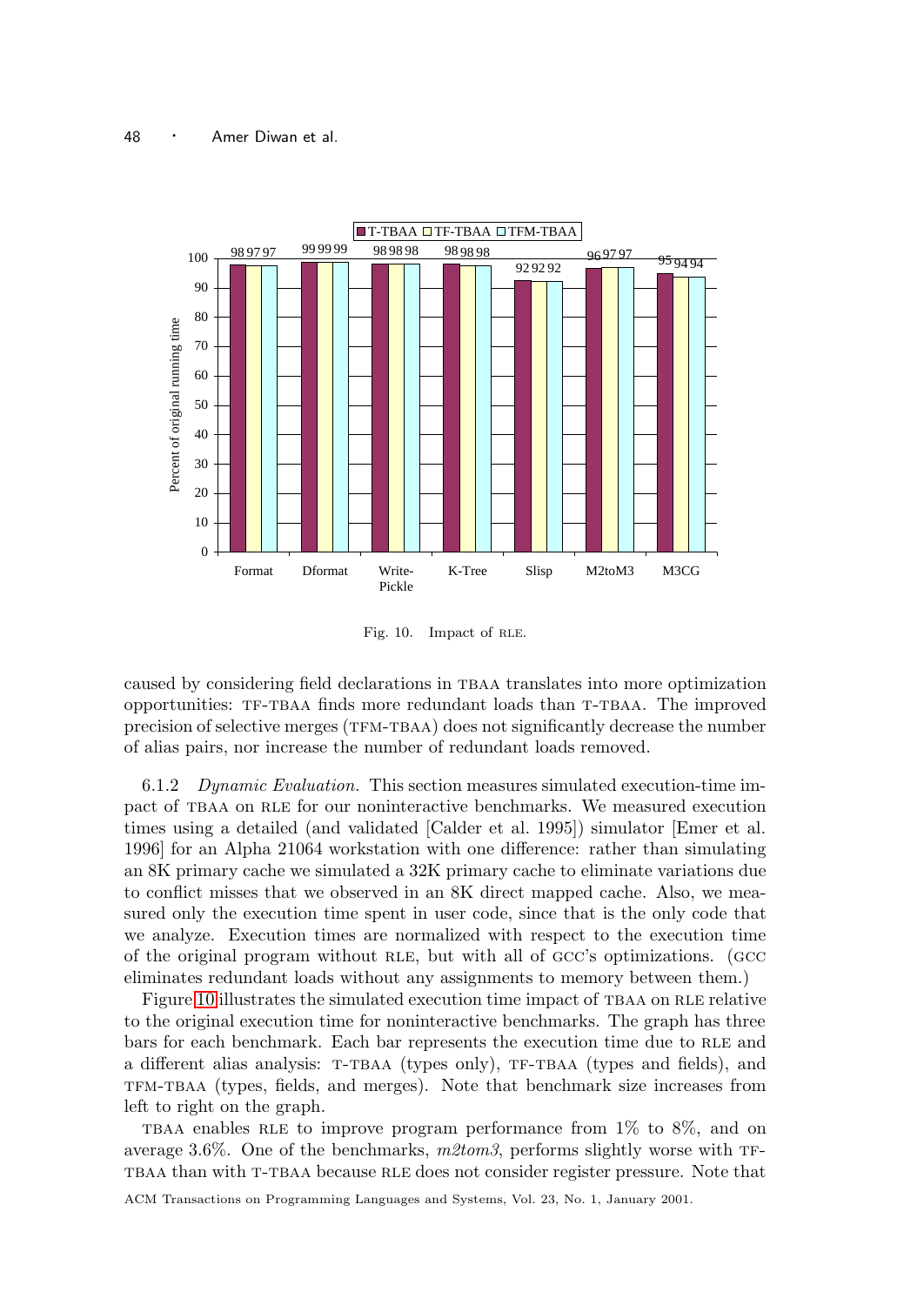

<span id="page-18-1"></span>Fig. 10. Impact of RLE.

caused by considering field declarations in TBAA translates into more optimization opportunities: tf-tbaa finds more redundant loads than t-tbaa. The improved precision of selective merges (tfm-tbaa) does not significantly decrease the number of alias pairs, nor increase the number of redundant loads removed.

<span id="page-18-0"></span>6.1.2 Dynamic Evaluation. This section measures simulated execution-time impact of TBAA on RLE for our noninteractive benchmarks. We measured execution times using a detailed (and validated [Calder et al. 1995]) simulator [Emer et al. 1996] for an Alpha 21064 workstation with one difference: rather than simulating an 8K primary cache we simulated a 32K primary cache to eliminate variations due to conflict misses that we observed in an 8K direct mapped cache. Also, we measured only the execution time spent in user code, since that is the only code that we analyze. Execution times are normalized with respect to the execution time of the original program without rle, but with all of gcc's optimizations. (gcc eliminates redundant loads without any assignments to memory between them.)

Figure [10](#page-18-1) illustrates the simulated execution time impact of TBAA on RLE relative to the original execution time for noninteractive benchmarks. The graph has three bars for each benchmark. Each bar represents the execution time due to RLE and a different alias analysis: T-TBAA (types only), TF-TBAA (types and fields), and tfm-tbaa (types, fields, and merges). Note that benchmark size increases from left to right on the graph.

TBAA enables RLE to improve program performance from  $1\%$  to  $8\%$ , and on average 3.6%. One of the benchmarks,  $m\ell$  performs slightly worse with TFtbaa than with t-tbaa because rle does not consider register pressure. Note that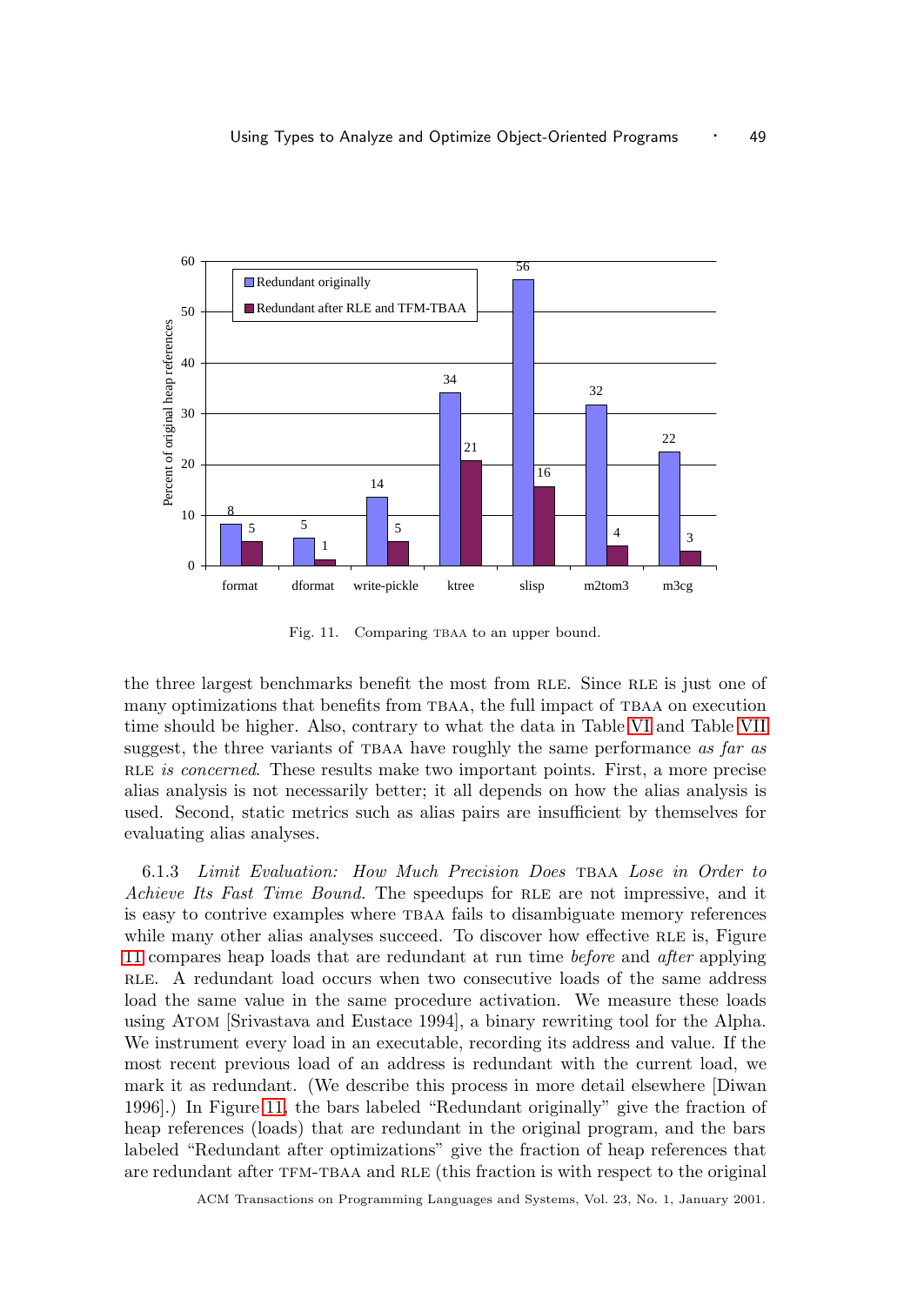

<span id="page-19-1"></span>Fig. 11. Comparing TBAA to an upper bound.

the three largest benchmarks benefit the most from RLE. Since RLE is just one of many optimizations that benefits from TBAA, the full impact of TBAA on execution time should be higher. Also, contrary to what the data in Table [VI](#page-17-0) and Table [VII](#page-17-1) suggest, the three variants of TBAA have roughly the same performance as far as rle is concerned. These results make two important points. First, a more precise alias analysis is not necessarily better; it all depends on how the alias analysis is used. Second, static metrics such as alias pairs are insufficient by themselves for evaluating alias analyses.

<span id="page-19-0"></span>6.1.3 Limit Evaluation: How Much Precision Does TBAA Lose in Order to Achieve Its Fast Time Bound. The speedups for RLE are not impressive, and it is easy to contrive examples where tbaa fails to disambiguate memory references while many other alias analyses succeed. To discover how effective RLE is, Figure [11](#page-19-1) compares heap loads that are redundant at run time before and after applying rle. A redundant load occurs when two consecutive loads of the same address load the same value in the same procedure activation. We measure these loads using Atom [Srivastava and Eustace 1994], a binary rewriting tool for the Alpha. We instrument every load in an executable, recording its address and value. If the most recent previous load of an address is redundant with the current load, we mark it as redundant. (We describe this process in more detail elsewhere [Diwan 1996].) In Figure [11,](#page-19-1) the bars labeled "Redundant originally" give the fraction of heap references (loads) that are redundant in the original program, and the bars labeled "Redundant after optimizations" give the fraction of heap references that are redundant after TFM-TBAA and RLE (this fraction is with respect to the original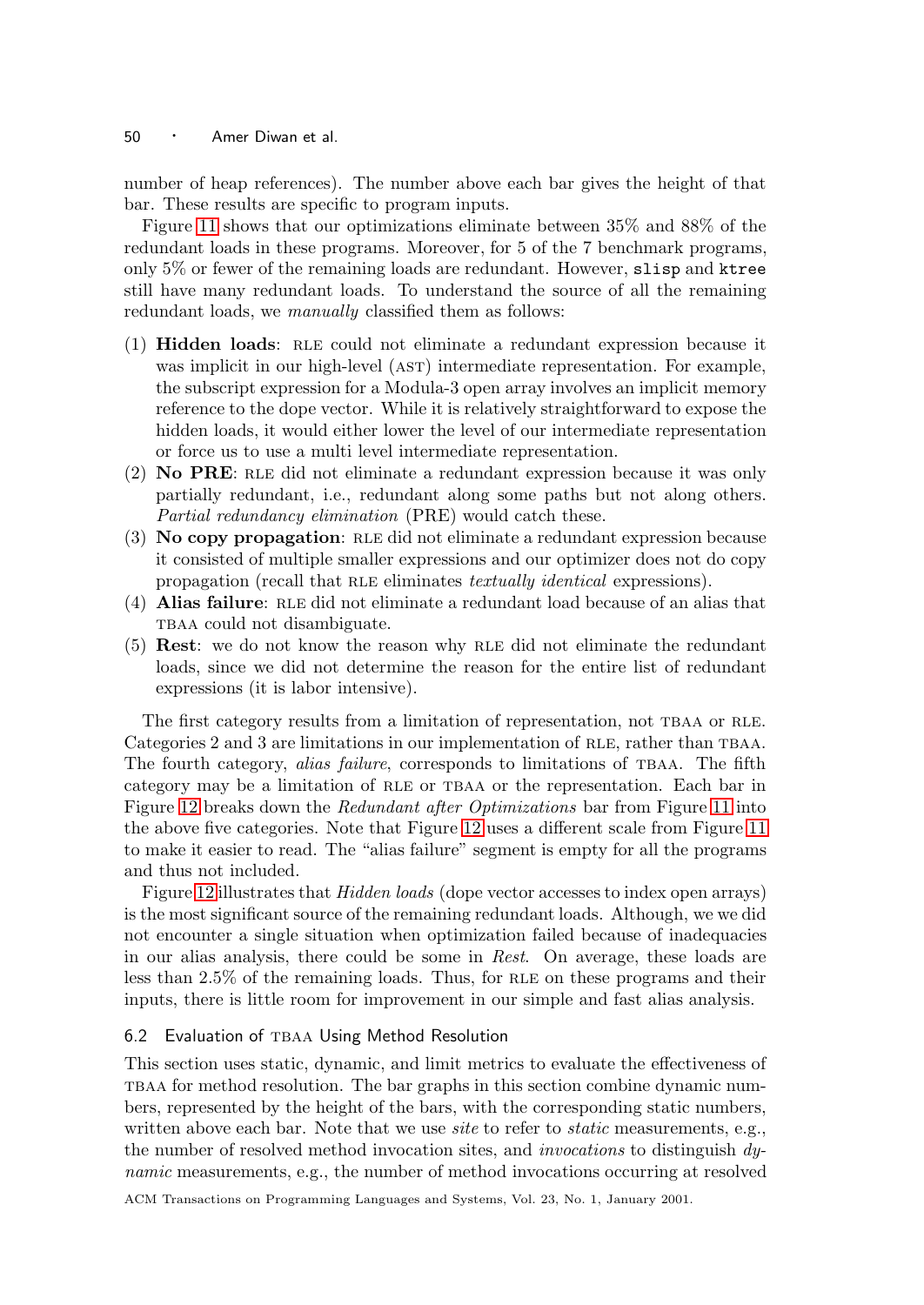number of heap references). The number above each bar gives the height of that bar. These results are specific to program inputs.

Figure [11](#page-19-1) shows that our optimizations eliminate between 35% and 88% of the redundant loads in these programs. Moreover, for 5 of the 7 benchmark programs, only 5% or fewer of the remaining loads are redundant. However, slisp and ktree still have many redundant loads. To understand the source of all the remaining redundant loads, we *manually* classified them as follows:

- (1) **Hidden loads**: rle could not eliminate a redundant expression because it was implicit in our high-level (AST) intermediate representation. For example, the subscript expression for a Modula-3 open array involves an implicit memory reference to the dope vector. While it is relatively straightforward to expose the hidden loads, it would either lower the level of our intermediate representation or force us to use a multi level intermediate representation.
- (2) **No PRE**: rle did not eliminate a redundant expression because it was only partially redundant, i.e., redundant along some paths but not along others. Partial redundancy elimination (PRE) would catch these.
- (3) **No copy propagation**: rle did not eliminate a redundant expression because it consisted of multiple smaller expressions and our optimizer does not do copy propagation (recall that RLE eliminates *textually identical* expressions).
- (4) **Alias failure**: rle did not eliminate a redundant load because of an alias that TBAA could not disambiguate.
- (5) **Rest**: we do not know the reason why rle did not eliminate the redundant loads, since we did not determine the reason for the entire list of redundant expressions (it is labor intensive).

The first category results from a limitation of representation, not TBAA or RLE. Categories 2 and 3 are limitations in our implementation of RLE, rather than TBAA. The fourth category, *alias failure*, corresponds to limitations of TBAA. The fifth category may be a limitation of RLE or TBAA or the representation. Each bar in Figure [12](#page-21-0) breaks down the *Redundant after Optimizations* bar from Figure [11](#page-19-1) into the above five categories. Note that Figure [12](#page-21-0) uses a different scale from Figure [11](#page-19-1) to make it easier to read. The "alias failure" segment is empty for all the programs and thus not included.

Figure [12](#page-21-0) illustrates that Hidden loads (dope vector accesses to index open arrays) is the most significant source of the remaining redundant loads. Although, we we did not encounter a single situation when optimization failed because of inadequacies in our alias analysis, there could be some in Rest. On average, these loads are less than 2.5% of the remaining loads. Thus, for RLE on these programs and their inputs, there is little room for improvement in our simple and fast alias analysis.

# <span id="page-20-0"></span>6.2 Evaluation of TBAA Using Method Resolution

This section uses static, dynamic, and limit metrics to evaluate the effectiveness of tbaa for method resolution. The bar graphs in this section combine dynamic numbers, represented by the height of the bars, with the corresponding static numbers, written above each bar. Note that we use *site* to refer to *static* measurements, e.g., the number of resolved method invocation sites, and invocations to distinguish dynamic measurements, e.g., the number of method invocations occurring at resolved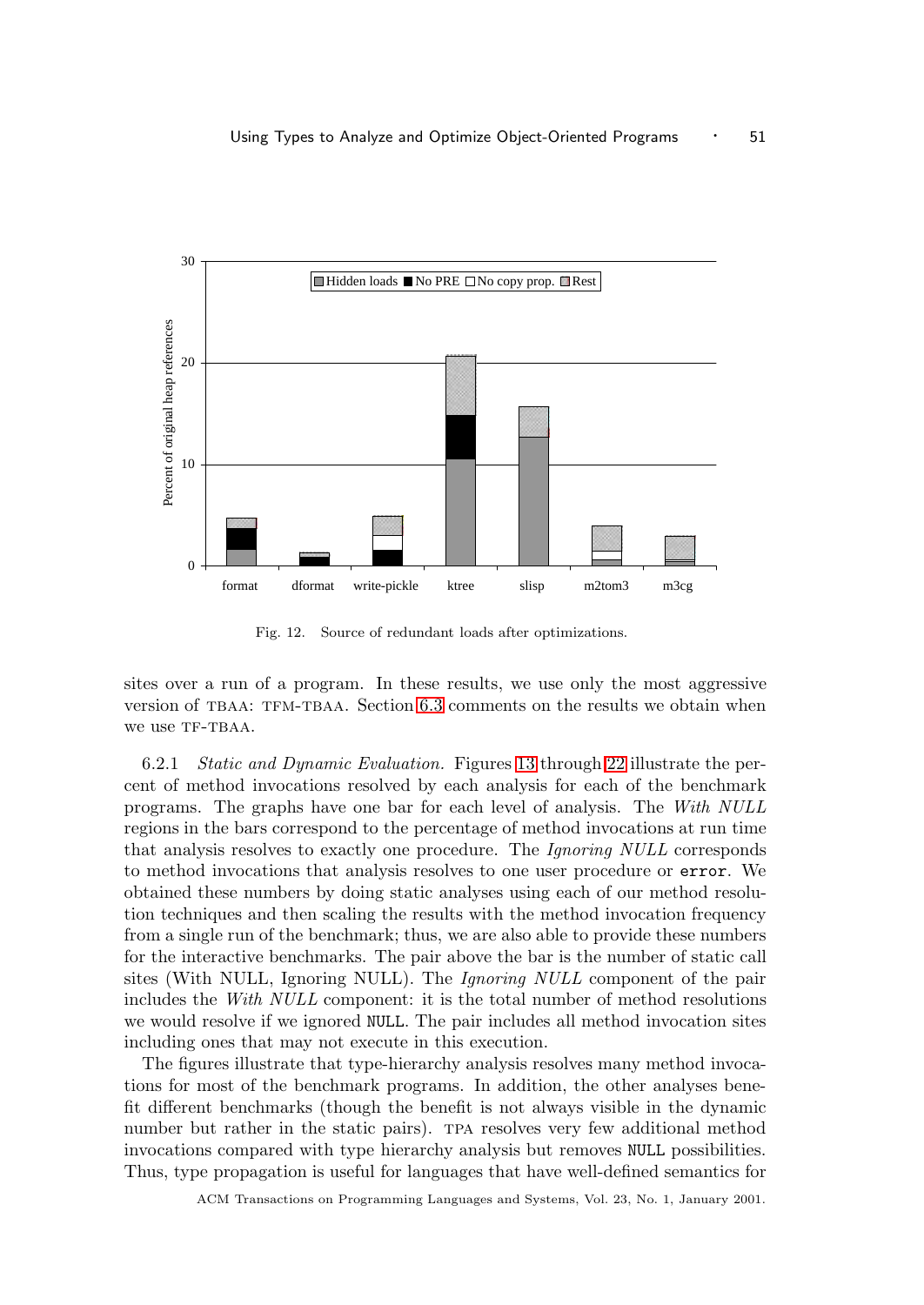

<span id="page-21-0"></span>Fig. 12. Source of redundant loads after optimizations.

sites over a run of a program. In these results, we use only the most aggressive version of  $TBA$ :  $TFM-TBAA$ . Section [6.3](#page-27-0) comments on the results we obtain when we use TF-TBAA.

6.2.1 Static and Dynamic Evaluation. Figures [13](#page-22-0) through [22](#page-23-1) illustrate the percent of method invocations resolved by each analysis for each of the benchmark programs. The graphs have one bar for each level of analysis. The With NULL regions in the bars correspond to the percentage of method invocations at run time that analysis resolves to exactly one procedure. The Ignoring NULL corresponds to method invocations that analysis resolves to one user procedure or error. We obtained these numbers by doing static analyses using each of our method resolution techniques and then scaling the results with the method invocation frequency from a single run of the benchmark; thus, we are also able to provide these numbers for the interactive benchmarks. The pair above the bar is the number of static call sites (With NULL, Ignoring NULL). The Ignoring NULL component of the pair includes the With NULL component: it is the total number of method resolutions we would resolve if we ignored NULL. The pair includes all method invocation sites including ones that may not execute in this execution.

The figures illustrate that type-hierarchy analysis resolves many method invocations for most of the benchmark programs. In addition, the other analyses benefit different benchmarks (though the benefit is not always visible in the dynamic number but rather in the static pairs). tpa resolves very few additional method invocations compared with type hierarchy analysis but removes NULL possibilities. Thus, type propagation is useful for languages that have well-defined semantics for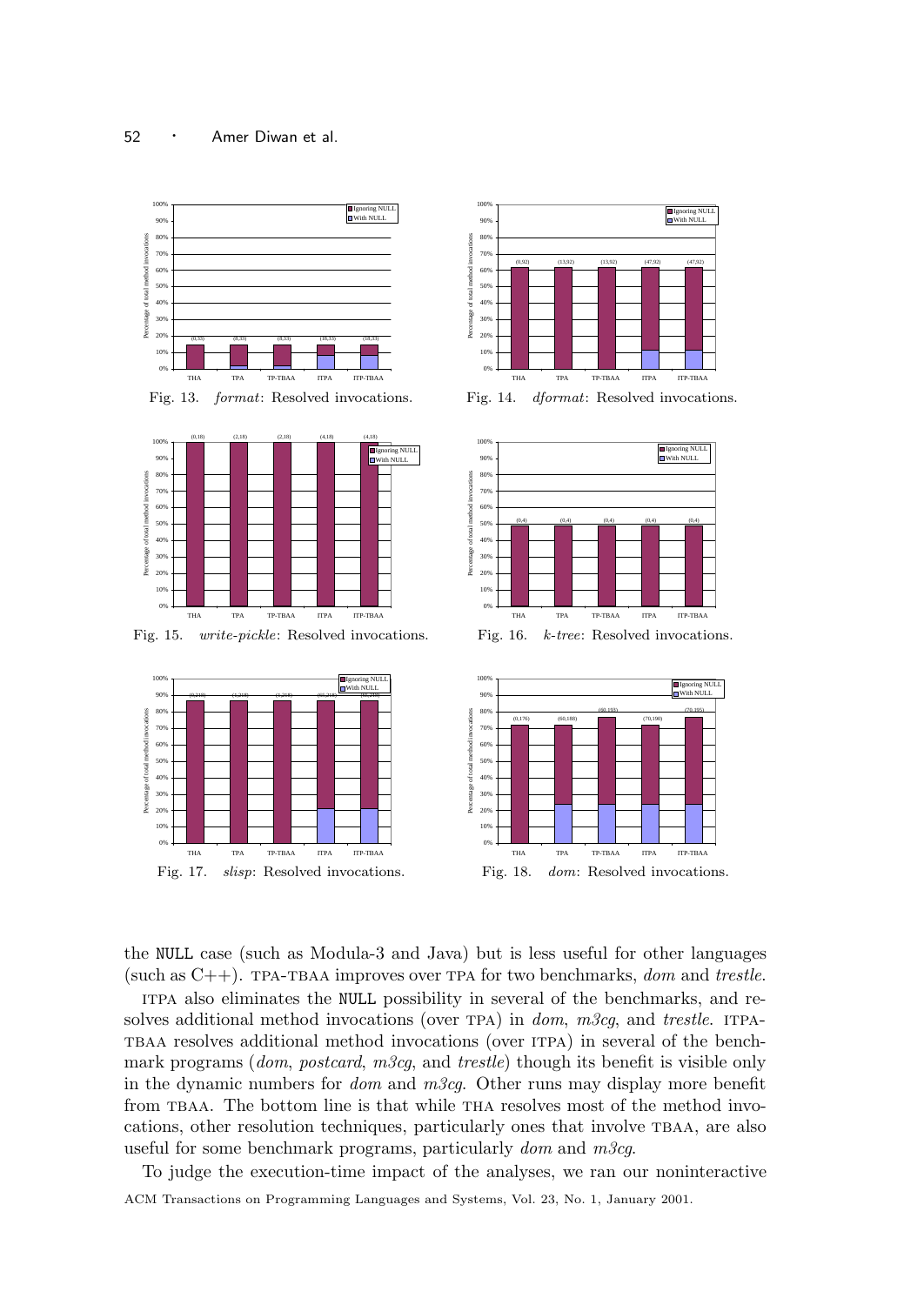

Fig. 13. format: Resolved invocations.

<span id="page-22-0"></span>

Fig. 15. write-pickle: Resolved invocations.





Fig. 14. dformat: Resolved invocations.



Fig. 16. k-tree: Resolved invocations.



the NULL case (such as Modula-3 and Java) but is less useful for other languages (such as  $C_{++}$ ). TPA-TBAA improves over TPA for two benchmarks, dom and trestle.

ITPA also eliminates the NULL possibility in several of the benchmarks, and resolves additional method invocations (over TPA) in  $dom$ ,  $m3cg$ , and trestle. ITPAtbaa resolves additional method invocations (over itpa) in several of the benchmark programs (*dom, postcard, m3cg, and trestle*) though its benefit is visible only in the dynamic numbers for  $dom$  and  $m3cg$ . Other runs may display more benefit from tbaa. The bottom line is that while tha resolves most of the method invocations, other resolution techniques, particularly ones that involve TBAA, are also useful for some benchmark programs, particularly  $dom$  and  $m3cq$ .

To judge the execution-time impact of the analyses, we ran our noninteractive ACM Transactions on Programming Languages and Systems, Vol. 23, No. 1, January 2001.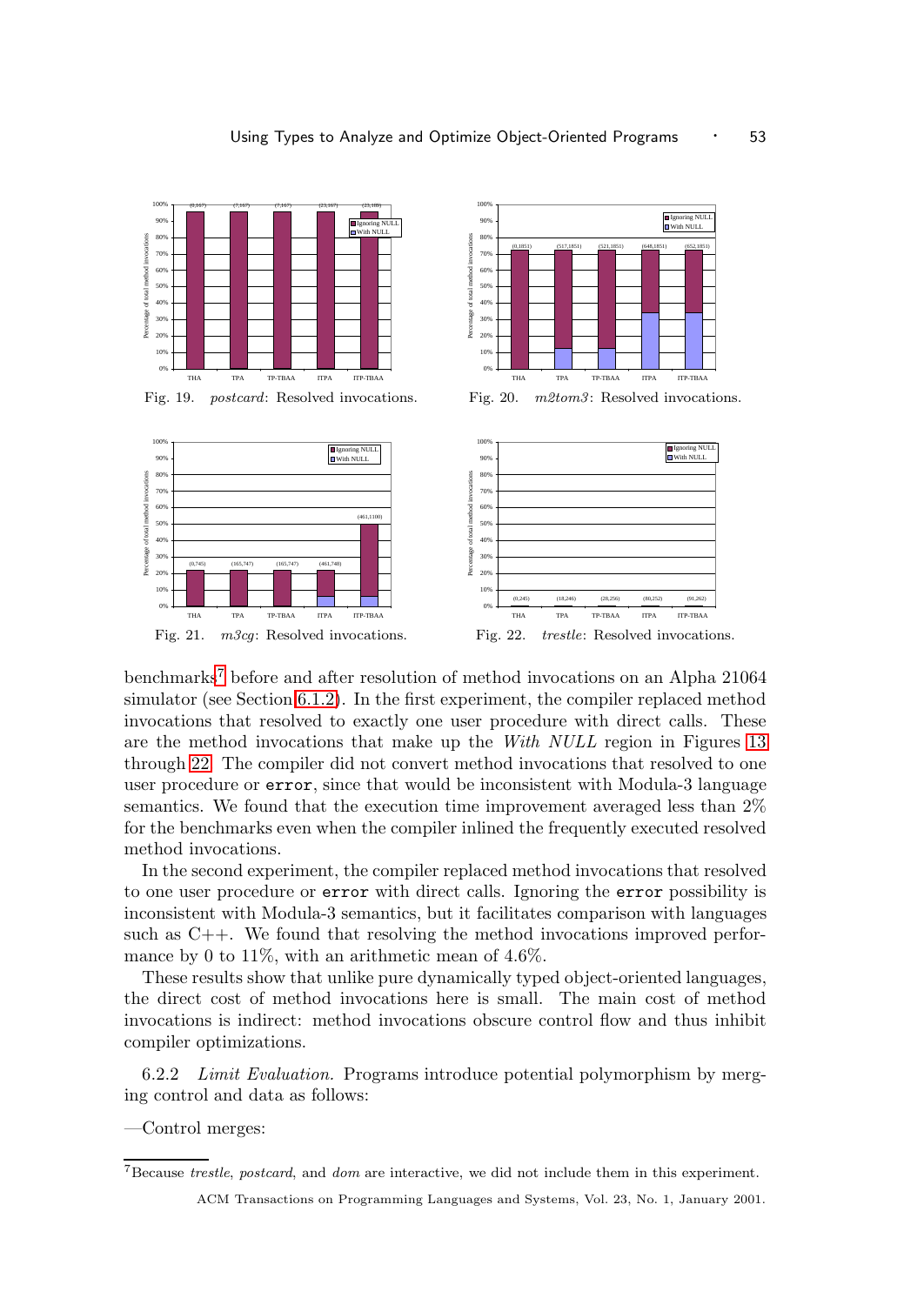

Fig. 19. postcard: Resolved invocations.





Fig. 20.  $m2tom3$ : Resolved invocations.

<span id="page-23-1"></span>

benchmarks[7](#page-23-2) before and after resolution of method invocations on an Alpha 21064 simulator (see Section [6.1.2\)](#page-18-0). In the first experiment, the compiler replaced method invocations that resolved to exactly one user procedure with direct calls. These are the method invocations that make up the With NULL region in Figures [13](#page-22-0) through [22.](#page-23-1) The compiler did not convert method invocations that resolved to one user procedure or error, since that would be inconsistent with Modula-3 language semantics. We found that the execution time improvement averaged less than 2% for the benchmarks even when the compiler inlined the frequently executed resolved method invocations.

In the second experiment, the compiler replaced method invocations that resolved to one user procedure or error with direct calls. Ignoring the error possibility is inconsistent with Modula-3 semantics, but it facilitates comparison with languages such as  $C_{++}$ . We found that resolving the method invocations improved performance by 0 to 11%, with an arithmetic mean of 4.6%.

These results show that unlike pure dynamically typed object-oriented languages, the direct cost of method invocations here is small. The main cost of method invocations is indirect: method invocations obscure control flow and thus inhibit compiler optimizations.

<span id="page-23-0"></span>6.2.2 Limit Evaluation. Programs introduce potential polymorphism by merging control and data as follows:

—Control merges:

<span id="page-23-2"></span> $7$ Because trestle, postcard, and dom are interactive, we did not include them in this experiment.

ACM Transactions on Programming Languages and Systems, Vol. 23, No. 1, January 2001.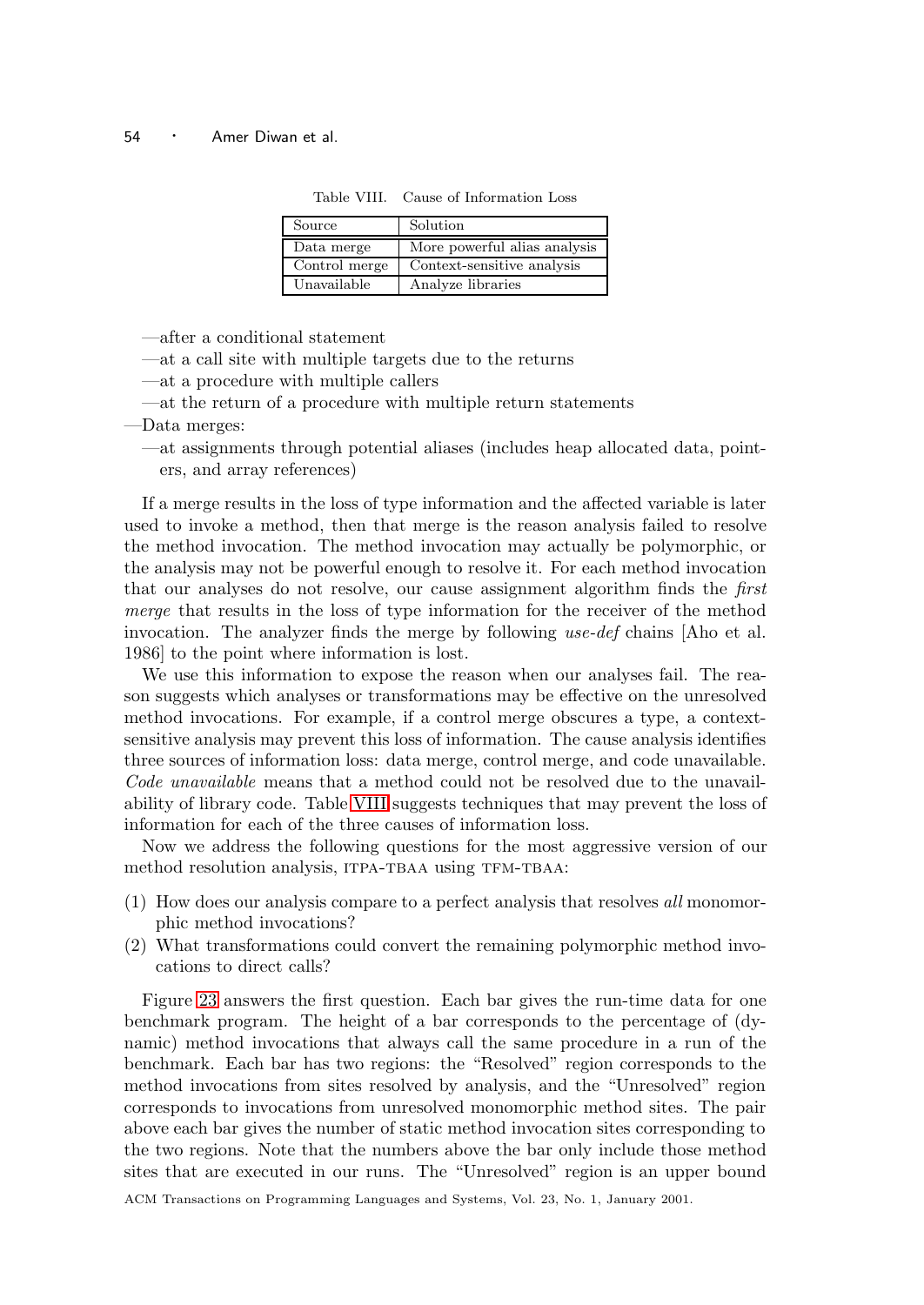<span id="page-24-0"></span>

| Source        | Solution                     |
|---------------|------------------------------|
| Data merge    | More powerful alias analysis |
| Control merge | Context-sensitive analysis   |
| Unavailable   | Analyze libraries            |

Table VIII. Cause of Information Loss

—after a conditional statement

—at a call site with multiple targets due to the returns

—at a procedure with multiple callers

—at the return of a procedure with multiple return statements

—Data merges:

—at assignments through potential aliases (includes heap allocated data, pointers, and array references)

If a merge results in the loss of type information and the affected variable is later used to invoke a method, then that merge is the reason analysis failed to resolve the method invocation. The method invocation may actually be polymorphic, or the analysis may not be powerful enough to resolve it. For each method invocation that our analyses do not resolve, our cause assignment algorithm finds the first merge that results in the loss of type information for the receiver of the method invocation. The analyzer finds the merge by following use-def chains [Aho et al. 1986] to the point where information is lost.

We use this information to expose the reason when our analyses fail. The reason suggests which analyses or transformations may be effective on the unresolved method invocations. For example, if a control merge obscures a type, a contextsensitive analysis may prevent this loss of information. The cause analysis identifies three sources of information loss: data merge, control merge, and code unavailable. Code unavailable means that a method could not be resolved due to the unavailability of library code. Table [VIII](#page-24-0) suggests techniques that may prevent the loss of information for each of the three causes of information loss.

Now we address the following questions for the most aggressive version of our method resolution analysis, ITPA-TBAA using TFM-TBAA:

- (1) How does our analysis compare to a perfect analysis that resolves all monomorphic method invocations?
- (2) What transformations could convert the remaining polymorphic method invocations to direct calls?

Figure [23](#page-25-0) answers the first question. Each bar gives the run-time data for one benchmark program. The height of a bar corresponds to the percentage of (dynamic) method invocations that always call the same procedure in a run of the benchmark. Each bar has two regions: the "Resolved" region corresponds to the method invocations from sites resolved by analysis, and the "Unresolved" region corresponds to invocations from unresolved monomorphic method sites. The pair above each bar gives the number of static method invocation sites corresponding to the two regions. Note that the numbers above the bar only include those method sites that are executed in our runs. The "Unresolved" region is an upper bound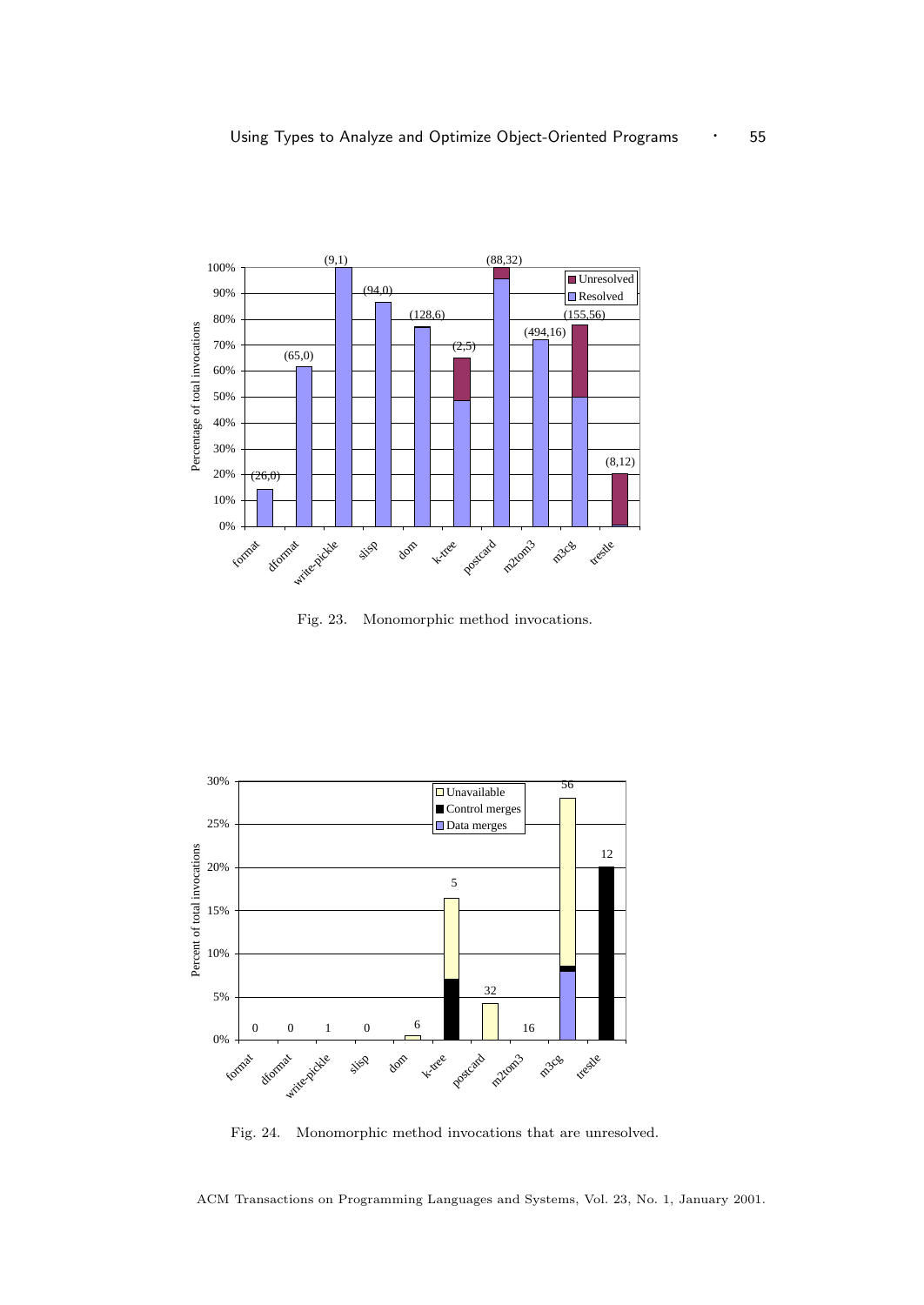

<span id="page-25-0"></span>Fig. 23. Monomorphic method invocations.



<span id="page-25-1"></span>Fig. 24. Monomorphic method invocations that are unresolved.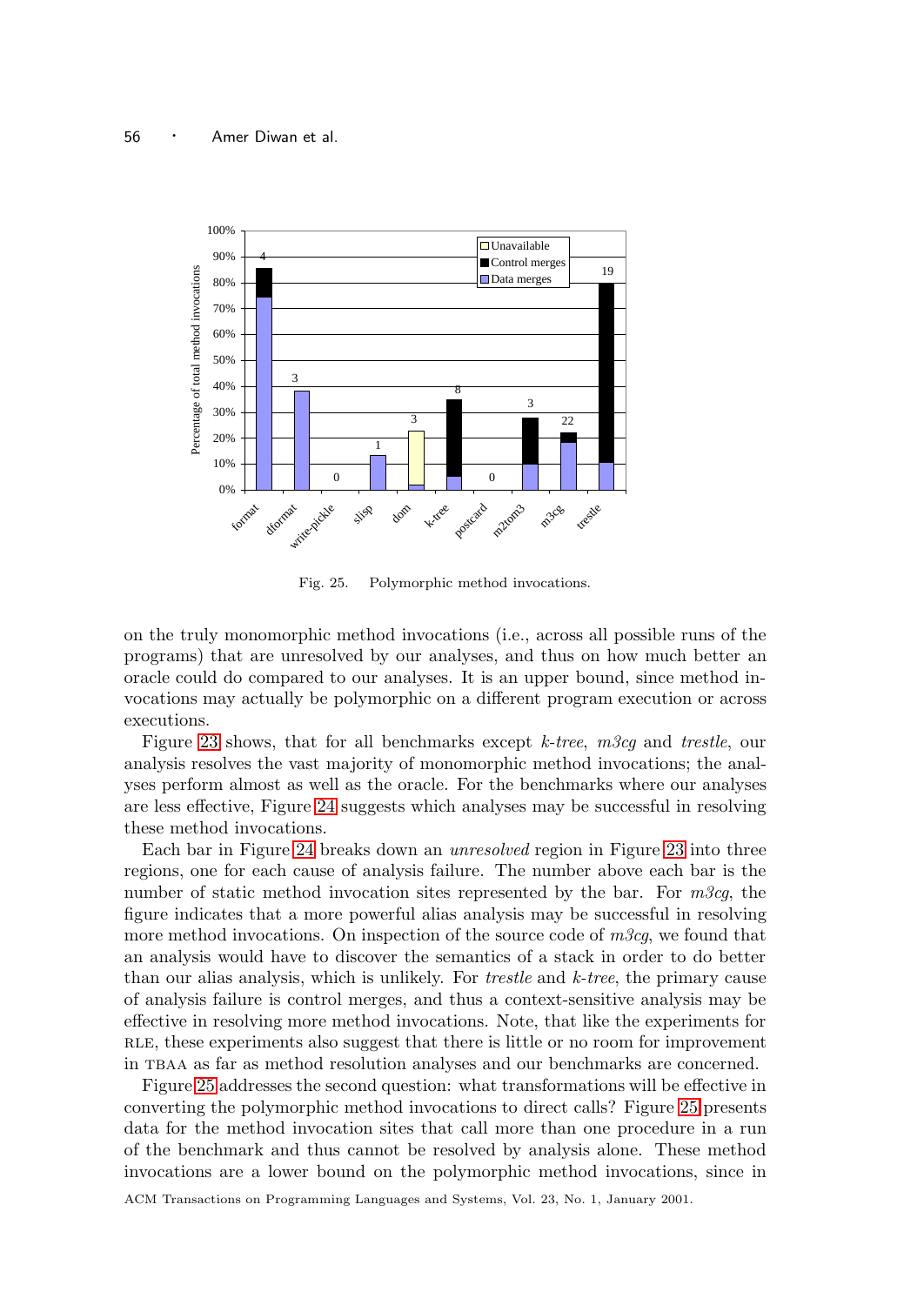

<span id="page-26-0"></span>Fig. 25. Polymorphic method invocations.

on the truly monomorphic method invocations (i.e., across all possible runs of the programs) that are unresolved by our analyses, and thus on how much better an oracle could do compared to our analyses. It is an upper bound, since method invocations may actually be polymorphic on a different program execution or across executions.

Figure [23](#page-25-0) shows, that for all benchmarks except k-tree, m3cg and trestle, our analysis resolves the vast majority of monomorphic method invocations; the analyses perform almost as well as the oracle. For the benchmarks where our analyses are less effective, Figure [24](#page-25-1) suggests which analyses may be successful in resolving these method invocations.

Each bar in Figure [24](#page-25-1) breaks down an unresolved region in Figure [23](#page-25-0) into three regions, one for each cause of analysis failure. The number above each bar is the number of static method invocation sites represented by the bar. For  $m3cg$ , the figure indicates that a more powerful alias analysis may be successful in resolving more method invocations. On inspection of the source code of  $m3cg$ , we found that an analysis would have to discover the semantics of a stack in order to do better than our alias analysis, which is unlikely. For trestle and k-tree, the primary cause of analysis failure is control merges, and thus a context-sensitive analysis may be effective in resolving more method invocations. Note, that like the experiments for rle, these experiments also suggest that there is little or no room for improvement in tbaa as far as method resolution analyses and our benchmarks are concerned.

Figure [25](#page-26-0) addresses the second question: what transformations will be effective in converting the polymorphic method invocations to direct calls? Figure [25](#page-26-0) presents data for the method invocation sites that call more than one procedure in a run of the benchmark and thus cannot be resolved by analysis alone. These method invocations are a lower bound on the polymorphic method invocations, since in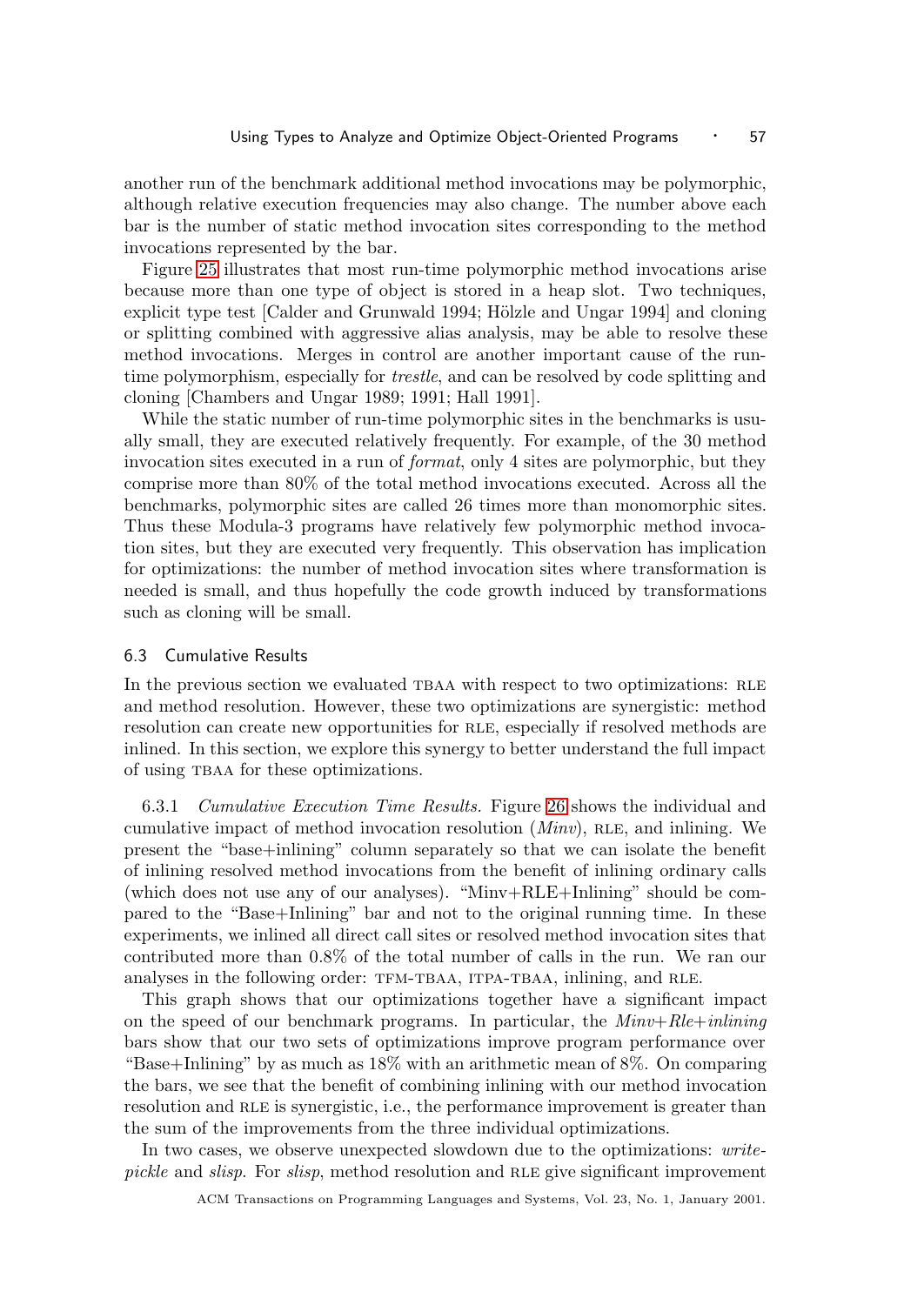another run of the benchmark additional method invocations may be polymorphic, although relative execution frequencies may also change. The number above each bar is the number of static method invocation sites corresponding to the method invocations represented by the bar.

Figure [25](#page-26-0) illustrates that most run-time polymorphic method invocations arise because more than one type of object is stored in a heap slot. Two techniques, explicit type test [Calder and Grunwald 1994; Hölzle and Ungar 1994] and cloning or splitting combined with aggressive alias analysis, may be able to resolve these method invocations. Merges in control are another important cause of the runtime polymorphism, especially for trestle, and can be resolved by code splitting and cloning [Chambers and Ungar 1989; 1991; Hall 1991].

While the static number of run-time polymorphic sites in the benchmarks is usually small, they are executed relatively frequently. For example, of the 30 method invocation sites executed in a run of format, only 4 sites are polymorphic, but they comprise more than 80% of the total method invocations executed. Across all the benchmarks, polymorphic sites are called 26 times more than monomorphic sites. Thus these Modula-3 programs have relatively few polymorphic method invocation sites, but they are executed very frequently. This observation has implication for optimizations: the number of method invocation sites where transformation is needed is small, and thus hopefully the code growth induced by transformations such as cloning will be small.

### <span id="page-27-0"></span>6.3 Cumulative Results

In the previous section we evaluated TBAA with respect to two optimizations: RLE and method resolution. However, these two optimizations are synergistic: method resolution can create new opportunities for RLE, especially if resolved methods are inlined. In this section, we explore this synergy to better understand the full impact of using tbaa for these optimizations.

6.3.1 Cumulative Execution Time Results. Figure [26](#page-28-0) shows the individual and cumulative impact of method invocation resolution  $(Minv)$ , RLE, and inlining. We present the "base+inlining" column separately so that we can isolate the benefit of inlining resolved method invocations from the benefit of inlining ordinary calls (which does not use any of our analyses). "Minv+RLE+Inlining" should be compared to the "Base+Inlining" bar and not to the original running time. In these experiments, we inlined all direct call sites or resolved method invocation sites that contributed more than 0.8% of the total number of calls in the run. We ran our analyses in the following order: TFM-TBAA, ITPA-TBAA, inlining, and RLE.

This graph shows that our optimizations together have a significant impact on the speed of our benchmark programs. In particular, the  $Minv+Rle+inlining$ bars show that our two sets of optimizations improve program performance over "Base+Inlining" by as much as 18% with an arithmetic mean of 8%. On comparing the bars, we see that the benefit of combining inlining with our method invocation resolution and RLE is synergistic, i.e., the performance improvement is greater than the sum of the improvements from the three individual optimizations.

In two cases, we observe unexpected slowdown due to the optimizations: writepickle and slisp. For slisp, method resolution and rle give significant improvement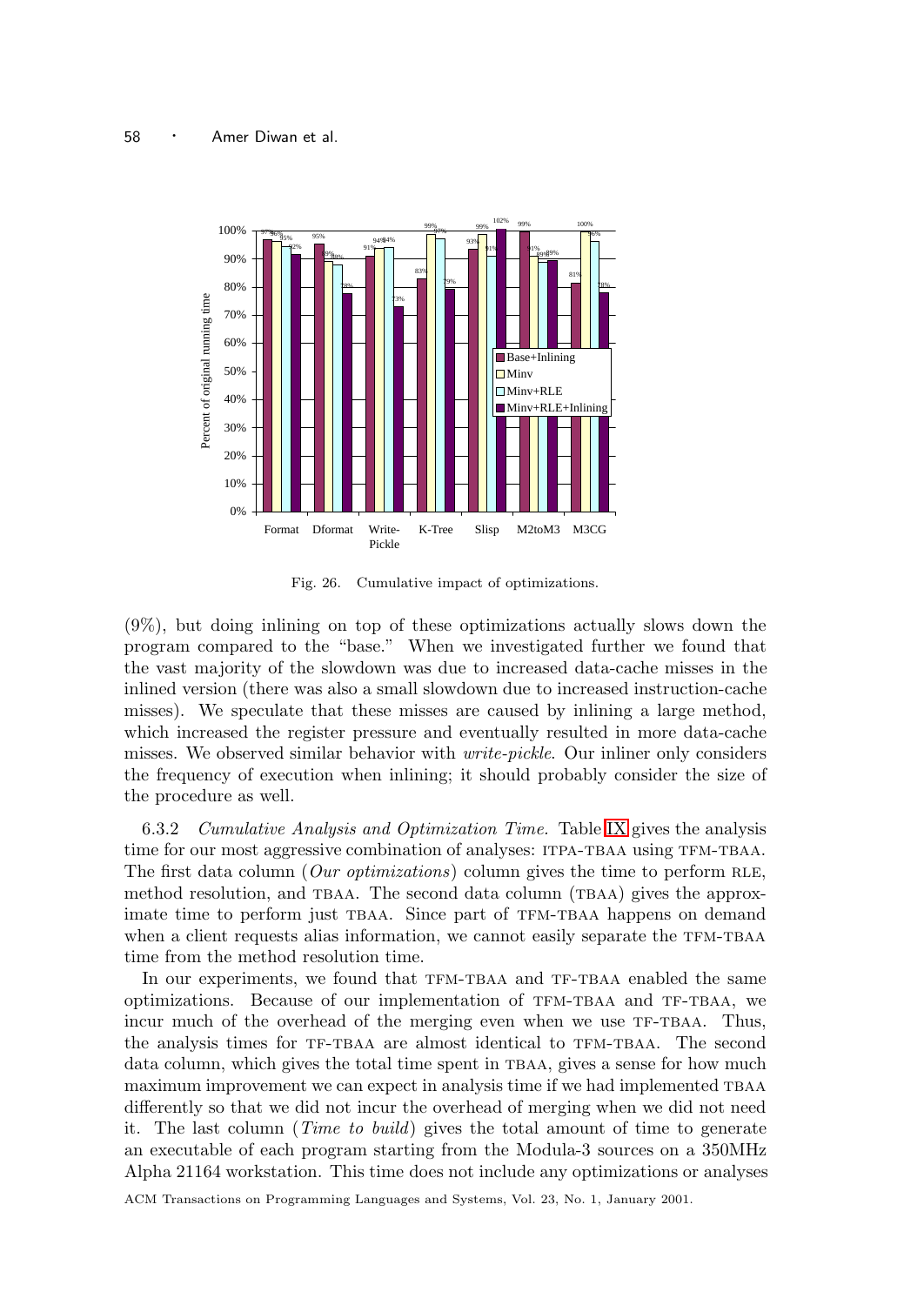

<span id="page-28-0"></span>Fig. 26. Cumulative impact of optimizations.

(9%), but doing inlining on top of these optimizations actually slows down the program compared to the "base." When we investigated further we found that the vast majority of the slowdown was due to increased data-cache misses in the inlined version (there was also a small slowdown due to increased instruction-cache misses). We speculate that these misses are caused by inlining a large method, which increased the register pressure and eventually resulted in more data-cache misses. We observed similar behavior with write-pickle. Our inliner only considers the frequency of execution when inlining; it should probably consider the size of the procedure as well.

6.3.2 Cumulative Analysis and Optimization Time. Table [IX](#page-29-1) gives the analysis time for our most aggressive combination of analyses: ITPA-TBAA using TFM-TBAA. The first data column (Our optimizations) column gives the time to perform RLE, method resolution, and TBAA. The second data column (TBAA) gives the approximate time to perform just TBAA. Since part of TFM-TBAA happens on demand when a client requests alias information, we cannot easily separate the  $T_{\text{F}}$ -TBAA time from the method resolution time.

In our experiments, we found that TFM-TBAA and TF-TBAA enabled the same optimizations. Because of our implementation of TFM-TBAA and TF-TBAA, we incur much of the overhead of the merging even when we use  $TF-TBAA$ . Thus, the analysis times for TF-TBAA are almost identical to TFM-TBAA. The second data column, which gives the total time spent in TBAA, gives a sense for how much maximum improvement we can expect in analysis time if we had implemented TBAA differently so that we did not incur the overhead of merging when we did not need it. The last column (Time to build) gives the total amount of time to generate an executable of each program starting from the Modula-3 sources on a 350MHz Alpha 21164 workstation. This time does not include any optimizations or analyses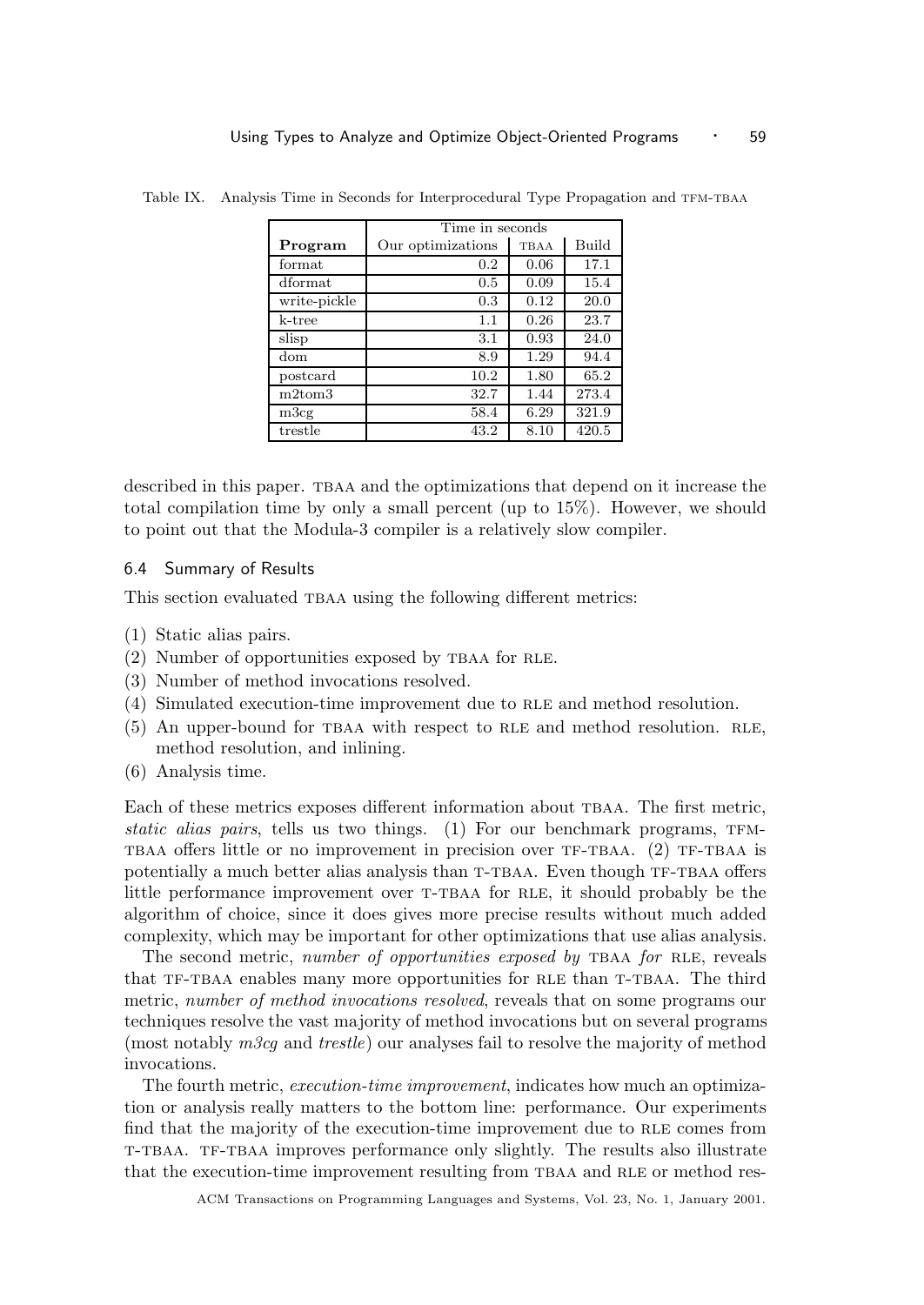|              | Time in seconds   |      |       |  |  |
|--------------|-------------------|------|-------|--|--|
| Program      | Our optimizations | TBAA | Build |  |  |
| format       | 0.2               | 0.06 | 17.1  |  |  |
| dformat      | 0.5               | 0.09 | 15.4  |  |  |
| write-pickle | 0.3               | 0.12 | 20.0  |  |  |
| k-tree       | 1.1               | 0.26 | 23.7  |  |  |
| slisp        | 3.1               | 0.93 | 24.0  |  |  |
| dom          | 8.9               | 1.29 | 94.4  |  |  |
| postcard     | 10.2              | 1.80 | 65.2  |  |  |
| m2tom3       | 32.7              | 1.44 | 273.4 |  |  |
| m3cg         | 58.4              | 6.29 | 321.9 |  |  |
| trestle      | 43.2              | 8.10 | 420.5 |  |  |

<span id="page-29-1"></span>Table IX. Analysis Time in Seconds for Interprocedural Type Propagation and TFM-TBAA

described in this paper. TBAA and the optimizations that depend on it increase the total compilation time by only a small percent (up to 15%). However, we should to point out that the Modula-3 compiler is a relatively slow compiler.

### <span id="page-29-0"></span>6.4 Summary of Results

This section evaluated TBAA using the following different metrics:

- (1) Static alias pairs.
- $(2)$  Number of opportunities exposed by TBAA for RLE.
- (3) Number of method invocations resolved.
- (4) Simulated execution-time improvement due to RLE and method resolution.
- (5) An upper-bound for TBAA with respect to RLE and method resolution. RLE, method resolution, and inlining.
- (6) Analysis time.

Each of these metrics exposes different information about TBAA. The first metric, static alias pairs, tells us two things.  $(1)$  For our benchmark programs, TFM-TBAA offers little or no improvement in precision over TF-TBAA. (2) TF-TBAA is potentially a much better alias analysis than T-TBAA. Even though TF-TBAA offers little performance improvement over T-TBAA for RLE, it should probably be the algorithm of choice, since it does gives more precise results without much added complexity, which may be important for other optimizations that use alias analysis.

The second metric, number of opportunities exposed by TBAA for RLE, reveals that TF-TBAA enables many more opportunities for RLE than T-TBAA. The third metric, number of method invocations resolved, reveals that on some programs our techniques resolve the vast majority of method invocations but on several programs (most notably  $m3cg$  and *trestle*) our analyses fail to resolve the majority of method invocations.

The fourth metric, execution-time improvement, indicates how much an optimization or analysis really matters to the bottom line: performance. Our experiments find that the majority of the execution-time improvement due to RLE comes from t-tbaa. tf-tbaa improves performance only slightly. The results also illustrate that the execution-time improvement resulting from TBAA and RLE or method res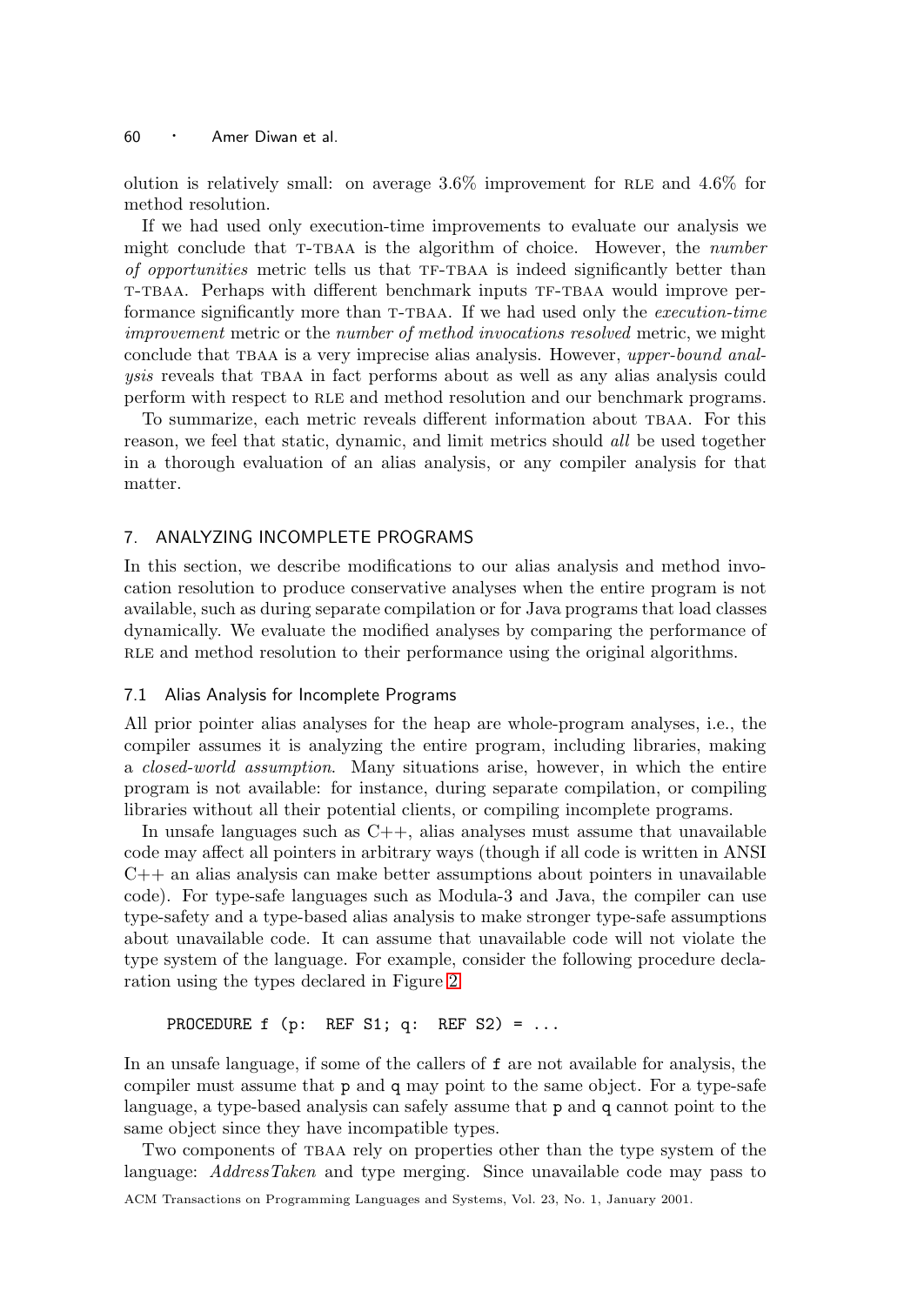olution is relatively small: on average  $3.6\%$  improvement for RLE and  $4.6\%$  for method resolution.

If we had used only execution-time improvements to evaluate our analysis we might conclude that  $T$ -TBAA is the algorithm of choice. However, the *number* of opportunities metric tells us that TF-TBAA is indeed significantly better than t-tbaa. Perhaps with different benchmark inputs tf-tbaa would improve performance significantly more than T-TBAA. If we had used only the *execution-time* improvement metric or the number of method invocations resolved metric, we might conclude that TBAA is a very imprecise alias analysis. However, upper-bound analysis reveals that TBAA in fact performs about as well as any alias analysis could perform with respect to rle and method resolution and our benchmark programs.

To summarize, each metric reveals different information about TBAA. For this reason, we feel that static, dynamic, and limit metrics should all be used together in a thorough evaluation of an alias analysis, or any compiler analysis for that matter.

# <span id="page-30-0"></span>7. ANALYZING INCOMPLETE PROGRAMS

In this section, we describe modifications to our alias analysis and method invocation resolution to produce conservative analyses when the entire program is not available, such as during separate compilation or for Java programs that load classes dynamically. We evaluate the modified analyses by comparing the performance of rle and method resolution to their performance using the original algorithms.

### 7.1 Alias Analysis for Incomplete Programs

All prior pointer alias analyses for the heap are whole-program analyses, i.e., the compiler assumes it is analyzing the entire program, including libraries, making a closed-world assumption. Many situations arise, however, in which the entire program is not available: for instance, during separate compilation, or compiling libraries without all their potential clients, or compiling incomplete programs.

In unsafe languages such as  $C_{++}$ , alias analyses must assume that unavailable code may affect all pointers in arbitrary ways (though if all code is written in ANSI  $C++$  an alias analysis can make better assumptions about pointers in unavailable code). For type-safe languages such as Modula-3 and Java, the compiler can use type-safety and a type-based alias analysis to make stronger type-safe assumptions about unavailable code. It can assume that unavailable code will not violate the type system of the language. For example, consider the following procedure declaration using the types declared in Figure [2.](#page-4-1)

PROCEDURE  $f(p: REF S1; q: REF S2) = ...$ 

In an unsafe language, if some of the callers of f are not available for analysis, the compiler must assume that p and q may point to the same object. For a type-safe language, a type-based analysis can safely assume that p and q cannot point to the same object since they have incompatible types.

Two components of TBAA rely on properties other than the type system of the language: AddressTaken and type merging. Since unavailable code may pass to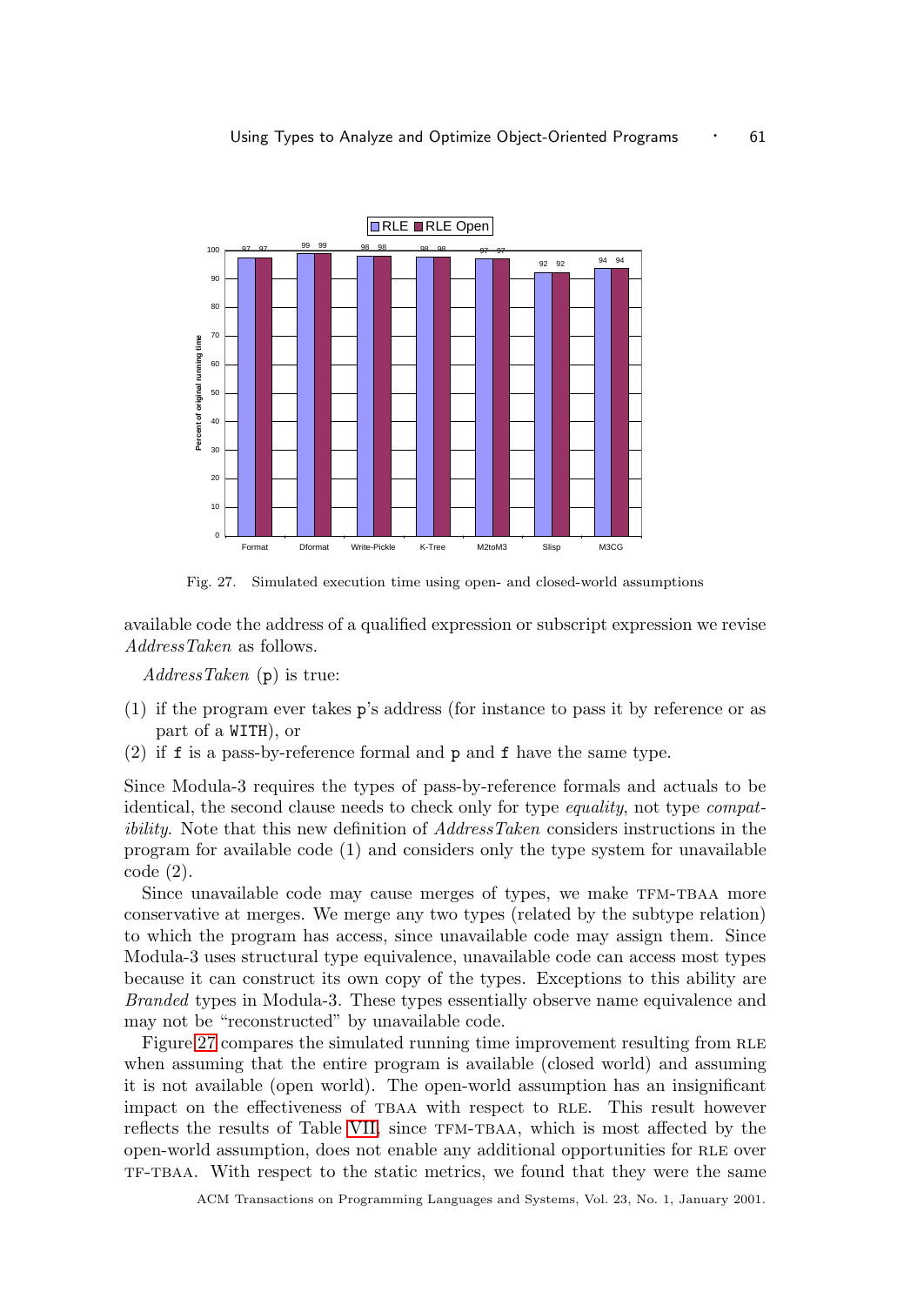

Fig. 27. Simulated execution time using open- and closed-world assumptions

<span id="page-31-0"></span>available code the address of a qualified expression or subscript expression we revise AddressTaken as follows.

AddressTaken (p) is true:

- (1) if the program ever takes p's address (for instance to pass it by reference or as part of a WITH), or
- (2) if f is a pass-by-reference formal and p and f have the same type.

Since Modula-3 requires the types of pass-by-reference formals and actuals to be identical, the second clause needs to check only for type equality, not type compatibility. Note that this new definition of *AddressTaken* considers instructions in the program for available code (1) and considers only the type system for unavailable code (2).

Since unavailable code may cause merges of types, we make TFM-TBAA more conservative at merges. We merge any two types (related by the subtype relation) to which the program has access, since unavailable code may assign them. Since Modula-3 uses structural type equivalence, unavailable code can access most types because it can construct its own copy of the types. Exceptions to this ability are Branded types in Modula-3. These types essentially observe name equivalence and may not be "reconstructed" by unavailable code.

Figure [27](#page-31-0) compares the simulated running time improvement resulting from RLE when assuming that the entire program is available (closed world) and assuming it is not available (open world). The open-world assumption has an insignificant impact on the effectiveness of TBAA with respect to RLE. This result however reflects the results of Table [VII,](#page-17-1) since TFM-TBAA, which is most affected by the open-world assumption, does not enable any additional opportunities for rle over TF-TBAA. With respect to the static metrics, we found that they were the same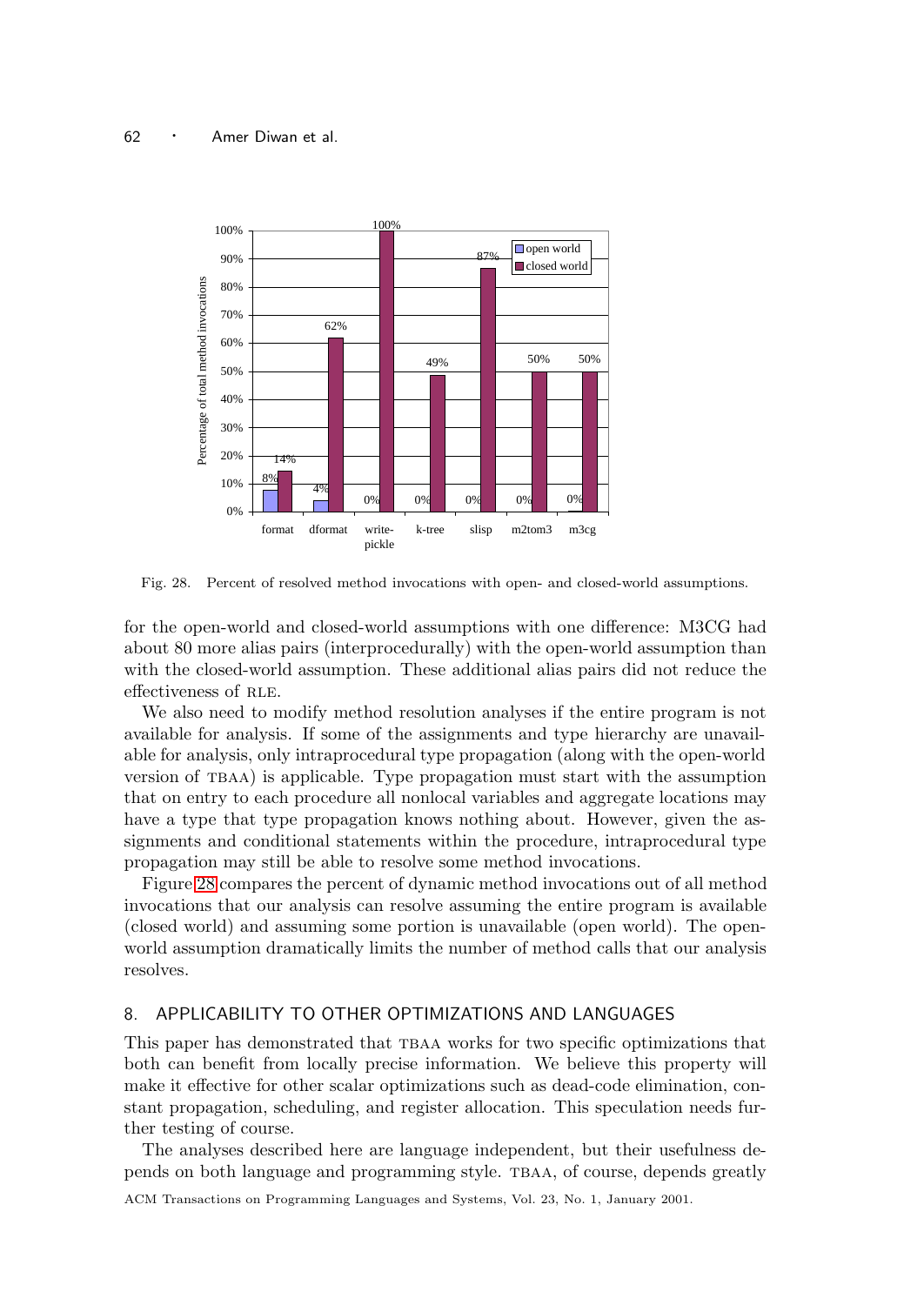

Fig. 28. Percent of resolved method invocations with open- and closed-world assumptions.

<span id="page-32-1"></span>for the open-world and closed-world assumptions with one difference: M3CG had about 80 more alias pairs (interprocedurally) with the open-world assumption than with the closed-world assumption. These additional alias pairs did not reduce the effectiveness of RLE.

We also need to modify method resolution analyses if the entire program is not available for analysis. If some of the assignments and type hierarchy are unavailable for analysis, only intraprocedural type propagation (along with the open-world version of tbaa) is applicable. Type propagation must start with the assumption that on entry to each procedure all nonlocal variables and aggregate locations may have a type that type propagation knows nothing about. However, given the assignments and conditional statements within the procedure, intraprocedural type propagation may still be able to resolve some method invocations.

Figure [28](#page-32-1) compares the percent of dynamic method invocations out of all method invocations that our analysis can resolve assuming the entire program is available (closed world) and assuming some portion is unavailable (open world). The openworld assumption dramatically limits the number of method calls that our analysis resolves.

### <span id="page-32-0"></span>8. APPLICABILITY TO OTHER OPTIMIZATIONS AND LANGUAGES

This paper has demonstrated that TBAA works for two specific optimizations that both can benefit from locally precise information. We believe this property will make it effective for other scalar optimizations such as dead-code elimination, constant propagation, scheduling, and register allocation. This speculation needs further testing of course.

The analyses described here are language independent, but their usefulness depends on both language and programming style. TBAA, of course, depends greatly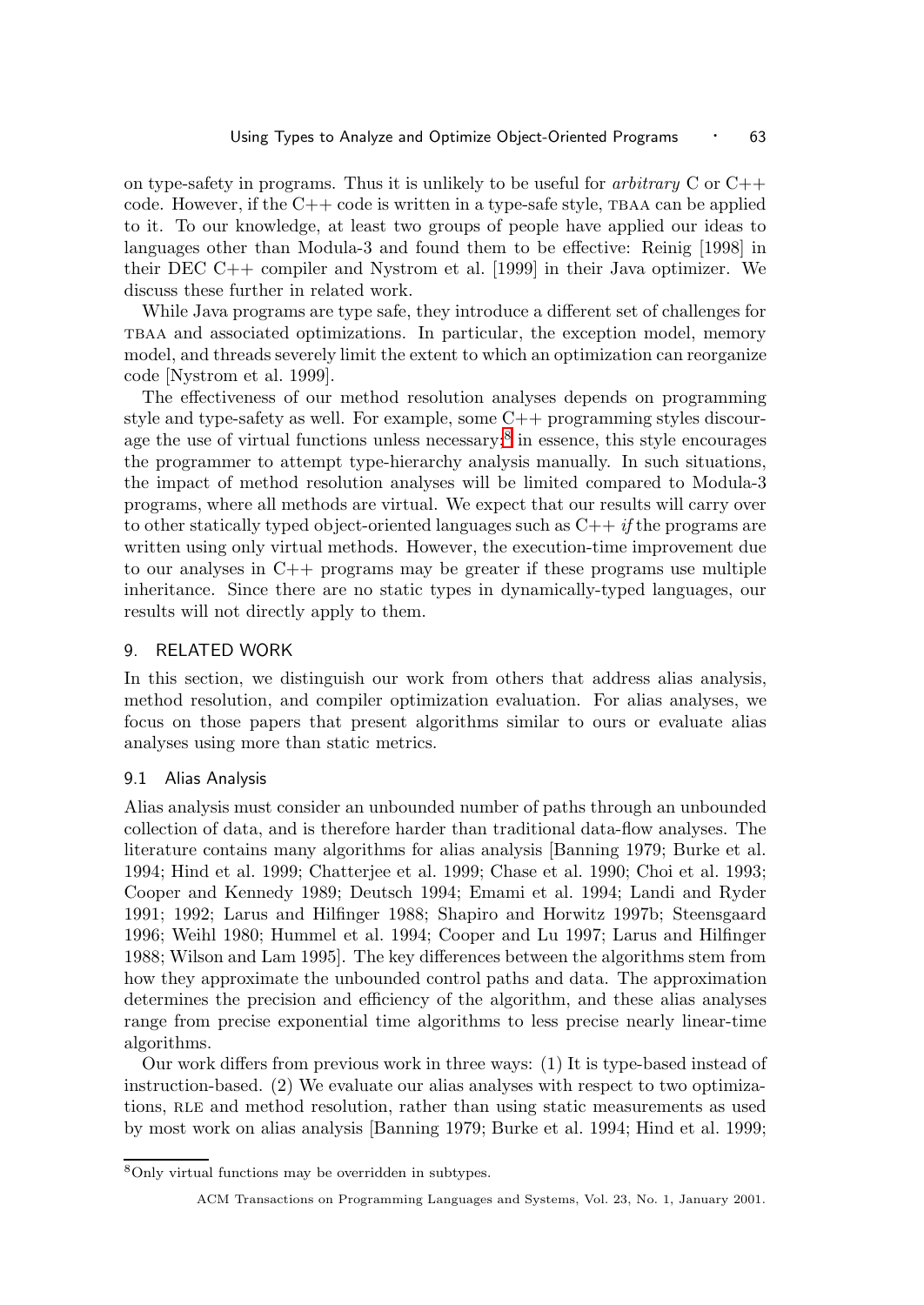on type-safety in programs. Thus it is unlikely to be useful for *arbitrary* C or  $C++$ code. However, if the  $C++$  code is written in a type-safe style, TBAA can be applied to it. To our knowledge, at least two groups of people have applied our ideas to languages other than Modula-3 and found them to be effective: Reinig [1998] in their DEC C++ compiler and Nystrom et al. [1999] in their Java optimizer. We discuss these further in related work.

While Java programs are type safe, they introduce a different set of challenges for TBAA and associated optimizations. In particular, the exception model, memory model, and threads severely limit the extent to which an optimization can reorganize code [Nystrom et al. 1999].

The effectiveness of our method resolution analyses depends on programming style and type-safety as well. For example, some C++ programming styles discour-age the use of virtual functions unless necessary;<sup>[8](#page-33-1)</sup> in essence, this style encourages the programmer to attempt type-hierarchy analysis manually. In such situations, the impact of method resolution analyses will be limited compared to Modula-3 programs, where all methods are virtual. We expect that our results will carry over to other statically typed object-oriented languages such as  $C++$  if the programs are written using only virtual methods. However, the execution-time improvement due to our analyses in C++ programs may be greater if these programs use multiple inheritance. Since there are no static types in dynamically-typed languages, our results will not directly apply to them.

# <span id="page-33-0"></span>9. RELATED WORK

In this section, we distinguish our work from others that address alias analysis, method resolution, and compiler optimization evaluation. For alias analyses, we focus on those papers that present algorithms similar to ours or evaluate alias analyses using more than static metrics.

#### 9.1 Alias Analysis

Alias analysis must consider an unbounded number of paths through an unbounded collection of data, and is therefore harder than traditional data-flow analyses. The literature contains many algorithms for alias analysis [Banning 1979; Burke et al. 1994; Hind et al. 1999; Chatterjee et al. 1999; Chase et al. 1990; Choi et al. 1993; Cooper and Kennedy 1989; Deutsch 1994; Emami et al. 1994; Landi and Ryder 1991; 1992; Larus and Hilfinger 1988; Shapiro and Horwitz 1997b; Steensgaard 1996; Weihl 1980; Hummel et al. 1994; Cooper and Lu 1997; Larus and Hilfinger 1988; Wilson and Lam 1995]. The key differences between the algorithms stem from how they approximate the unbounded control paths and data. The approximation determines the precision and efficiency of the algorithm, and these alias analyses range from precise exponential time algorithms to less precise nearly linear-time algorithms.

Our work differs from previous work in three ways: (1) It is type-based instead of instruction-based. (2) We evaluate our alias analyses with respect to two optimizations, RLE and method resolution, rather than using static measurements as used by most work on alias analysis [Banning 1979; Burke et al. 1994; Hind et al. 1999;

<span id="page-33-1"></span><sup>8</sup>Only virtual functions may be overridden in subtypes.

ACM Transactions on Programming Languages and Systems, Vol. 23, No. 1, January 2001.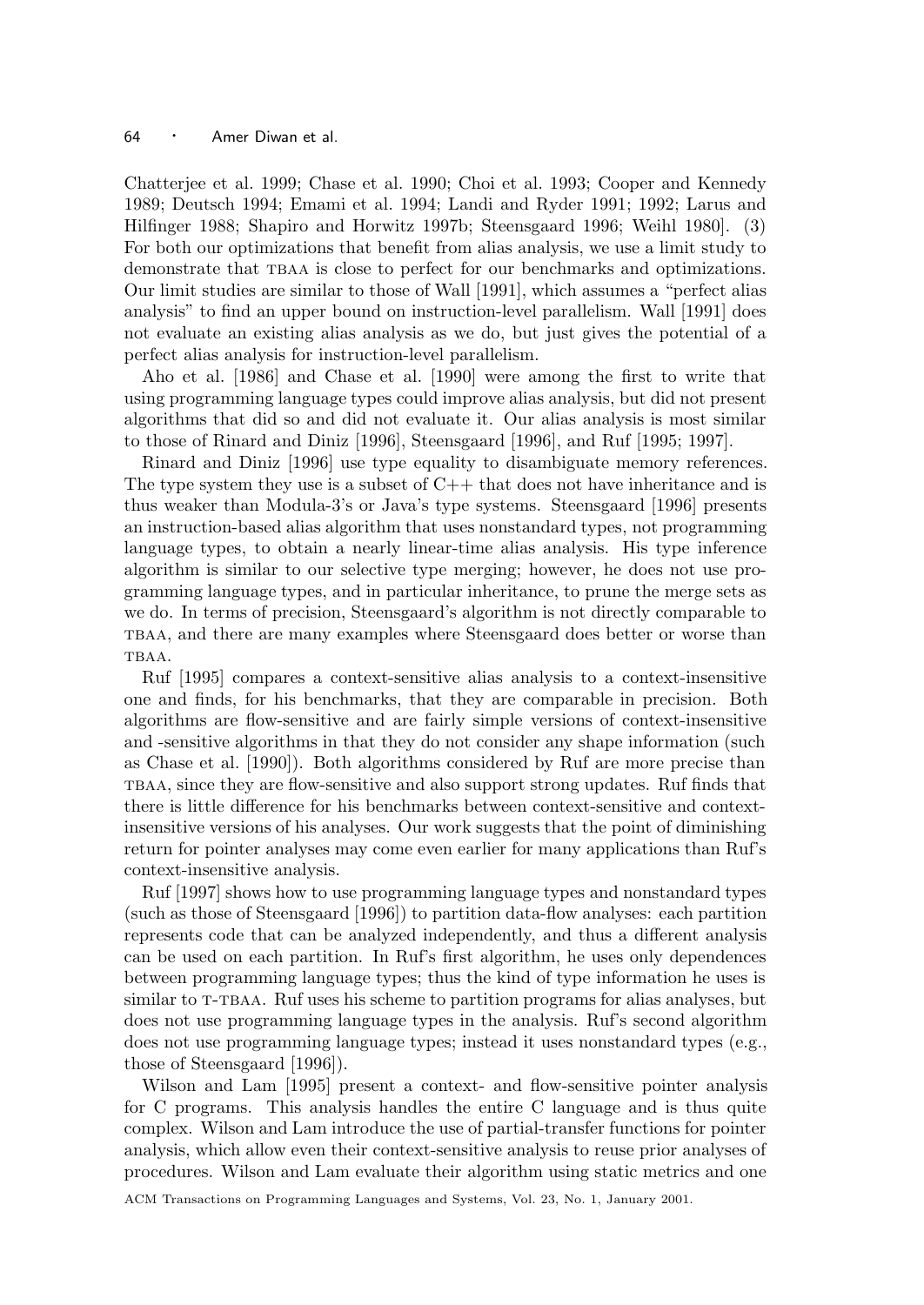Chatterjee et al. 1999; Chase et al. 1990; Choi et al. 1993; Cooper and Kennedy 1989; Deutsch 1994; Emami et al. 1994; Landi and Ryder 1991; 1992; Larus and Hilfinger 1988; Shapiro and Horwitz 1997b; Steensgaard 1996; Weihl 1980]. (3) For both our optimizations that benefit from alias analysis, we use a limit study to demonstrate that TBAA is close to perfect for our benchmarks and optimizations. Our limit studies are similar to those of Wall [1991], which assumes a "perfect alias analysis" to find an upper bound on instruction-level parallelism. Wall [1991] does not evaluate an existing alias analysis as we do, but just gives the potential of a perfect alias analysis for instruction-level parallelism.

Aho et al. [1986] and Chase et al. [1990] were among the first to write that using programming language types could improve alias analysis, but did not present algorithms that did so and did not evaluate it. Our alias analysis is most similar to those of Rinard and Diniz [1996], Steensgaard [1996], and Ruf [1995; 1997].

Rinard and Diniz [1996] use type equality to disambiguate memory references. The type system they use is a subset of  $C_{++}$  that does not have inheritance and is thus weaker than Modula-3's or Java's type systems. Steensgaard [1996] presents an instruction-based alias algorithm that uses nonstandard types, not programming language types, to obtain a nearly linear-time alias analysis. His type inference algorithm is similar to our selective type merging; however, he does not use programming language types, and in particular inheritance, to prune the merge sets as we do. In terms of precision, Steensgaard's algorithm is not directly comparable to tbaa, and there are many examples where Steensgaard does better or worse than TBAA.

Ruf [1995] compares a context-sensitive alias analysis to a context-insensitive one and finds, for his benchmarks, that they are comparable in precision. Both algorithms are flow-sensitive and are fairly simple versions of context-insensitive and -sensitive algorithms in that they do not consider any shape information (such as Chase et al. [1990]). Both algorithms considered by Ruf are more precise than tbaa, since they are flow-sensitive and also support strong updates. Ruf finds that there is little difference for his benchmarks between context-sensitive and contextinsensitive versions of his analyses. Our work suggests that the point of diminishing return for pointer analyses may come even earlier for many applications than Ruf's context-insensitive analysis.

Ruf [1997] shows how to use programming language types and nonstandard types (such as those of Steensgaard [1996]) to partition data-flow analyses: each partition represents code that can be analyzed independently, and thus a different analysis can be used on each partition. In Ruf's first algorithm, he uses only dependences between programming language types; thus the kind of type information he uses is similar to T-TBAA. Ruf uses his scheme to partition programs for alias analyses, but does not use programming language types in the analysis. Ruf's second algorithm does not use programming language types; instead it uses nonstandard types (e.g., those of Steensgaard [1996]).

Wilson and Lam [1995] present a context- and flow-sensitive pointer analysis for C programs. This analysis handles the entire C language and is thus quite complex. Wilson and Lam introduce the use of partial-transfer functions for pointer analysis, which allow even their context-sensitive analysis to reuse prior analyses of procedures. Wilson and Lam evaluate their algorithm using static metrics and one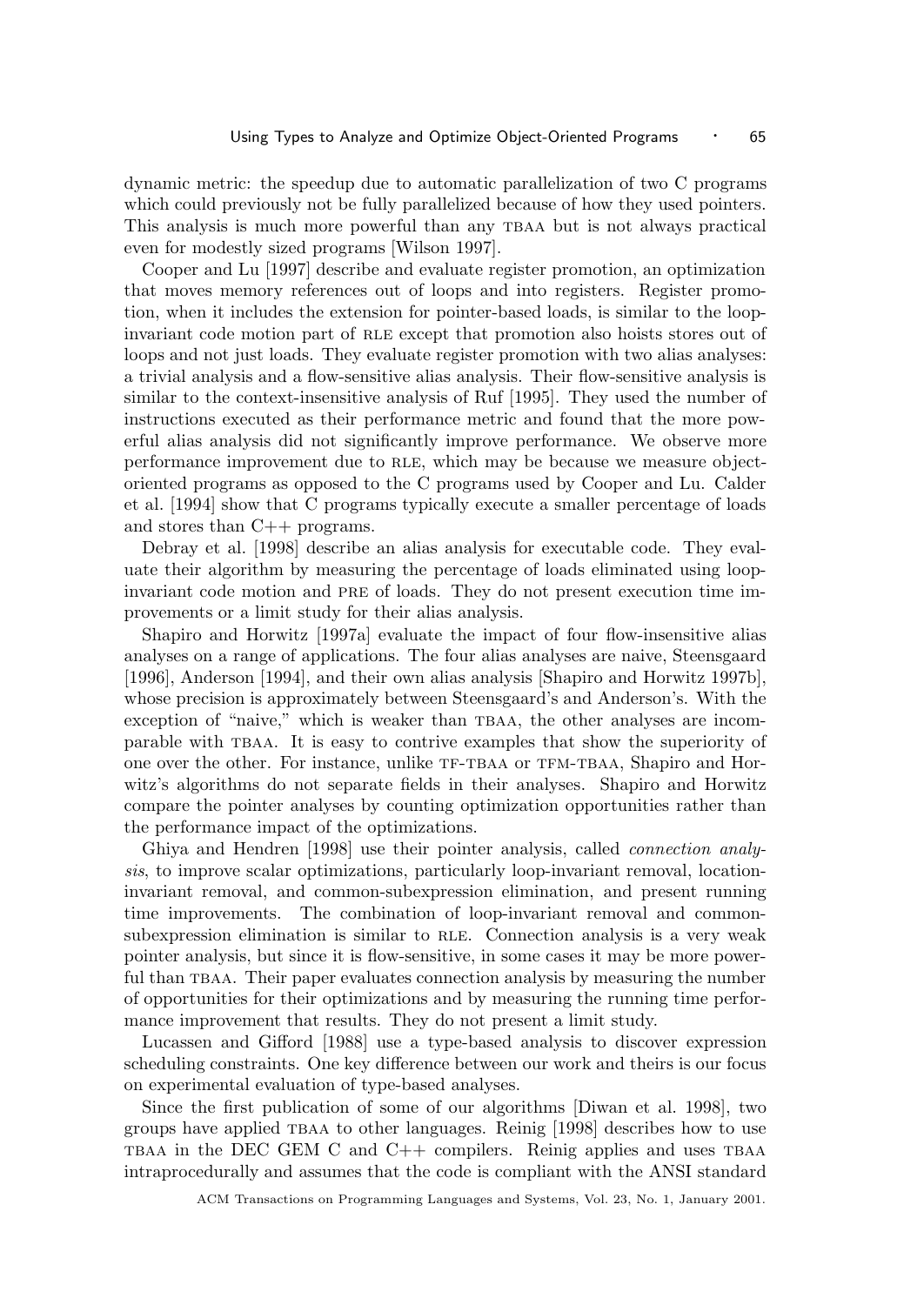dynamic metric: the speedup due to automatic parallelization of two C programs which could previously not be fully parallelized because of how they used pointers. This analysis is much more powerful than any TBAA but is not always practical even for modestly sized programs [Wilson 1997].

Cooper and Lu [1997] describe and evaluate register promotion, an optimization that moves memory references out of loops and into registers. Register promotion, when it includes the extension for pointer-based loads, is similar to the loopinvariant code motion part of rle except that promotion also hoists stores out of loops and not just loads. They evaluate register promotion with two alias analyses: a trivial analysis and a flow-sensitive alias analysis. Their flow-sensitive analysis is similar to the context-insensitive analysis of Ruf [1995]. They used the number of instructions executed as their performance metric and found that the more powerful alias analysis did not significantly improve performance. We observe more performance improvement due to RLE, which may be because we measure objectoriented programs as opposed to the C programs used by Cooper and Lu. Calder et al. [1994] show that C programs typically execute a smaller percentage of loads and stores than C++ programs.

Debray et al. [1998] describe an alias analysis for executable code. They evaluate their algorithm by measuring the percentage of loads eliminated using loopinvariant code motion and PRE of loads. They do not present execution time improvements or a limit study for their alias analysis.

Shapiro and Horwitz [1997a] evaluate the impact of four flow-insensitive alias analyses on a range of applications. The four alias analyses are naive, Steensgaard [1996], Anderson [1994], and their own alias analysis [Shapiro and Horwitz 1997b], whose precision is approximately between Steensgaard's and Anderson's. With the exception of "naive," which is weaker than TBAA, the other analyses are incomparable with tbaa. It is easy to contrive examples that show the superiority of one over the other. For instance, unlike  $TF-TBAA$  or  $TFM-TBAA$ , Shapiro and Horwitz's algorithms do not separate fields in their analyses. Shapiro and Horwitz compare the pointer analyses by counting optimization opportunities rather than the performance impact of the optimizations.

Ghiya and Hendren [1998] use their pointer analysis, called connection analysis, to improve scalar optimizations, particularly loop-invariant removal, locationinvariant removal, and common-subexpression elimination, and present running time improvements. The combination of loop-invariant removal and commonsubexpression elimination is similar to RLE. Connection analysis is a very weak pointer analysis, but since it is flow-sensitive, in some cases it may be more powerful than TBAA. Their paper evaluates connection analysis by measuring the number of opportunities for their optimizations and by measuring the running time performance improvement that results. They do not present a limit study.

Lucassen and Gifford [1988] use a type-based analysis to discover expression scheduling constraints. One key difference between our work and theirs is our focus on experimental evaluation of type-based analyses.

Since the first publication of some of our algorithms [Diwan et al. 1998], two groups have applied TBAA to other languages. Reinig [1998] describes how to use TBAA in the DEC GEM C and  $C_{++}$  compilers. Reinig applies and uses TBAA intraprocedurally and assumes that the code is compliant with the ANSI standard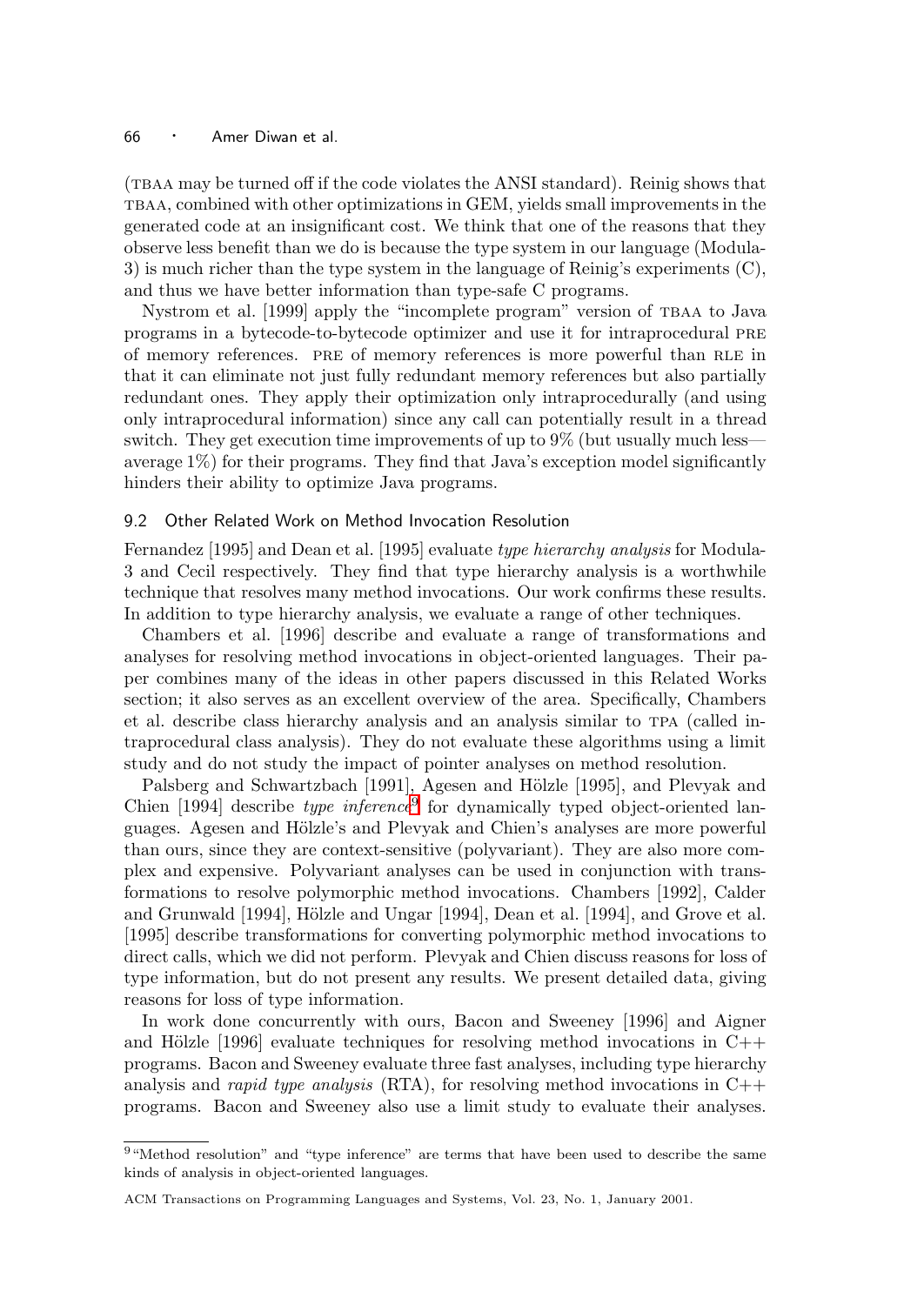(TBAA may be turned off if the code violates the ANSI standard). Reinig shows that tbaa, combined with other optimizations in GEM, yields small improvements in the generated code at an insignificant cost. We think that one of the reasons that they observe less benefit than we do is because the type system in our language (Modula-3) is much richer than the type system in the language of Reinig's experiments (C), and thus we have better information than type-safe C programs.

Nystrom et al. [1999] apply the "incomplete program" version of TBAA to Java programs in a bytecode-to-bytecode optimizer and use it for intraprocedural pre of memory references. pre of memory references is more powerful than rle in that it can eliminate not just fully redundant memory references but also partially redundant ones. They apply their optimization only intraprocedurally (and using only intraprocedural information) since any call can potentially result in a thread switch. They get execution time improvements of up to 9% (but usually much less average 1%) for their programs. They find that Java's exception model significantly hinders their ability to optimize Java programs.

# 9.2 Other Related Work on Method Invocation Resolution

Fernandez [1995] and Dean et al. [1995] evaluate type hierarchy analysis for Modula-3 and Cecil respectively. They find that type hierarchy analysis is a worthwhile technique that resolves many method invocations. Our work confirms these results. In addition to type hierarchy analysis, we evaluate a range of other techniques.

Chambers et al. [1996] describe and evaluate a range of transformations and analyses for resolving method invocations in object-oriented languages. Their paper combines many of the ideas in other papers discussed in this Related Works section; it also serves as an excellent overview of the area. Specifically, Chambers et al. describe class hierarchy analysis and an analysis similar to tpa (called intraprocedural class analysis). They do not evaluate these algorithms using a limit study and do not study the impact of pointer analyses on method resolution.

Palsberg and Schwartzbach [1991], Agesen and Hölzle [1995], and Plevyak and Chien [1[9](#page-36-0)94] describe *type inference*<sup>9</sup> for dynamically typed object-oriented languages. Agesen and Hölzle's and Plevyak and Chien's analyses are more powerful than ours, since they are context-sensitive (polyvariant). They are also more complex and expensive. Polyvariant analyses can be used in conjunction with transformations to resolve polymorphic method invocations. Chambers [1992], Calder and Grunwald  $[1994]$ , Hölzle and Ungar  $[1994]$ , Dean et al.  $[1994]$ , and Grove et al. [1995] describe transformations for converting polymorphic method invocations to direct calls, which we did not perform. Plevyak and Chien discuss reasons for loss of type information, but do not present any results. We present detailed data, giving reasons for loss of type information.

In work done concurrently with ours, Bacon and Sweeney [1996] and Aigner and Hölzle [1996] evaluate techniques for resolving method invocations in  $C++$ programs. Bacon and Sweeney evaluate three fast analyses, including type hierarchy analysis and rapid type analysis (RTA), for resolving method invocations in  $C++$ programs. Bacon and Sweeney also use a limit study to evaluate their analyses.

<span id="page-36-0"></span> $9$  "Method resolution" and "type inference" are terms that have been used to describe the same kinds of analysis in object-oriented languages.

ACM Transactions on Programming Languages and Systems, Vol. 23, No. 1, January 2001.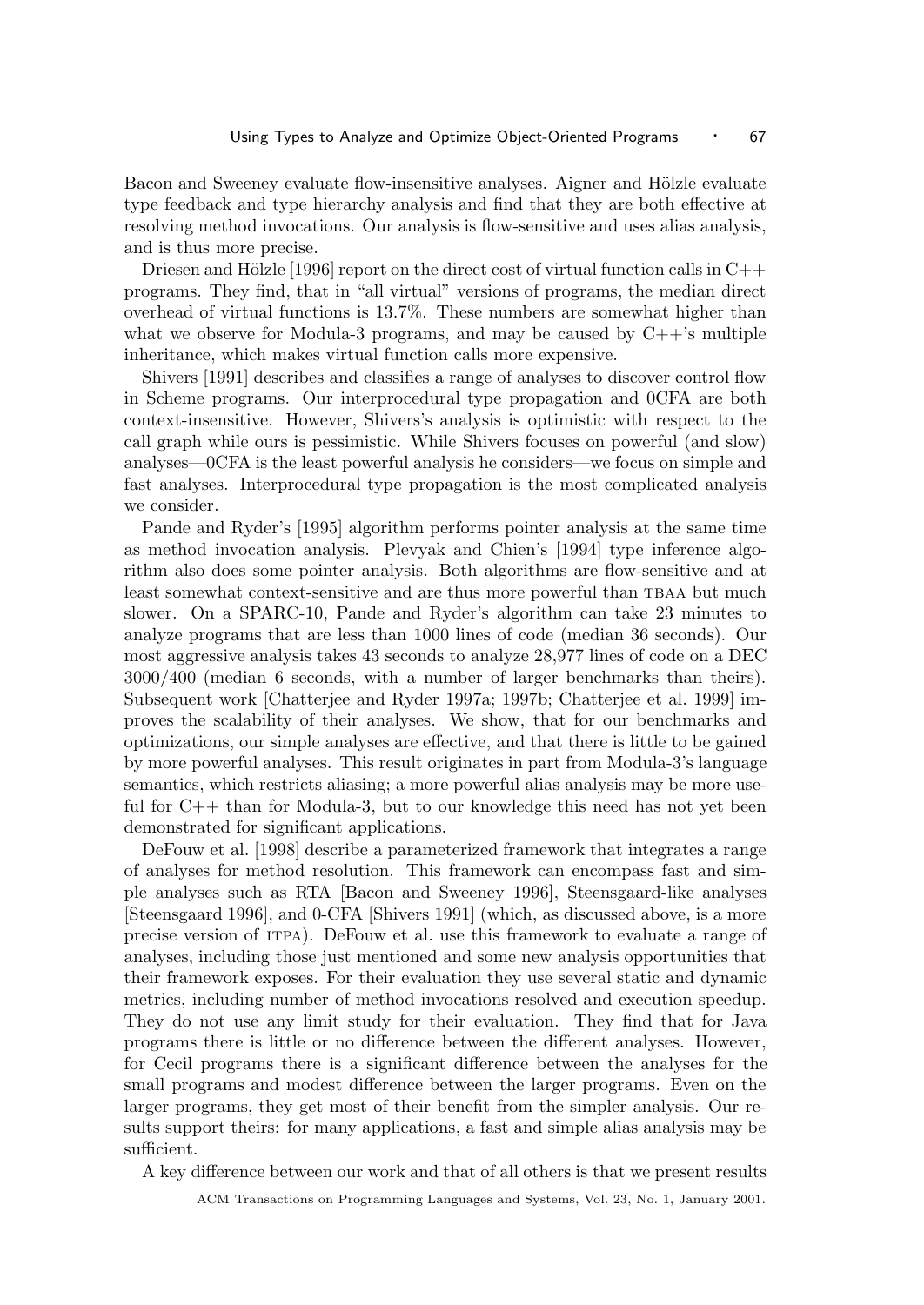Bacon and Sweeney evaluate flow-insensitive analyses. Aigner and Hölzle evaluate type feedback and type hierarchy analysis and find that they are both effective at resolving method invocations. Our analysis is flow-sensitive and uses alias analysis, and is thus more precise.

Driesen and Hölzle [1996] report on the direct cost of virtual function calls in  $C++$ programs. They find, that in "all virtual" versions of programs, the median direct overhead of virtual functions is 13.7%. These numbers are somewhat higher than what we observe for Modula-3 programs, and may be caused by  $C++$ 's multiple inheritance, which makes virtual function calls more expensive.

Shivers [1991] describes and classifies a range of analyses to discover control flow in Scheme programs. Our interprocedural type propagation and 0CFA are both context-insensitive. However, Shivers's analysis is optimistic with respect to the call graph while ours is pessimistic. While Shivers focuses on powerful (and slow) analyses—0CFA is the least powerful analysis he considers—we focus on simple and fast analyses. Interprocedural type propagation is the most complicated analysis we consider.

Pande and Ryder's [1995] algorithm performs pointer analysis at the same time as method invocation analysis. Plevyak and Chien's [1994] type inference algorithm also does some pointer analysis. Both algorithms are flow-sensitive and at least somewhat context-sensitive and are thus more powerful than TBAA but much slower. On a SPARC-10, Pande and Ryder's algorithm can take 23 minutes to analyze programs that are less than 1000 lines of code (median 36 seconds). Our most aggressive analysis takes 43 seconds to analyze 28,977 lines of code on a DEC 3000/400 (median 6 seconds, with a number of larger benchmarks than theirs). Subsequent work [Chatterjee and Ryder 1997a; 1997b; Chatterjee et al. 1999] improves the scalability of their analyses. We show, that for our benchmarks and optimizations, our simple analyses are effective, and that there is little to be gained by more powerful analyses. This result originates in part from Modula-3's language semantics, which restricts aliasing; a more powerful alias analysis may be more useful for  $C_{++}$  than for Modula-3, but to our knowledge this need has not yet been demonstrated for significant applications.

DeFouw et al. [1998] describe a parameterized framework that integrates a range of analyses for method resolution. This framework can encompass fast and simple analyses such as RTA [Bacon and Sweeney 1996], Steensgaard-like analyses [Steensgaard 1996], and 0-CFA [Shivers 1991] (which, as discussed above, is a more precise version of itpa). DeFouw et al. use this framework to evaluate a range of analyses, including those just mentioned and some new analysis opportunities that their framework exposes. For their evaluation they use several static and dynamic metrics, including number of method invocations resolved and execution speedup. They do not use any limit study for their evaluation. They find that for Java programs there is little or no difference between the different analyses. However, for Cecil programs there is a significant difference between the analyses for the small programs and modest difference between the larger programs. Even on the larger programs, they get most of their benefit from the simpler analysis. Our results support theirs: for many applications, a fast and simple alias analysis may be sufficient.

A key difference between our work and that of all others is that we present results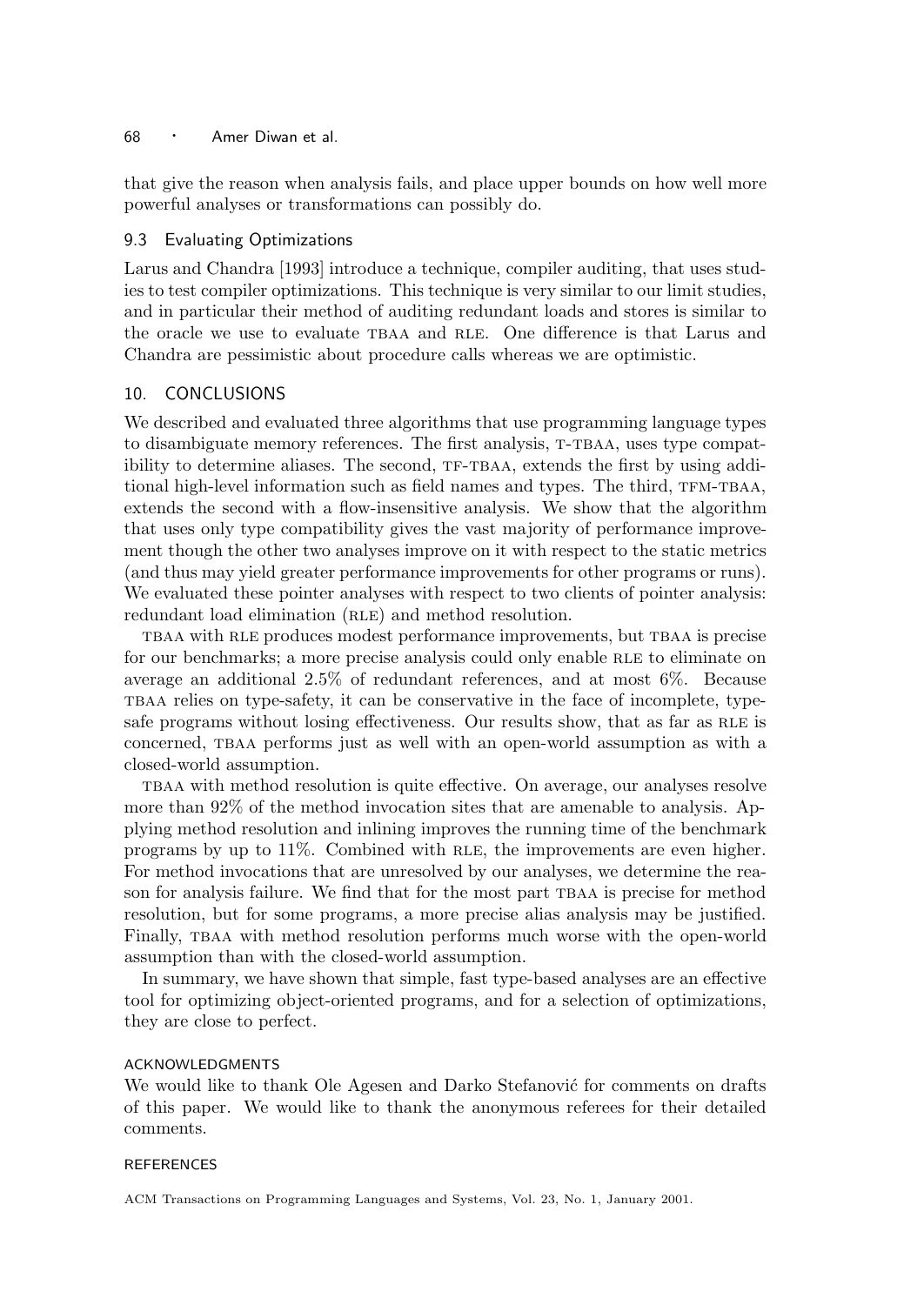that give the reason when analysis fails, and place upper bounds on how well more powerful analyses or transformations can possibly do.

### 9.3 Evaluating Optimizations

Larus and Chandra [1993] introduce a technique, compiler auditing, that uses studies to test compiler optimizations. This technique is very similar to our limit studies, and in particular their method of auditing redundant loads and stores is similar to the oracle we use to evaluate TBAA and RLE. One difference is that Larus and Chandra are pessimistic about procedure calls whereas we are optimistic.

### <span id="page-38-0"></span>10. CONCLUSIONS

We described and evaluated three algorithms that use programming language types to disambiguate memory references. The first analysis,  $T$ -TBAA, uses type compatibility to determine aliases. The second,  $TF-TBAA$ , extends the first by using additional high-level information such as field names and types. The third, TFM-TBAA, extends the second with a flow-insensitive analysis. We show that the algorithm that uses only type compatibility gives the vast majority of performance improvement though the other two analyses improve on it with respect to the static metrics (and thus may yield greater performance improvements for other programs or runs). We evaluated these pointer analyses with respect to two clients of pointer analysis: redundant load elimination (RLE) and method resolution.

TBAA with RLE produces modest performance improvements, but TBAA is precise for our benchmarks; a more precise analysis could only enable RLE to eliminate on average an additional 2.5% of redundant references, and at most 6%. Because TBAA relies on type-safety, it can be conservative in the face of incomplete, typesafe programs without losing effectiveness. Our results show, that as far as RLE is concerned, tbaa performs just as well with an open-world assumption as with a closed-world assumption.

tbaa with method resolution is quite effective. On average, our analyses resolve more than 92% of the method invocation sites that are amenable to analysis. Applying method resolution and inlining improves the running time of the benchmark programs by up to 11%. Combined with rle, the improvements are even higher. For method invocations that are unresolved by our analyses, we determine the reason for analysis failure. We find that for the most part TBAA is precise for method resolution, but for some programs, a more precise alias analysis may be justified. Finally, tbaa with method resolution performs much worse with the open-world assumption than with the closed-world assumption.

In summary, we have shown that simple, fast type-based analyses are an effective tool for optimizing object-oriented programs, and for a selection of optimizations, they are close to perfect.

#### ACKNOWLEDGMENTS

We would like to thank Ole Agesen and Darko Stefanović for comments on drafts of this paper. We would like to thank the anonymous referees for their detailed comments.

### **REFERENCES**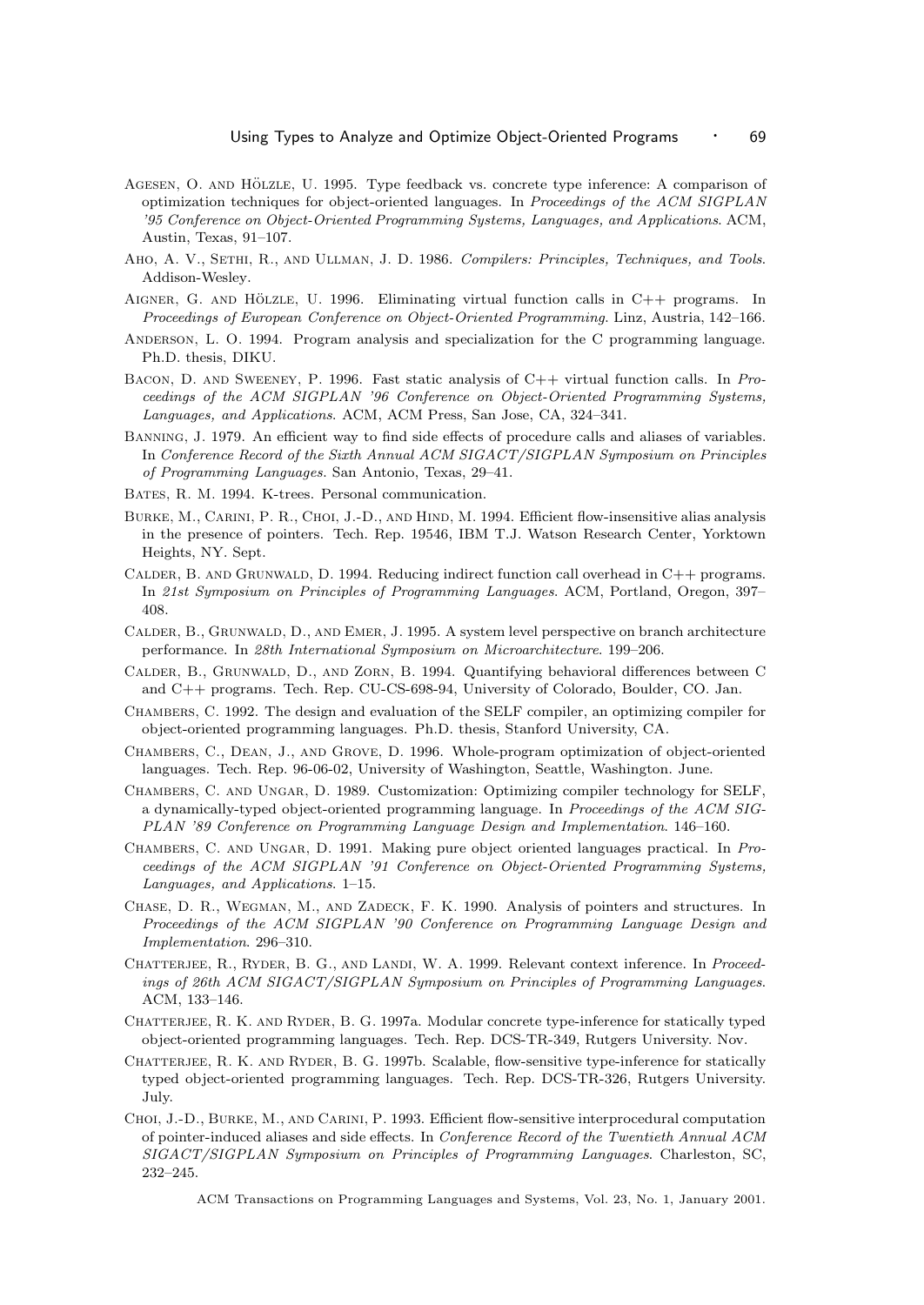- AGESEN, O. AND HÖLZLE, U. 1995. Type feedback vs. concrete type inference: A comparison of optimization techniques for object-oriented languages. In Proceedings of the ACM SIGPLAN '95 Conference on Object-Oriented Programming Systems, Languages, and Applications. ACM, Austin, Texas, 91–107.
- Aho, A. V., Sethi, R., and Ullman, J. D. 1986. Compilers: Principles, Techniques, and Tools. Addison-Wesley.
- AIGNER, G. AND HÖLZLE, U. 1996. Eliminating virtual function calls in  $C++$  programs. In Proceedings of European Conference on Object-Oriented Programming. Linz, Austria, 142–166.
- ANDERSON, L. O. 1994. Program analysis and specialization for the C programming language. Ph.D. thesis, DIKU.
- BACON, D. AND SWEENEY, P. 1996. Fast static analysis of C++ virtual function calls. In Proceedings of the ACM SIGPLAN '96 Conference on Object-Oriented Programming Systems, Languages, and Applications. ACM, ACM Press, San Jose, CA, 324–341.
- Banning, J. 1979. An efficient way to find side effects of procedure calls and aliases of variables. In Conference Record of the Sixth Annual ACM SIGACT/SIGPLAN Symposium on Principles of Programming Languages. San Antonio, Texas, 29–41.
- Bates, R. M. 1994. K-trees. Personal communication.
- BURKE, M., CARINI, P. R., CHOI, J.-D., AND HIND, M. 1994. Efficient flow-insensitive alias analysis in the presence of pointers. Tech. Rep. 19546, IBM T.J. Watson Research Center, Yorktown Heights, NY. Sept.
- Calder, B. and Grunwald, D. 1994. Reducing indirect function call overhead in C++ programs. In 21st Symposium on Principles of Programming Languages. ACM, Portland, Oregon, 397– 408.
- Calder, B., Grunwald, D., and Emer, J. 1995. A system level perspective on branch architecture performance. In 28th International Symposium on Microarchitecture. 199–206.
- Calder, B., Grunwald, D., and Zorn, B. 1994. Quantifying behavioral differences between C and C++ programs. Tech. Rep. CU-CS-698-94, University of Colorado, Boulder, CO. Jan.
- CHAMBERS, C. 1992. The design and evaluation of the SELF compiler, an optimizing compiler for object-oriented programming languages. Ph.D. thesis, Stanford University, CA.
- Chambers, C., Dean, J., and Grove, D. 1996. Whole-program optimization of object-oriented languages. Tech. Rep. 96-06-02, University of Washington, Seattle, Washington. June.
- Chambers, C. and Ungar, D. 1989. Customization: Optimizing compiler technology for SELF, a dynamically-typed object-oriented programming language. In Proceedings of the ACM SIG-PLAN '89 Conference on Programming Language Design and Implementation. 146–160.
- Chambers, C. and Ungar, D. 1991. Making pure object oriented languages practical. In Proceedings of the ACM SIGPLAN '91 Conference on Object-Oriented Programming Systems, Languages, and Applications. 1–15.
- Chase, D. R., Wegman, M., and Zadeck, F. K. 1990. Analysis of pointers and structures. In Proceedings of the ACM SIGPLAN '90 Conference on Programming Language Design and Implementation. 296–310.
- CHATTERJEE, R., RYDER, B. G., AND LANDI, W. A. 1999. Relevant context inference. In Proceedings of 26th ACM SIGACT/SIGPLAN Symposium on Principles of Programming Languages. ACM, 133–146.
- CHATTERJEE, R. K. AND RYDER, B. G. 1997a. Modular concrete type-inference for statically typed object-oriented programming languages. Tech. Rep. DCS-TR-349, Rutgers University. Nov.
- CHATTERJEE, R. K. AND RYDER, B. G. 1997b. Scalable, flow-sensitive type-inference for statically typed object-oriented programming languages. Tech. Rep. DCS-TR-326, Rutgers University. July.
- Choi, J.-D., Burke, M., and Carini, P. 1993. Efficient flow-sensitive interprocedural computation of pointer-induced aliases and side effects. In Conference Record of the Twentieth Annual ACM SIGACT/SIGPLAN Symposium on Principles of Programming Languages. Charleston, SC, 232–245.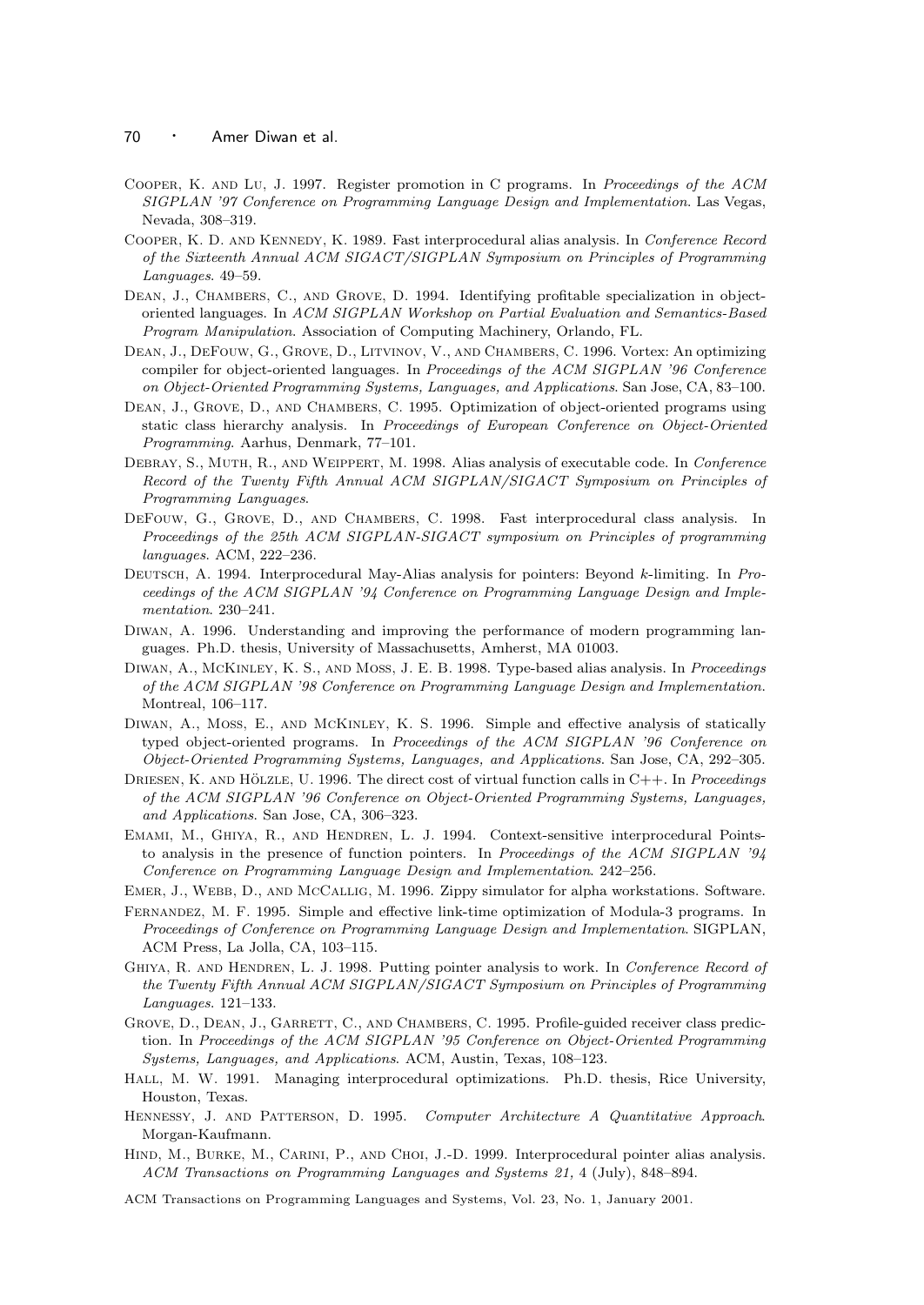- Cooper, K. and Lu, J. 1997. Register promotion in C programs. In Proceedings of the ACM SIGPLAN '97 Conference on Programming Language Design and Implementation. Las Vegas, Nevada, 308–319.
- Cooper, K. D. and Kennedy, K. 1989. Fast interprocedural alias analysis. In Conference Record of the Sixteenth Annual ACM SIGACT/SIGPLAN Symposium on Principles of Programming Languages. 49–59.
- DEAN, J., CHAMBERS, C., AND GROVE, D. 1994. Identifying profitable specialization in objectoriented languages. In ACM SIGPLAN Workshop on Partial Evaluation and Semantics-Based Program Manipulation. Association of Computing Machinery, Orlando, FL.
- Dean, J., DeFouw, G., Grove, D., Litvinov, V., and Chambers, C. 1996. Vortex: An optimizing compiler for object-oriented languages. In Proceedings of the ACM SIGPLAN '96 Conference on Object-Oriented Programming Systems, Languages, and Applications. San Jose, CA, 83–100.
- Dean, J., Grove, D., and Chambers, C. 1995. Optimization of object-oriented programs using static class hierarchy analysis. In Proceedings of European Conference on Object-Oriented Programming. Aarhus, Denmark, 77–101.
- Debray, S., Muth, R., and Weippert, M. 1998. Alias analysis of executable code. In Conference Record of the Twenty Fifth Annual ACM SIGPLAN/SIGACT Symposium on Principles of Programming Languages.
- DeFouw, G., Grove, D., and Chambers, C. 1998. Fast interprocedural class analysis. In Proceedings of the 25th ACM SIGPLAN-SIGACT symposium on Principles of programming languages. ACM, 222–236.
- DEUTSCH, A. 1994. Interprocedural May-Alias analysis for pointers: Beyond k-limiting. In Proceedings of the ACM SIGPLAN '94 Conference on Programming Language Design and Implementation. 230–241.
- Diwan, A. 1996. Understanding and improving the performance of modern programming languages. Ph.D. thesis, University of Massachusetts, Amherst, MA 01003.
- Diwan, A., McKinley, K. S., and Moss, J. E. B. 1998. Type-based alias analysis. In Proceedings of the ACM SIGPLAN '98 Conference on Programming Language Design and Implementation. Montreal, 106–117.
- Diwan, A., Moss, E., and McKinley, K. S. 1996. Simple and effective analysis of statically typed object-oriented programs. In Proceedings of the ACM SIGPLAN '96 Conference on Object-Oriented Programming Systems, Languages, and Applications. San Jose, CA, 292–305.
- DRIESEN, K. AND HÖLZLE, U. 1996. The direct cost of virtual function calls in  $C++$ . In *Proceedings* of the ACM SIGPLAN '96 Conference on Object-Oriented Programming Systems, Languages, and Applications. San Jose, CA, 306–323.
- Emami, M., Ghiya, R., and Hendren, L. J. 1994. Context-sensitive interprocedural Pointsto analysis in the presence of function pointers. In Proceedings of the ACM SIGPLAN '94 Conference on Programming Language Design and Implementation. 242–256.
- EMER, J., WEBB, D., AND MCCALLIG, M. 1996. Zippy simulator for alpha workstations. Software.
- Fernandez, M. F. 1995. Simple and effective link-time optimization of Modula-3 programs. In Proceedings of Conference on Programming Language Design and Implementation. SIGPLAN, ACM Press, La Jolla, CA, 103–115.
- Ghiya, R. and Hendren, L. J. 1998. Putting pointer analysis to work. In Conference Record of the Twenty Fifth Annual ACM SIGPLAN/SIGACT Symposium on Principles of Programming Languages. 121–133.
- GROVE, D., DEAN, J., GARRETT, C., AND CHAMBERS, C. 1995. Profile-guided receiver class prediction. In Proceedings of the ACM SIGPLAN '95 Conference on Object-Oriented Programming Systems, Languages, and Applications. ACM, Austin, Texas, 108–123.
- HALL, M. W. 1991. Managing interprocedural optimizations. Ph.D. thesis, Rice University, Houston, Texas.
- Hennessy, J. and Patterson, D. 1995. Computer Architecture A Quantitative Approach. Morgan-Kaufmann.
- HIND, M., BURKE, M., CARINI, P., AND CHOI, J.-D. 1999. Interprocedural pointer alias analysis. ACM Transactions on Programming Languages and Systems 21, 4 (July), 848–894.
- ACM Transactions on Programming Languages and Systems, Vol. 23, No. 1, January 2001.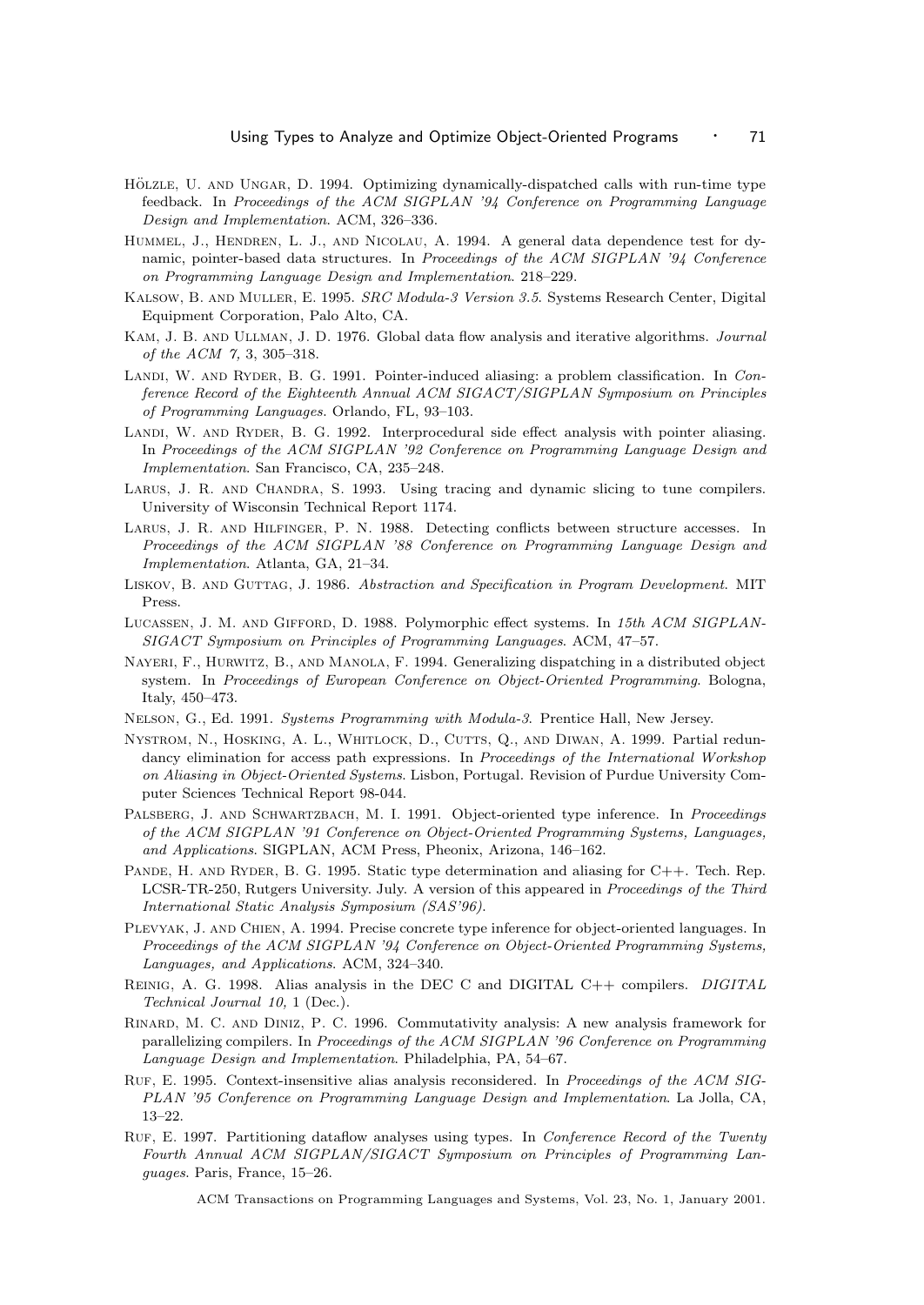- HÖLZLE, U. AND UNGAR, D. 1994. Optimizing dynamically-dispatched calls with run-time type feedback. In Proceedings of the ACM SIGPLAN '94 Conference on Programming Language Design and Implementation. ACM, 326–336.
- Hummel, J., Hendren, L. J., and Nicolau, A. 1994. A general data dependence test for dynamic, pointer-based data structures. In Proceedings of the ACM SIGPLAN '94 Conference on Programming Language Design and Implementation. 218–229.
- Kalsow, B. and Muller, E. 1995. SRC Modula-3 Version 3.5. Systems Research Center, Digital Equipment Corporation, Palo Alto, CA.
- KAM, J. B. AND ULLMAN, J. D. 1976. Global data flow analysis and iterative algorithms. Journal of the ACM 7, 3, 305–318.
- LANDI, W. AND RYDER, B. G. 1991. Pointer-induced aliasing: a problem classification. In Conference Record of the Eighteenth Annual ACM SIGACT/SIGPLAN Symposium on Principles of Programming Languages. Orlando, FL, 93–103.
- LANDI, W. AND RYDER, B. G. 1992. Interprocedural side effect analysis with pointer aliasing. In Proceedings of the ACM SIGPLAN '92 Conference on Programming Language Design and Implementation. San Francisco, CA, 235–248.
- Larus, J. R. and Chandra, S. 1993. Using tracing and dynamic slicing to tune compilers. University of Wisconsin Technical Report 1174.
- Larus, J. R. and Hilfinger, P. N. 1988. Detecting conflicts between structure accesses. In Proceedings of the ACM SIGPLAN '88 Conference on Programming Language Design and Implementation. Atlanta, GA, 21–34.
- LISKOV, B. AND GUTTAG, J. 1986. Abstraction and Specification in Program Development. MIT Press.
- Lucassen, J. M. and Gifford, D. 1988. Polymorphic effect systems. In 15th ACM SIGPLAN-SIGACT Symposium on Principles of Programming Languages. ACM, 47–57.
- NAYERI, F., HURWITZ, B., AND MANOLA, F. 1994. Generalizing dispatching in a distributed object system. In Proceedings of European Conference on Object-Oriented Programming. Bologna, Italy, 450–473.
- Nelson, G., Ed. 1991. Systems Programming with Modula-3. Prentice Hall, New Jersey.
- NYSTROM, N., HOSKING, A. L., WHITLOCK, D., CUTTS, Q., AND DIWAN, A. 1999. Partial redundancy elimination for access path expressions. In Proceedings of the International Workshop on Aliasing in Object-Oriented Systems. Lisbon, Portugal. Revision of Purdue University Computer Sciences Technical Report 98-044.
- PALSBERG, J. AND SCHWARTZBACH, M. I. 1991. Object-oriented type inference. In Proceedings of the ACM SIGPLAN '91 Conference on Object-Oriented Programming Systems, Languages, and Applications. SIGPLAN, ACM Press, Pheonix, Arizona, 146–162.
- Pande, H. and Ryder, B. G. 1995. Static type determination and aliasing for C++. Tech. Rep. LCSR-TR-250, Rutgers University. July. A version of this appeared in Proceedings of the Third International Static Analysis Symposium (SAS'96).
- Plevyak, J. and Chien, A. 1994. Precise concrete type inference for object-oriented languages. In Proceedings of the ACM SIGPLAN '94 Conference on Object-Oriented Programming Systems, Languages, and Applications. ACM, 324–340.
- Reinig, A. G. 1998. Alias analysis in the DEC C and DIGITAL C++ compilers. DIGITAL Technical Journal 10, 1 (Dec.).
- Rinard, M. C. and Diniz, P. C. 1996. Commutativity analysis: A new analysis framework for parallelizing compilers. In Proceedings of the ACM SIGPLAN '96 Conference on Programming Language Design and Implementation. Philadelphia, PA, 54–67.
- Ruf, E. 1995. Context-insensitive alias analysis reconsidered. In Proceedings of the ACM SIG-PLAN '95 Conference on Programming Language Design and Implementation. La Jolla, CA, 13–22.
- Ruf, E. 1997. Partitioning dataflow analyses using types. In Conference Record of the Twenty Fourth Annual ACM SIGPLAN/SIGACT Symposium on Principles of Programming Languages. Paris, France, 15–26.